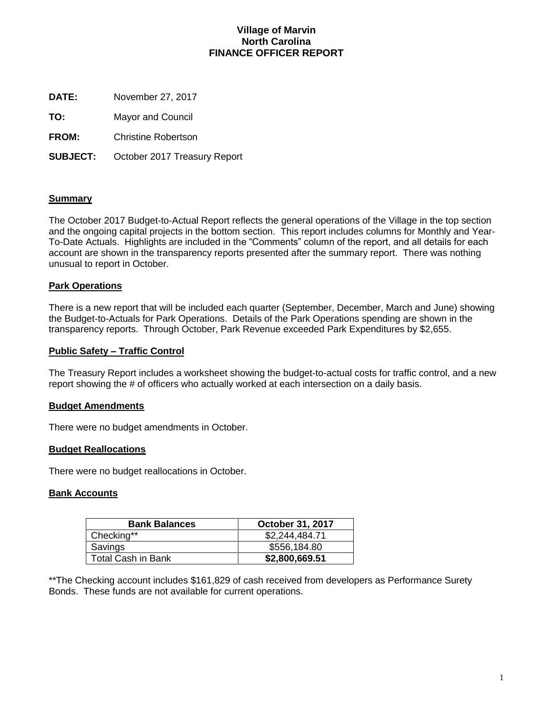# **Village of Marvin North Carolina FINANCE OFFICER REPORT**

**DATE:** November 27, 2017

**TO:** Mayor and Council

**FROM:** Christine Robertson

**SUBJECT:** October 2017 Treasury Report

# **Summary**

The October 2017 Budget-to-Actual Report reflects the general operations of the Village in the top section and the ongoing capital projects in the bottom section. This report includes columns for Monthly and Year-To-Date Actuals. Highlights are included in the "Comments" column of the report, and all details for each account are shown in the transparency reports presented after the summary report. There was nothing unusual to report in October.

# **Park Operations**

There is a new report that will be included each quarter (September, December, March and June) showing the Budget-to-Actuals for Park Operations. Details of the Park Operations spending are shown in the transparency reports. Through October, Park Revenue exceeded Park Expenditures by \$2,655.

# **Public Safety – Traffic Control**

The Treasury Report includes a worksheet showing the budget-to-actual costs for traffic control, and a new report showing the # of officers who actually worked at each intersection on a daily basis.

# **Budget Amendments**

There were no budget amendments in October.

# **Budget Reallocations**

There were no budget reallocations in October.

# **Bank Accounts**

| <b>Bank Balances</b>      | <b>October 31, 2017</b> |
|---------------------------|-------------------------|
| Checking**                | \$2,244,484.71          |
| Savings                   | \$556,184.80            |
| <b>Total Cash in Bank</b> | \$2,800,669.51          |

\*\*The Checking account includes \$161,829 of cash received from developers as Performance Surety Bonds. These funds are not available for current operations.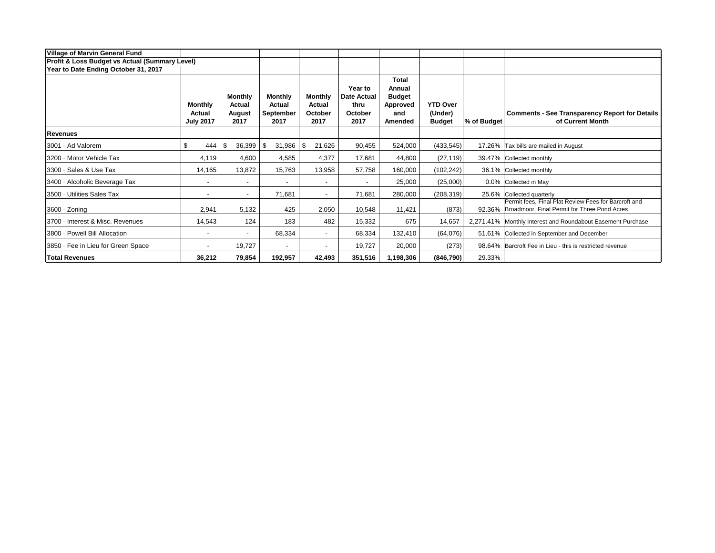| Village of Marvin General Fund                 |                                              |                                            |                                        |                                             |                                                   |                                                                       |                                             |             |                                                                                                             |
|------------------------------------------------|----------------------------------------------|--------------------------------------------|----------------------------------------|---------------------------------------------|---------------------------------------------------|-----------------------------------------------------------------------|---------------------------------------------|-------------|-------------------------------------------------------------------------------------------------------------|
| Profit & Loss Budget vs Actual (Summary Level) |                                              |                                            |                                        |                                             |                                                   |                                                                       |                                             |             |                                                                                                             |
| Year to Date Ending October 31, 2017           |                                              |                                            |                                        |                                             |                                                   |                                                                       |                                             |             |                                                                                                             |
|                                                | <b>Monthly</b><br>Actual<br><b>July 2017</b> | <b>Monthly</b><br>Actual<br>August<br>2017 | Monthly<br>Actual<br>September<br>2017 | <b>Monthly</b><br>Actual<br>October<br>2017 | Year to<br>Date Actual<br>thru<br>October<br>2017 | <b>Total</b><br>Annual<br><b>Budget</b><br>Approved<br>and<br>Amended | <b>YTD Over</b><br>(Under)<br><b>Budget</b> | % of Budget | <b>Comments - See Transparency Report for Details</b><br>of Current Month                                   |
| <b>Revenues</b>                                |                                              |                                            |                                        |                                             |                                                   |                                                                       |                                             |             |                                                                                                             |
| 3001 · Ad Valorem                              | \$<br>444                                    | 36,399<br>\$                               | 31,986<br>-\$                          | \$<br>21,626                                | 90,455                                            | 524,000                                                               | (433, 545)                                  |             | 17.26% Tax bills are mailed in August                                                                       |
| 3200 - Motor Vehicle Tax                       | 4,119                                        | 4,600                                      | 4,585                                  | 4,377                                       | 17,681                                            | 44,800                                                                | (27, 119)                                   |             | 39.47% Collected monthly                                                                                    |
| 3300 · Sales & Use Tax                         | 14,165                                       | 13,872                                     | 15,763                                 | 13,958                                      | 57,758                                            | 160,000                                                               | (102, 242)                                  |             | 36.1% Collected monthly                                                                                     |
| 3400 · Alcoholic Beverage Tax                  |                                              | $\overline{\phantom{a}}$                   |                                        | $\overline{\phantom{a}}$                    | $\overline{\phantom{a}}$                          | 25,000                                                                | (25,000)                                    |             | 0.0% Collected in May                                                                                       |
| 3500 · Utilities Sales Tax                     |                                              | ٠                                          | 71,681                                 | $\sim$                                      | 71,681                                            | 280,000                                                               | (208, 319)                                  |             | 25.6% Collected quarterly                                                                                   |
| $3600 \cdot$ Zoning                            | 2,941                                        | 5,132                                      | 425                                    | 2,050                                       | 10,548                                            | 11,421                                                                | (873)                                       |             | Permit fees, Final Plat Review Fees for Barcroft and<br>92.36% Broadmoor, Final Permit for Three Pond Acres |
| 3700 · Interest & Misc. Revenues               | 14,543                                       | 124                                        | 183                                    | 482                                         | 15,332                                            | 675                                                                   | 14,657                                      |             | 2,271.41% Monthly Interest and Roundabout Easement Purchase                                                 |
| 3800 - Powell Bill Allocation                  |                                              | ٠                                          | 68,334                                 | $\sim$                                      | 68,334                                            | 132,410                                                               | (64,076)                                    |             | 51.61% Collected in September and December                                                                  |
| 3850 · Fee in Lieu for Green Space             |                                              | 19,727                                     | $\overline{\phantom{a}}$               | $\overline{\phantom{a}}$                    | 19,727                                            | 20,000                                                                | (273)                                       |             | 98.64% Barcroft Fee in Lieu - this is restricted revenue                                                    |
| <b>Total Revenues</b>                          | 36,212                                       | 79,854                                     | 192,957                                | 42,493                                      | 351,516                                           | 1,198,306                                                             | (846, 790)                                  | 29.33%      |                                                                                                             |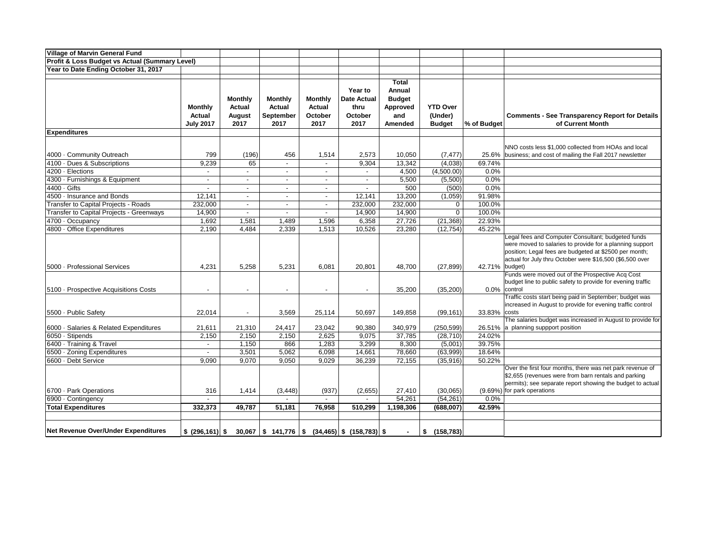| <b>Village of Marvin General Fund</b>          |                                              |                                            |                                               |                                             |                                                          |                                                                       |                                             |                |                                                                                                                                                                                                                                      |
|------------------------------------------------|----------------------------------------------|--------------------------------------------|-----------------------------------------------|---------------------------------------------|----------------------------------------------------------|-----------------------------------------------------------------------|---------------------------------------------|----------------|--------------------------------------------------------------------------------------------------------------------------------------------------------------------------------------------------------------------------------------|
| Profit & Loss Budget vs Actual (Summary Level) |                                              |                                            |                                               |                                             |                                                          |                                                                       |                                             |                |                                                                                                                                                                                                                                      |
| Year to Date Ending October 31, 2017           |                                              |                                            |                                               |                                             |                                                          |                                                                       |                                             |                |                                                                                                                                                                                                                                      |
|                                                | <b>Monthly</b><br>Actual<br><b>July 2017</b> | <b>Monthly</b><br>Actual<br>August<br>2017 | <b>Monthly</b><br>Actual<br>September<br>2017 | <b>Monthly</b><br>Actual<br>October<br>2017 | Year to<br><b>Date Actual</b><br>thru<br>October<br>2017 | <b>Total</b><br>Annual<br><b>Budget</b><br>Approved<br>and<br>Amended | <b>YTD Over</b><br>(Under)<br><b>Budget</b> | % of Budget    | <b>Comments - See Transparency Report for Details</b><br>of Current Month                                                                                                                                                            |
| <b>Expenditures</b>                            |                                              |                                            |                                               |                                             |                                                          |                                                                       |                                             |                |                                                                                                                                                                                                                                      |
| 4000 · Community Outreach                      | 799                                          | (196)                                      | 456                                           | 1,514                                       | 2,573                                                    | 10,050                                                                | (7, 477)                                    | 25.6%          | NNO costs less \$1,000 collected from HOAs and local<br>business; and cost of mailing the Fall 2017 newsletter                                                                                                                       |
| 4100 · Dues & Subscriptions                    | 9,239                                        | 65                                         | $\blacksquare$                                | $\overline{\phantom{a}}$                    | 9,304                                                    | 13,342                                                                | (4,038)                                     | 69.74%         |                                                                                                                                                                                                                                      |
| 4200 · Elections                               | $\overline{\phantom{a}}$                     | $\sim$                                     | $\overline{\phantom{a}}$                      | $\sim$                                      | $\sim$                                                   | 4,500                                                                 | (4,500.00)                                  | 0.0%           |                                                                                                                                                                                                                                      |
| 4300 · Furnishings & Equipment                 | $\sim$                                       | $\sim$                                     | $\sim$                                        | $\sim$                                      | $\sim$                                                   | 5,500                                                                 | (5,500)                                     | 0.0%           |                                                                                                                                                                                                                                      |
| $4400 \cdot$ Gifts                             | $\overline{a}$                               | $\blacksquare$                             | $\blacksquare$                                | $\overline{\phantom{a}}$                    | $\sim$                                                   | 500                                                                   | (500)                                       | 0.0%           |                                                                                                                                                                                                                                      |
| 4500 · Insurance and Bonds                     | 12,141                                       | $\overline{\phantom{a}}$                   | $\overline{\phantom{a}}$                      | $\sim$                                      | 12,141                                                   | 13,200                                                                | (1,059)                                     | 91.98%         |                                                                                                                                                                                                                                      |
| Transfer to Capital Projects - Roads           | 232,000                                      | $\blacksquare$                             | $\overline{\phantom{a}}$                      | $\overline{\phantom{a}}$                    | 232,000                                                  | 232,000                                                               | 0                                           | 100.0%         |                                                                                                                                                                                                                                      |
| Transfer to Capital Projects - Greenways       | 14,900                                       | $\blacksquare$                             | $\sim$                                        | $\sim$                                      | 14,900                                                   | 14,900                                                                | $\mathbf{0}$                                | 100.0%         |                                                                                                                                                                                                                                      |
| 4700 · Occupancy                               | 1,692                                        | 1,581                                      | 1,489                                         | 1,596                                       | 6,358                                                    | 27,726                                                                | (21, 368)                                   | 22.93%         |                                                                                                                                                                                                                                      |
| 4800 · Office Expenditures                     | 2,190                                        | 4,484                                      | 2,339                                         | 1,513                                       | 10,526                                                   | 23,280                                                                | (12, 754)                                   | 45.22%         |                                                                                                                                                                                                                                      |
| 5000 · Professional Services                   | 4,231                                        | 5,258                                      | 5,231                                         | 6,081                                       | 20,801                                                   | 48,700                                                                | (27, 899)                                   | 42.71% budget) | Legal fees and Computer Consultant; budgeted funds<br>were moved to salaries to provide for a planning support<br>position; Legal fees are budgeted at \$2500 per month;<br>actual for July thru October were \$16,500 (\$6,500 over |
| 5100 - Prospective Acquisitions Costs          |                                              | $\blacksquare$                             | $\overline{\phantom{a}}$                      | $\blacksquare$                              |                                                          | 35,200                                                                | (35, 200)                                   | 0.0%           | Funds were moved out of the Prospective Acq Cost<br>budget line to public safety to provide for evening traffic<br>control<br>Traffic costs start being paid in September; budget was                                                |
| 5500 - Public Safety                           | 22,014                                       | $\overline{\phantom{a}}$                   | 3,569                                         | 25,114                                      | 50,697                                                   | 149,858                                                               | (99, 161)                                   | 33.83%         | increased in August to provide for evening traffic control<br>costs<br>The salaries budget was increased in August to provide for                                                                                                    |
| 6000 · Salaries & Related Expenditures         | 21,611                                       | 21,310                                     | 24,417                                        | 23,042                                      | 90,380                                                   | 340,979                                                               | (250, 599)                                  | 26.51%         | a planning suppport position                                                                                                                                                                                                         |
| 6050 · Stipends                                | 2,150                                        | 2,150                                      | 2,150                                         | 2,625                                       | 9,075                                                    | 37,785                                                                | (28, 710)                                   | 24.02%         |                                                                                                                                                                                                                                      |
| 6400 · Training & Travel                       | $\overline{a}$                               | 1,150                                      | 866                                           | 1,283                                       | 3,299                                                    | 8,300                                                                 | (5,001)                                     | 39.75%         |                                                                                                                                                                                                                                      |
| 6500 · Zoning Expenditures                     | $\overline{\phantom{a}}$                     | 3,501                                      | 5,062                                         | 6,098                                       | 14,661                                                   | 78,660                                                                | (63,999)                                    | 18.64%         |                                                                                                                                                                                                                                      |
| 6600 · Debt Service                            | 9,090                                        | 9,070                                      | 9,050                                         | 9,029                                       | 36,239                                                   | 72,155                                                                | (35, 916)                                   | 50.22%         |                                                                                                                                                                                                                                      |
| 6700 · Park Operations                         | 316                                          | 1,414                                      | (3, 448)                                      | (937)                                       | (2,655)                                                  | 27,410                                                                | (30,065)                                    |                | Over the first four months, there was net park revenue of<br>\$2,655 (revenues were from barn rentals and parking<br>permits); see separate report showing the budget to actual<br>(9.69%) for park operations                       |
| 6900 Contingency                               | $\sim$                                       |                                            | $\overline{\phantom{a}}$                      | $\overline{\phantom{a}}$                    | $\sim$                                                   | 54,261                                                                | (54, 261)                                   | 0.0%           |                                                                                                                                                                                                                                      |
| <b>Total Expenditures</b>                      | 332,373                                      | 49,787                                     | 51,181                                        | 76,958                                      | 510,299                                                  | 1,198,306                                                             | (688,007)                                   | 42.59%         |                                                                                                                                                                                                                                      |
|                                                |                                              |                                            |                                               |                                             |                                                          |                                                                       |                                             |                |                                                                                                                                                                                                                                      |
| <b>Net Revenue Over/Under Expenditures</b>     |                                              |                                            |                                               |                                             | $30,067$ \$ 141,776 \$ (34,465) \$ (158,783) \$          |                                                                       | (158, 783)<br>\$                            |                |                                                                                                                                                                                                                                      |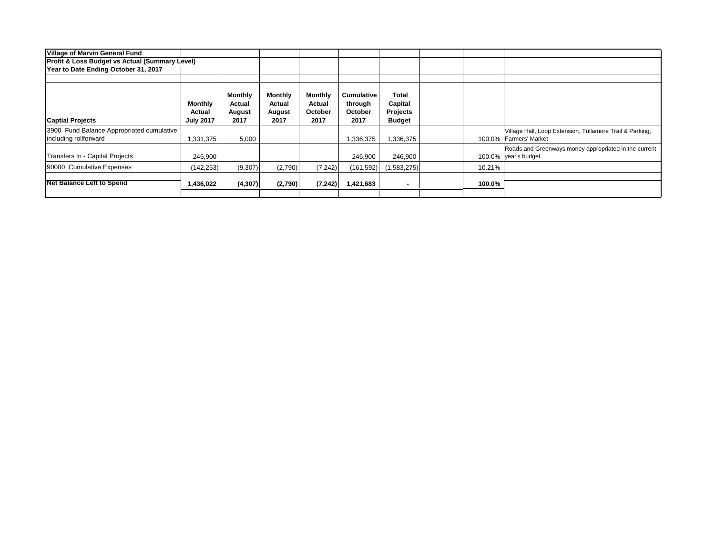| <b>Village of Marvin General Fund</b>                              |                                              |                                     |                                            |                                             |                                                 |                                               |        |                                                                                    |
|--------------------------------------------------------------------|----------------------------------------------|-------------------------------------|--------------------------------------------|---------------------------------------------|-------------------------------------------------|-----------------------------------------------|--------|------------------------------------------------------------------------------------|
| <b>Profit &amp; Loss Budget vs Actual (Summary Level)</b>          |                                              |                                     |                                            |                                             |                                                 |                                               |        |                                                                                    |
| Year to Date Ending October 31, 2017                               |                                              |                                     |                                            |                                             |                                                 |                                               |        |                                                                                    |
|                                                                    |                                              |                                     |                                            |                                             |                                                 |                                               |        |                                                                                    |
| <b>Captial Projects</b>                                            | <b>Monthly</b><br>Actual<br><b>July 2017</b> | Monthly<br>Actual<br>August<br>2017 | <b>Monthly</b><br>Actual<br>August<br>2017 | <b>Monthly</b><br>Actual<br>October<br>2017 | <b>Cumulative</b><br>through<br>October<br>2017 | Total<br>Capital<br>Projects<br><b>Budget</b> |        |                                                                                    |
| 3900 Fund Balance Appropriated cumulative<br>including rollforward | 1,331,375                                    | 5,000                               |                                            |                                             | 1,336,375                                       | 1,336,375                                     |        | Village Hall, Loop Extension, Tullamore Trail & Parking,<br>100.0% Farmers' Market |
| Transfers In - Capital Projects                                    | 246,900                                      |                                     |                                            |                                             | 246,900                                         | 246.900                                       |        | Roads and Greenways money appropriated in the current<br>100.0% year's budget      |
| 90000 Cumulative Expenses                                          | (142, 253)                                   | (9,307)                             | (2,790)                                    | (7, 242)                                    | (161, 592)                                      | (1,583,275)                                   | 10.21% |                                                                                    |
|                                                                    |                                              |                                     |                                            |                                             |                                                 |                                               |        |                                                                                    |
| <b>Net Balance Left to Spend</b>                                   | 1,436,022                                    | (4, 307)                            | (2,790)                                    | (7,242)                                     | 1,421,683                                       |                                               | 100.0% |                                                                                    |
|                                                                    |                                              |                                     |                                            |                                             |                                                 |                                               |        |                                                                                    |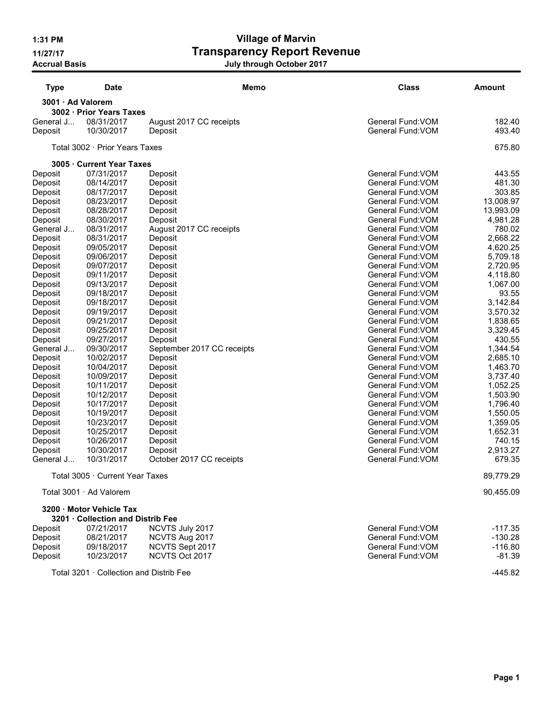# 1:31 PM Village of Marvin 11/27/17 Transparency Report Revenue

| <b>Type</b>       | <b>Date</b>                             | Memo                       | <b>Class</b>                           | Amount    |
|-------------------|-----------------------------------------|----------------------------|----------------------------------------|-----------|
| 3001 · Ad Valorem | 3002 · Prior Years Taxes                |                            |                                        |           |
| General J         | 08/31/2017                              | August 2017 CC receipts    | General Fund: VOM                      | 182.40    |
| Deposit           | 10/30/2017                              | Deposit                    | General Fund: VOM                      | 493.40    |
|                   | Total 3002 · Prior Years Taxes          |                            |                                        | 675.80    |
|                   | 3005 · Current Year Taxes               |                            |                                        |           |
| Deposit           | 07/31/2017                              | Deposit                    | General Fund: VOM                      | 443.55    |
| Deposit           | 08/14/2017                              | Deposit                    | General Fund: VOM                      | 481.30    |
| Deposit           | 08/17/2017                              | Deposit                    | General Fund: VOM                      | 303.85    |
| Deposit           | 08/23/2017                              | Deposit                    | General Fund: VOM                      | 13,008.97 |
| Deposit           | 08/28/2017                              | Deposit                    | General Fund: VOM                      | 13,993.09 |
| Deposit           | 08/30/2017                              | Deposit                    | General Fund: VOM                      | 4,981.28  |
| General J         | 08/31/2017                              | August 2017 CC receipts    | General Fund: VOM                      | 780.02    |
| Deposit           | 08/31/2017                              | Deposit                    | General Fund: VOM                      | 2,668.22  |
| Deposit           | 09/05/2017                              | Deposit                    | General Fund: VOM                      | 4,620.25  |
| Deposit           | 09/06/2017                              | Deposit                    | General Fund: VOM                      | 5,709.18  |
| Deposit           | 09/07/2017                              | Deposit                    | General Fund: VOM                      | 2,720.95  |
| Deposit           | 09/11/2017                              | Deposit                    | General Fund: VOM                      | 4,118.80  |
| Deposit           | 09/13/2017                              | Deposit                    | General Fund: VOM                      | 1,067.00  |
| Deposit           | 09/18/2017                              | Deposit                    | General Fund: VOM                      | 93.55     |
| Deposit           | 09/18/2017                              | Deposit                    | General Fund: VOM                      | 3,142.84  |
| Deposit           | 09/19/2017                              | Deposit                    | General Fund: VOM                      | 3,570.32  |
| Deposit           | 09/21/2017                              | Deposit                    | General Fund: VOM                      | 1,838.65  |
| Deposit           | 09/25/2017                              | Deposit                    | General Fund: VOM                      | 3,329.45  |
| Deposit           | 09/27/2017                              | Deposit                    | General Fund: VOM                      | 430.55    |
| General J         | 09/30/2017                              | September 2017 CC receipts | General Fund: VOM                      | 1,344.54  |
| Deposit           | 10/02/2017                              | Deposit                    | General Fund: VOM                      | 2,685.10  |
| Deposit           | 10/04/2017                              | Deposit                    | General Fund: VOM                      | 1,463.70  |
| Deposit           | 10/09/2017                              | Deposit                    | General Fund: VOM                      | 3,737.40  |
| Deposit           | 10/11/2017                              | Deposit                    | General Fund: VOM                      | 1,052.25  |
| Deposit           | 10/12/2017                              | Deposit                    | General Fund: VOM                      | 1,503.90  |
|                   | 10/17/2017                              |                            | General Fund: VOM                      | 1,796.40  |
| Deposit           | 10/19/2017                              | Deposit                    | General Fund: VOM                      |           |
| Deposit           | 10/23/2017                              | Deposit                    | General Fund: VOM                      | 1,550.05  |
| Deposit           |                                         | Deposit                    |                                        | 1,359.05  |
| Deposit           | 10/25/2017                              | Deposit                    | General Fund: VOM<br>General Fund: VOM | 1,652.31  |
| Deposit           | 10/26/2017                              | Deposit                    |                                        | 740.15    |
| Deposit           | 10/30/2017                              | Deposit                    | General Fund: VOM                      | 2,913.27  |
| General J         | 10/31/2017                              | October 2017 CC receipts   | General Fund: VOM                      | 679.35    |
|                   | Total 3005 · Current Year Taxes         |                            |                                        | 89,779.29 |
|                   | Total 3001 · Ad Valorem                 |                            |                                        | 90,455.09 |
|                   | 3200 · Motor Vehicle Tax                |                            |                                        |           |
|                   | 3201 · Collection and Distrib Fee       |                            |                                        |           |
| Deposit           | 07/21/2017                              | NCVTS July 2017            | General Fund: VOM                      | $-117.35$ |
| Deposit           | 08/21/2017                              | NCVTS Aug 2017             | General Fund: VOM                      | $-130.28$ |
| Deposit           | 09/18/2017                              | NCVTS Sept 2017            | General Fund: VOM                      | $-116.80$ |
| Deposit           | 10/23/2017                              | NCVTS Oct 2017             | General Fund: VOM                      | $-81.39$  |
|                   | Total 3201 · Collection and Distrib Fee |                            |                                        | $-445.82$ |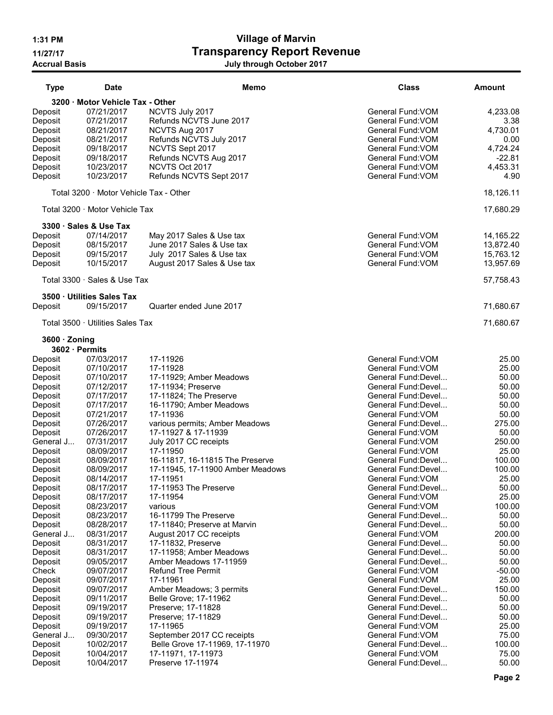# 1:31 PM Village of Marvin 11/27/17 Transparency Report Revenue

| <b>Type</b>         | <b>Date</b>                            | Memo                                       | <b>Class</b>                             | Amount           |
|---------------------|----------------------------------------|--------------------------------------------|------------------------------------------|------------------|
|                     | 3200 · Motor Vehicle Tax - Other       |                                            |                                          |                  |
| Deposit             | 07/21/2017                             | NCVTS July 2017                            | General Fund: VOM                        | 4,233.08         |
| Deposit             | 07/21/2017                             | Refunds NCVTS June 2017                    | General Fund: VOM                        | 3.38             |
| Deposit             | 08/21/2017                             | NCVTS Aug 2017                             | General Fund: VOM                        | 4,730.01         |
| Deposit<br>Deposit  | 08/21/2017<br>09/18/2017               | Refunds NCVTS July 2017<br>NCVTS Sept 2017 | General Fund: VOM<br>General Fund: VOM   | 0.00<br>4,724.24 |
| Deposit             | 09/18/2017                             | Refunds NCVTS Aug 2017                     | General Fund: VOM                        | $-22.81$         |
| Deposit             | 10/23/2017                             | NCVTS Oct 2017                             | General Fund: VOM                        | 4,453.31         |
| Deposit             | 10/23/2017                             | Refunds NCVTS Sept 2017                    | General Fund: VOM                        | 4.90             |
|                     | Total 3200 · Motor Vehicle Tax - Other |                                            |                                          | 18,126.11        |
|                     | Total 3200 · Motor Vehicle Tax         |                                            |                                          | 17,680.29        |
|                     | 3300 · Sales & Use Tax                 |                                            |                                          |                  |
| Deposit             | 07/14/2017                             | May 2017 Sales & Use tax                   | General Fund: VOM                        | 14,165.22        |
| Deposit             | 08/15/2017                             | June 2017 Sales & Use tax                  | General Fund: VOM                        | 13,872.40        |
| Deposit             | 09/15/2017                             | July 2017 Sales & Use tax                  | General Fund: VOM                        | 15,763.12        |
| Deposit             | 10/15/2017                             | August 2017 Sales & Use tax                | General Fund: VOM                        | 13,957.69        |
|                     | Total 3300 · Sales & Use Tax           |                                            |                                          | 57,758.43        |
|                     | 3500 · Utilities Sales Tax             |                                            |                                          |                  |
| Deposit             | 09/15/2017                             | Quarter ended June 2017                    |                                          | 71,680.67        |
|                     | Total 3500 · Utilities Sales Tax       |                                            |                                          | 71,680.67        |
| $3600 \cdot$ Zoning | 3602 · Permits                         |                                            |                                          |                  |
| Deposit             | 07/03/2017                             | 17-11926                                   | General Fund: VOM                        | 25.00            |
| Deposit             | 07/10/2017                             | 17-11928                                   | General Fund: VOM                        | 25.00            |
| Deposit             | 07/10/2017                             | 17-11929; Amber Meadows                    | General Fund: Devel                      | 50.00            |
| Deposit             | 07/12/2017                             | 17-11934; Preserve                         | General Fund:Devel                       | 50.00            |
| Deposit             | 07/17/2017                             | 17-11824; The Preserve                     | General Fund: Devel                      | 50.00            |
| Deposit<br>Deposit  | 07/17/2017<br>07/21/2017               | 16-11790; Amber Meadows<br>17-11936        | General Fund: Devel<br>General Fund: VOM | 50.00<br>50.00   |
| Deposit             | 07/26/2017                             | various permits; Amber Meadows             | General Fund: Devel                      | 275.00           |
| Deposit             | 07/26/2017                             | 17-11927 & 17-11939                        | General Fund: VOM                        | 50.00            |
| General J           | 07/31/2017                             | July 2017 CC receipts                      | General Fund: VOM                        | 250.00           |
| Deposit             | 08/09/2017                             | 17-11950                                   | General Fund: VOM                        | 25.00            |
| Deposit             | 08/09/2017                             | 16-11817, 16-11815 The Preserve            | General Fund: Devel                      | 100.00           |
| Deposit             | 08/09/2017                             | 17-11945, 17-11900 Amber Meadows           | General Fund: Devel                      | 100.00           |
| Deposit<br>Deposit  | 08/14/2017<br>08/17/2017               | 17-11951<br>17-11953 The Preserve          | General Fund:VOM<br>General Fund: Devel  | 25.00<br>50.00   |
| Deposit             | 08/17/2017                             | 17-11954                                   | General Fund: VOM                        | 25.00            |
| Deposit             | 08/23/2017                             | various                                    | General Fund: VOM                        | 100.00           |
| Deposit             | 08/23/2017                             | 16-11799 The Preserve                      | General Fund: Devel                      | 50.00            |
| Deposit             | 08/28/2017                             | 17-11840; Preserve at Marvin               | General Fund: Devel                      | 50.00            |
| General J           | 08/31/2017                             | August 2017 CC receipts                    | General Fund: VOM                        | 200.00           |
| Deposit             | 08/31/2017                             | 17-11832, Preserve                         | General Fund:Devel                       | 50.00            |
| Deposit             | 08/31/2017                             | 17-11958; Amber Meadows                    | General Fund: Devel                      | 50.00            |
| Deposit             | 09/05/2017                             | Amber Meadows 17-11959                     | General Fund: Devel                      | 50.00            |
| Check               | 09/07/2017                             | <b>Refund Tree Permit</b>                  | General Fund: VOM                        | $-50.00$         |
| Deposit<br>Deposit  | 09/07/2017<br>09/07/2017               | 17-11961<br>Amber Meadows; 3 permits       | General Fund: VOM<br>General Fund: Devel | 25.00<br>150.00  |
| Deposit             | 09/11/2017                             | Belle Grove; 17-11962                      | General Fund: Devel                      | 50.00            |
| Deposit             | 09/19/2017                             | Preserve; 17-11828                         | General Fund: Devel                      | 50.00            |
| Deposit             | 09/19/2017                             | Preserve; 17-11829                         | General Fund: Devel                      | 50.00            |
| Deposit             | 09/19/2017                             | 17-11965                                   | General Fund: VOM                        | 25.00            |
| General J           | 09/30/2017                             | September 2017 CC receipts                 | General Fund: VOM                        | 75.00            |
| Deposit             | 10/02/2017                             | Belle Grove 17-11969, 17-11970             | General Fund: Devel                      | 100.00           |
| Deposit             | 10/04/2017                             | 17-11971, 17-11973                         | General Fund: VOM                        | 75.00            |
| Deposit             | 10/04/2017                             | Preserve 17-11974                          | General Fund:Devel                       | 50.00            |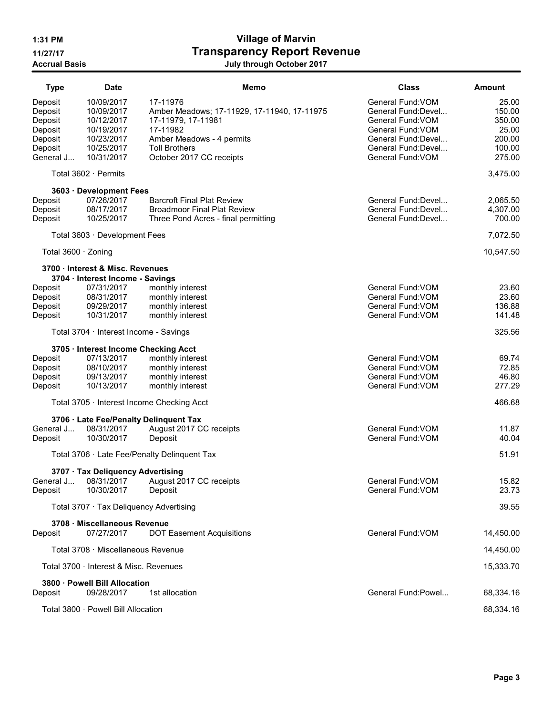# 1:31 PM Village of Marvin 11/27/17 Transparency Report Revenue Accrual Basis July through October 2017

| <b>Type</b>                              | <b>Date</b>                                                                | Memo                                                                                                           | <b>Class</b>                                                                       | Amount                             |
|------------------------------------------|----------------------------------------------------------------------------|----------------------------------------------------------------------------------------------------------------|------------------------------------------------------------------------------------|------------------------------------|
| Deposit<br>Deposit<br>Deposit<br>Deposit | 10/09/2017<br>10/09/2017<br>10/12/2017<br>10/19/2017                       | 17-11976<br>Amber Meadows; 17-11929, 17-11940, 17-11975<br>17-11979, 17-11981<br>17-11982                      | General Fund: VOM<br>General Fund: Devel<br>General Fund: VOM<br>General Fund: VOM | 25.00<br>150.00<br>350.00<br>25.00 |
| Deposit<br>Deposit<br>General J          | 10/23/2017<br>10/25/2017<br>10/31/2017                                     | Amber Meadows - 4 permits<br><b>Toll Brothers</b><br>October 2017 CC receipts                                  | General Fund: Devel<br>General Fund: Devel<br>General Fund: VOM                    | 200.00<br>100.00<br>275.00         |
|                                          | Total 3602 · Permits                                                       |                                                                                                                |                                                                                    | 3,475.00                           |
|                                          | 3603 · Development Fees                                                    |                                                                                                                |                                                                                    |                                    |
| Deposit<br>Deposit<br>Deposit            | 07/26/2017<br>08/17/2017<br>10/25/2017                                     | <b>Barcroft Final Plat Review</b><br><b>Broadmoor Final Plat Review</b><br>Three Pond Acres - final permitting | General Fund:Devel<br>General Fund: Devel<br>General Fund:Devel                    | 2,065.50<br>4,307.00<br>700.00     |
|                                          | Total $3603 \cdot$ Development Fees                                        |                                                                                                                |                                                                                    | 7,072.50                           |
| Total 3600 · Zoning                      |                                                                            |                                                                                                                |                                                                                    | 10,547.50                          |
|                                          | 3700 · Interest & Misc. Revenues                                           |                                                                                                                |                                                                                    |                                    |
| Deposit<br>Deposit<br>Deposit            | 3704 · Interest Income - Savings<br>07/31/2017<br>08/31/2017<br>09/29/2017 | monthly interest<br>monthly interest<br>monthly interest                                                       | General Fund: VOM<br>General Fund: VOM<br>General Fund: VOM                        | 23.60<br>23.60<br>136.88           |
| Deposit                                  | 10/31/2017                                                                 | monthly interest                                                                                               | General Fund: VOM                                                                  | 141.48                             |
|                                          | Total 3704 · Interest Income - Savings                                     |                                                                                                                |                                                                                    | 325.56                             |
| Deposit                                  | 3705 · Interest Income Checking Acct<br>07/13/2017                         | monthly interest                                                                                               | General Fund: VOM                                                                  | 69.74                              |
| Deposit                                  | 08/10/2017                                                                 | monthly interest                                                                                               | General Fund: VOM                                                                  | 72.85                              |
| Deposit<br>Deposit                       | 09/13/2017<br>10/13/2017                                                   | monthly interest<br>monthly interest                                                                           | General Fund: VOM<br>General Fund: VOM                                             | 46.80<br>277.29                    |
|                                          |                                                                            | Total 3705 · Interest Income Checking Acct                                                                     |                                                                                    | 466.68                             |
|                                          | 3706 · Late Fee/Penalty Delinquent Tax                                     |                                                                                                                |                                                                                    |                                    |
| General J<br>Deposit                     | 08/31/2017<br>10/30/2017                                                   | August 2017 CC receipts<br>Deposit                                                                             | General Fund: VOM<br>General Fund: VOM                                             | 11.87<br>40.04                     |
|                                          |                                                                            | Total 3706 · Late Fee/Penalty Delinquent Tax                                                                   |                                                                                    | 51.91                              |
|                                          | 3707 · Tax Deliquency Advertising                                          |                                                                                                                |                                                                                    |                                    |
| Deposit                                  | 10/30/2017                                                                 | General J 08/31/2017 August 2017 CC receipts<br>Deposit                                                        | General Fund: VOM<br>General Fund: VOM                                             | 15.82<br>23.73                     |
|                                          | Total 3707 · Tax Deliquency Advertising                                    |                                                                                                                |                                                                                    | 39.55                              |
|                                          | 3708 · Miscellaneous Revenue                                               |                                                                                                                |                                                                                    |                                    |
| Deposit                                  | 07/27/2017                                                                 | <b>DOT Easement Acquisitions</b>                                                                               | General Fund: VOM                                                                  | 14,450.00                          |
|                                          | Total 3708 · Miscellaneous Revenue                                         |                                                                                                                |                                                                                    | 14,450.00                          |
|                                          | Total 3700 · Interest & Misc. Revenues                                     |                                                                                                                |                                                                                    | 15,333.70                          |
| Deposit                                  | 3800 · Powell Bill Allocation<br>09/28/2017                                | 1st allocation                                                                                                 | General Fund:Powel                                                                 | 68,334.16                          |
|                                          | Total 3800 · Powell Bill Allocation                                        |                                                                                                                |                                                                                    | 68,334.16                          |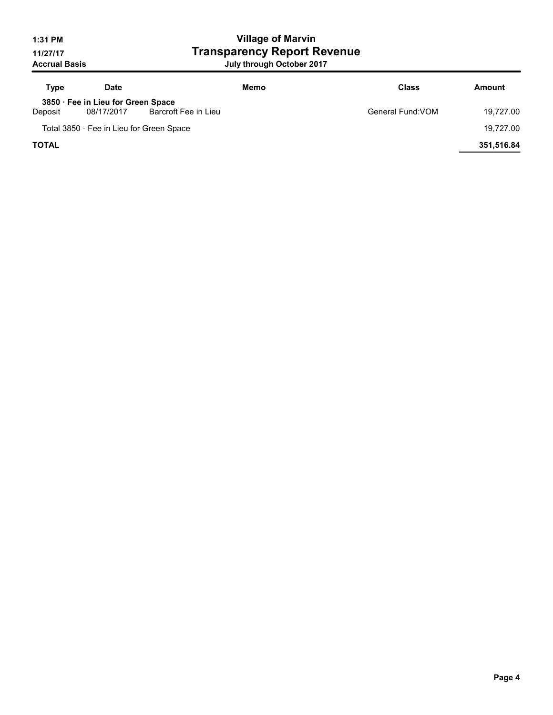# 1:31 PM Village of Marvin 11/27/17 Transparency Report Revenue

| <b>Type</b>  | <b>Date</b>                                      |                      | Memo | <b>Class</b>      | Amount     |
|--------------|--------------------------------------------------|----------------------|------|-------------------|------------|
| Deposit      | 3850 · Fee in Lieu for Green Space<br>08/17/2017 | Barcroft Fee in Lieu |      | General Fund: VOM | 19,727.00  |
|              | Total 3850 · Fee in Lieu for Green Space         |                      |      |                   | 19,727.00  |
| <b>TOTAL</b> |                                                  |                      |      |                   | 351,516.84 |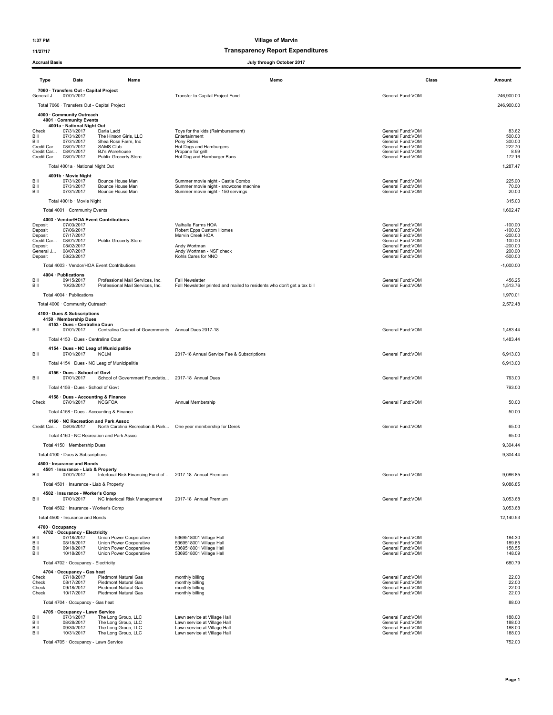# 11/27/17 Transparency Report Expenditures

| <b>Accrual Basis</b> |                                                                            |                                                                | July through October 2017                                                  |                                        |                        |
|----------------------|----------------------------------------------------------------------------|----------------------------------------------------------------|----------------------------------------------------------------------------|----------------------------------------|------------------------|
| Type                 | Date                                                                       | Name                                                           | Memo                                                                       |                                        | Class<br>Amount        |
|                      | 7060 · Transfers Out - Capital Project<br>General J 07/01/2017             |                                                                | Transfer to Capital Project Fund                                           | General Fund:VOM                       | 246,900.00             |
|                      | Total 7060 · Transfers Out - Capital Project<br>4000 · Community Outreach  |                                                                |                                                                            |                                        | 246,900.00             |
|                      | 4001 · Community Events<br>4001a · National Night Out                      |                                                                |                                                                            |                                        |                        |
| Check<br>Bill        | 07/31/2017<br>07/31/2017                                                   | Darla Ladd<br>The Hinson Girls, LLC                            | Toys for the kids (Reimbursement)<br>Entertainment                         | General Fund: VOM<br>General Fund: VOM | 83.62<br>500.00        |
| Bill                 | 07/31/2017<br>Credit Car 08/01/2017                                        | Shea Rose Farm, Inc.<br><b>SAMS Club</b>                       | Pony Rides<br>Hot Dogs and Hamburgers                                      | General Fund: VOM<br>General Fund: VOM | 300.00<br>222.70       |
|                      | Credit Car 08/01/2017<br>Credit Car 08/01/2017                             | BJ's Warehouse<br>Publix Grocerty Store                        | Propane for grill<br>Hot Dog and Hamburger Buns                            | General Fund:VOM<br>General Fund: VOM  | 8.99<br>172.16         |
|                      | Total 4001a · National Night Out                                           |                                                                |                                                                            |                                        | 1,287.47               |
|                      | 4001b · Movie Night                                                        |                                                                |                                                                            |                                        |                        |
| Bill<br>Bill         | 07/31/2017<br>07/31/2017                                                   | Bounce House Man<br>Bounce House Man                           | Summer movie night - Castle Combo<br>Summer movie night - snowcone machine | General Fund: VOM<br>General Fund: VOM | 225.00<br>70.00        |
| Bill                 | 07/31/2017                                                                 | Bounce House Man                                               | Summer movie night - 150 servings                                          | General Fund: VOM                      | 20.00                  |
|                      | Total 4001b · Movie Night                                                  |                                                                |                                                                            |                                        | 315.00                 |
|                      | Total 4001 · Community Events<br>4003 · Vendor/HOA Event Contributions     |                                                                |                                                                            |                                        | 1,602.47               |
| Deposit<br>Deposit   | 07/03/2017<br>07/06/2017                                                   |                                                                | Valhalla Farms HOA<br>Robert Epps Custom Homes                             | General Fund: VOM<br>General Fund:VOM  | $-100.00$<br>$-100.00$ |
| Deposit              | 07/17/2017                                                                 |                                                                | Marvin Creek HOA                                                           | General Fund:VOM<br>General Fund: VOM  | $-200.00$              |
| Deposit              | Credit Car 08/01/2017<br>08/02/2017                                        | Publix Grocerty Store                                          | Andy Wortman                                                               | General Fund: VOM                      | $-100.00$<br>$-200.00$ |
| General J<br>Deposit | 08/07/2017<br>08/23/2017                                                   |                                                                | Andy Wortman - NSF check<br>Kohls Cares for NNO                            | General Fund:VOM<br>General Fund:VOM   | 200.00<br>$-500.00$    |
|                      |                                                                            | Total 4003 · Vendor/HOA Event Contributions                    |                                                                            |                                        | $-1,000.00$            |
| Bill                 | 4004 · Publications<br>09/15/2017                                          | Professional Mail Services, Inc.                               | <b>Fall Newsletter</b>                                                     | General Fund:VOM                       | 456.25                 |
| Bill                 | 10/20/2017                                                                 | Professional Mail Services, Inc.                               | Fall Newsletter printed and mailed to residents who don't get a tax bill   | General Fund: VOM                      | 1,513.76               |
|                      | Total 4004 · Publications                                                  |                                                                |                                                                            |                                        | 1,970.01               |
|                      | Total 4000 · Community Outreach                                            |                                                                |                                                                            |                                        | 2,572.48               |
|                      | 4100 · Dues & Subscriptions<br>4150 · Membership Dues                      |                                                                |                                                                            |                                        |                        |
| Bill                 | 4153 · Dues - Centralina Coun<br>07/01/2017                                | Centralina Council of Governments Annual Dues 2017-18          |                                                                            | General Fund:VOM                       | 1,483.44               |
|                      | Total 4153 · Dues - Centralina Coun                                        |                                                                |                                                                            |                                        | 1,483.44               |
|                      | 4154 · Dues - NC Leag of Municipalitie                                     |                                                                |                                                                            |                                        |                        |
| Bill                 | 07/01/2017                                                                 | <b>NCLM</b>                                                    | 2017-18 Annual Service Fee & Subscriptions                                 | General Fund: VOM                      | 6,913.00               |
|                      | 4156 · Dues - School of Govt                                               | Total 4154 · Dues - NC Leag of Municipalitie                   |                                                                            |                                        | 6,913.00               |
| Bill                 | 07/01/2017                                                                 | School of Government Foundatio                                 | 2017-18 Annual Dues                                                        | General Fund:VOM                       | 793.00                 |
|                      | Total 4156 · Dues - School of Govt                                         |                                                                |                                                                            |                                        | 793.00                 |
| Check                | 4158 Dues - Accounting & Finance<br>07/01/2017                             | <b>NCGFOA</b>                                                  | Annual Membership                                                          | General Fund:VOM                       | 50.00                  |
|                      |                                                                            | Total 4158 · Dues - Accounting & Finance                       |                                                                            |                                        | 50.00                  |
|                      | 4160 · NC Recreation and Park Assoc                                        |                                                                |                                                                            |                                        |                        |
|                      | Credit Car 08/04/2017                                                      | North Carolina Recreation & Park One year membership for Derek |                                                                            | General Fund:VOM                       | 65.00                  |
|                      |                                                                            | Total 4160 · NC Recreation and Park Assoc                      |                                                                            |                                        | 65.00<br>9,304.44      |
|                      | Total 4150 · Membership Dues<br>Total 4100 · Dues & Subscriptions          |                                                                |                                                                            |                                        | 9,304.44               |
|                      | 4500 · Insurance and Bonds                                                 |                                                                |                                                                            |                                        |                        |
| Bill                 | 4501 · Insurance - Liab & Property<br>07/01/2017                           | Interlocal Risk Financing Fund of  2017-18 Annual Premium      |                                                                            | General Fund: VOM                      | 9,086.85               |
|                      | Total 4501 · Insurance - Liab & Property                                   |                                                                |                                                                            |                                        | 9,086.85               |
|                      | 4502 · Insurance - Worker's Comp                                           |                                                                |                                                                            |                                        |                        |
| Bill                 | 07/01/2017                                                                 | NC Interlocal Risk Management                                  | 2017-18 Annual Premium                                                     | General Fund: VOM                      | 3,053.68               |
|                      | Total 4502 · Insurance - Worker's Comp<br>Total 4500 · Insurance and Bonds |                                                                |                                                                            |                                        | 3,053.68<br>12,140.53  |
|                      | 4700 · Occupancy                                                           |                                                                |                                                                            |                                        |                        |
| Bill                 | 4702 · Occupancy - Electricity<br>07/18/2017                               | Union Power Cooperative                                        | 5369518001 Village Hall                                                    | General Fund: VOM                      | 184.30                 |
| Bill<br>Bill         | 08/18/2017                                                                 | Union Power Cooperative<br>Union Power Cooperative             | 5369518001 Village Hall                                                    | General Fund: VOM<br>General Fund: VOM | 189.85                 |
| Bill                 | 09/18/2017<br>10/18/2017                                                   | Union Power Cooperative                                        | 5369518001 Village Hall<br>5369518001 Village Hall                         | General Fund: VOM                      | 158.55<br>148.09       |
|                      | Total 4702 · Occupancy - Electricity                                       |                                                                |                                                                            |                                        | 680.79                 |
| Check                | 4704 · Occupancy - Gas heat<br>07/18/2017                                  | <b>Piedmont Natural Gas</b>                                    | monthly billing                                                            | General Fund: VOM                      | 22.00                  |
| Check<br>Check       | 08/17/2017<br>09/18/2017                                                   | Piedmont Natural Gas<br>Piedmont Natural Gas                   | monthly billing<br>monthly billing                                         | General Fund: VOM<br>General Fund: VOM | 22.00<br>22.00         |
| Check                | 10/17/2017                                                                 | Piedmont Natural Gas                                           | monthly billing                                                            | General Fund: VOM                      | 22.00                  |
|                      | Total 4704 · Occupancy - Gas heat                                          |                                                                |                                                                            |                                        | 88.00                  |
| Bill                 | 4705 · Occupancy - Lawn Service<br>07/31/2017                              | The Long Group, LLC                                            | Lawn service at Village Hall                                               | General Fund:VOM                       | 188.00                 |
| Bill<br>Bill         | 08/28/2017<br>09/30/2017                                                   | The Long Group, LLC<br>The Long Group, LLC                     | Lawn service at Village Hall<br>Lawn service at Village Hall               | General Fund:VOM<br>General Fund:VOM   | 188.00<br>188.00       |
| Bill                 | 10/31/2017                                                                 | The Long Group, LLC                                            | Lawn service at Village Hall                                               | General Fund:VOM                       | 188.00                 |

Total 4705 · Occupancy - Lawn Service 752.00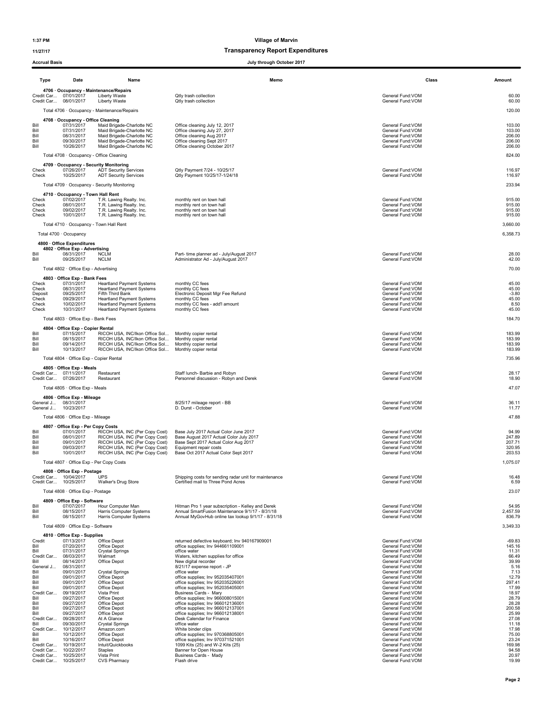# 11/27/17 Transparency Report Expenditures

| ACCIU AI DASIS            |                                                                         |                                                                                                              | <b>July through October 2017</b>                                                                     |                                                             |                       |
|---------------------------|-------------------------------------------------------------------------|--------------------------------------------------------------------------------------------------------------|------------------------------------------------------------------------------------------------------|-------------------------------------------------------------|-----------------------|
| Type                      | Date                                                                    | Name                                                                                                         | Memo                                                                                                 | Class                                                       | Amount                |
|                           | Credit Car 07/01/2017                                                   | 4706 · Occupancy - Maintenance/Repairs<br>Liberty Waste                                                      | Qtly trash collection                                                                                | General Fund: VOM                                           | 60.00                 |
|                           | Credit Car 08/01/2017                                                   | Liberty Waste<br>Total 4706 · Occupancy - Maintenance/Repairs                                                | Qtly trash collection                                                                                | General Fund: VOM                                           | 60.00<br>120.00       |
| Bill                      | 4708 Occupancy - Office Cleaning<br>07/31/2017                          | Maid Brigade-Charlotte NC                                                                                    |                                                                                                      |                                                             | 103.00                |
| Bill<br>Bill              | 07/31/2017<br>08/31/2017                                                | Maid Brigade-Charlotte NC<br>Maid Brigade-Charlotte NC                                                       | Office cleaning July 12, 2017<br>Office cleaning July 27, 2017<br>Office cleaning Aug 2017           | General Fund: VOM<br>General Fund: VOM<br>General Fund: VOM | 103.00<br>206.00      |
| Bill<br>Bill              | 09/30/2017<br>10/26/2017                                                | Maid Brigade-Charlotte NC<br>Maid Brigade-Charlotte NC                                                       | Office cleaning Sept 2017<br>Office cleaning October 2017                                            | General Fund: VOM<br>General Fund: VOM                      | 206.00<br>206.00      |
|                           |                                                                         | Total 4708 · Occupancy - Office Cleaning                                                                     |                                                                                                      |                                                             | 824.00                |
|                           |                                                                         | 4709 Occupancy - Security Monitoring                                                                         |                                                                                                      |                                                             |                       |
| Check<br>Check            | 07/26/2017<br>10/25/2017                                                | <b>ADT Security Services</b><br><b>ADT Security Services</b>                                                 | Qtly Payment 7/24 - 10/25/17<br>Qtly Payment 10/25/17-1/24/18                                        | General Fund: VOM<br>General Fund: VOM                      | 116.97<br>116.97      |
|                           |                                                                         | Total 4709 · Occupancy - Security Monitoring                                                                 |                                                                                                      |                                                             | 233.94                |
| Check                     | 4710 Occupancy - Town Hall Rent<br>07/02/2017                           | T.R. Lawing Realty. Inc.                                                                                     | monthly rent on town hall                                                                            | General Fund: VOM                                           | 915.00                |
| Check<br>Check            | 08/01/2017<br>09/02/2017                                                | T.R. Lawing Realty. Inc.<br>T.R. Lawing Realty. Inc.                                                         | monthly rent on town hall<br>monthly rent on town hall                                               | General Fund: VOM<br>General Fund: VOM                      | 915.00<br>915.00      |
| Check                     | 10/01/2017                                                              | T.R. Lawing Realty. Inc.                                                                                     | monthly rent on town hall                                                                            | General Fund: VOM                                           | 915.00                |
|                           | Total 4700 · Occupancy                                                  | Total 4710 · Occupancy - Town Hall Rent                                                                      |                                                                                                      |                                                             | 3,660.00<br>6,358.73  |
|                           | 4800 · Office Expenditures                                              |                                                                                                              |                                                                                                      |                                                             |                       |
| Bill                      | 4802 Office Exp - Advertising<br>08/31/2017                             | <b>NCLM</b>                                                                                                  | Part- time planner ad - July/August 2017                                                             | General Fund:VOM                                            | 28.00                 |
| Bill                      | 09/25/2017                                                              | <b>NCLM</b>                                                                                                  | Administrator Ad - July/August 2017                                                                  | General Fund:VOM                                            | 42.00                 |
|                           | Total 4802 · Office Exp - Advertising                                   |                                                                                                              |                                                                                                      |                                                             | 70.00                 |
| Check                     | 4803 · Office Exp - Bank Fees<br>07/31/2017                             | Heartland Payment Systems                                                                                    | monthly CC fees                                                                                      | General Fund: VOM                                           | 45.00                 |
| Check<br>Deposit          | 08/31/2017<br>09/25/2017                                                | <b>Heartland Payment Systems</b><br>Fifth Third Bank                                                         | monthly CC fees<br>Electronic Deposit Mgr Fee Refund                                                 | General Fund: VOM<br>General Fund: VOM                      | 45.00<br>$-3.80$      |
| Check<br>Check            | 09/29/2017<br>10/02/2017                                                | <b>Heartland Payment Systems</b><br><b>Heartland Payment Systems</b><br><b>Heartland Payment Systems</b>     | monthly CC fees<br>monthly CC fees - add'l amount                                                    | General Fund: VOM<br>General Fund: VOM                      | 45.00<br>8.50         |
| Check                     | 10/31/2017<br>Total 4803 · Office Exp - Bank Fees                       |                                                                                                              | monthly CC fees                                                                                      | General Fund: VOM                                           | 45.00<br>184.70       |
|                           | 4804 · Office Exp - Copier Rental                                       |                                                                                                              |                                                                                                      |                                                             |                       |
| Bill<br>Bill              | 07/15/2017<br>08/15/2017                                                | RICOH USA, INC/Ikon Office Sol Monthly copier rental<br>RICOH USA, INC/Ikon Office Sol Monthly copier rental |                                                                                                      | General Fund:VOM<br>General Fund:VOM                        | 183.99<br>183.99      |
| Bill<br>Bill              | 09/14/2017<br>10/13/2017                                                | RICOH USA, INC/Ikon Office Sol Monthly copier rental<br>RICOH USA, INC/Ikon Office Sol                       | Monthly copier rental                                                                                | General Fund:VOM<br>General Fund: VOM                       | 183.99<br>183.99      |
|                           | Total 4804 · Office Exp - Copier Rental                                 |                                                                                                              |                                                                                                      |                                                             | 735.96                |
|                           | 4805 Office Exp - Meals                                                 |                                                                                                              |                                                                                                      |                                                             |                       |
|                           | Credit Car 07/11/2017<br>Credit Car 07/26/2017                          | Restaurant<br>Restaurant                                                                                     | Staff lunch- Barbie and Robyn<br>Personnel discussion - Robyn and Derek                              | General Fund: VOM<br>General Fund: VOM                      | 28.17<br>18.90        |
|                           | Total 4805 · Office Exp - Meals                                         |                                                                                                              |                                                                                                      |                                                             | 47.07                 |
|                           | 4806 · Office Exp - Mileage<br>General J 08/31/2017                     |                                                                                                              | 8/25/17 mileage report - BB                                                                          | General Fund: VOM                                           | 36.11                 |
| General J.                | 10/23/2017                                                              |                                                                                                              | D. Durst - October                                                                                   | General Fund: VOM                                           | 11.77<br>47.88        |
|                           | Total 4806 · Office Exp - Mileage<br>4807 · Office Exp - Per Copy Costs |                                                                                                              |                                                                                                      |                                                             |                       |
| Bill<br>Bill              | 07/01/2017<br>08/01/2017                                                | RICOH USA, INC (Per Copy Cost)<br>RICOH USA, INC (Per Copy Cost)                                             | Base July 2017 Actual Color June 2017<br>Base August 2017 Actual Color July 2017                     | General Fund:VOM<br>General Fund: VOM                       | 94.99<br>247.89       |
| Bill<br>Bill              | 09/01/2017<br>09/03/2017                                                | RICOH USA, INC (Per Copy Cost)<br>RICOH USA, INC (Per Copy Cost)                                             | Base Sept 2017 Actual Color Aug 2017<br>Equipment repair costs                                       | General Fund: VOM<br>General Fund: VOM                      | 207.71<br>320.95      |
| Bill                      | 10/01/2017                                                              | RICOH USA, INC (Per Copy Cost)                                                                               | Base Oct 2017 Actual Color Sept 2017                                                                 | General Fund:VOM                                            | 203.53                |
|                           | Total 4807 · Office Exp - Per Copy Costs                                |                                                                                                              |                                                                                                      |                                                             | 1,075.07              |
|                           | 4808 · Office Exp - Postage<br>Credit Car 10/04/2017                    | <b>UPS</b>                                                                                                   | Shipping costs for sending radar unit for maintenance                                                | General Fund: VOM                                           | 16.48                 |
|                           | Credit Car 10/25/2017<br>Total 4808 · Office Exp - Postage              | Walker's Drug Store                                                                                          | Certified mail to Three Pond Acres                                                                   | General Fund:VOM                                            | 6.59<br>23.07         |
|                           | 4809 · Office Exp - Software                                            |                                                                                                              |                                                                                                      |                                                             |                       |
| Bill<br>Bill              | 07/07/2017<br>08/15/2017                                                | Hour Computer Man<br>Harris Computer Systems                                                                 | Hitman Pro 1 year subscription - Kelley and Derek<br>Annual SmartFusion Maintenance 9/1/17 - 8/31/18 | General Fund: VOM<br>General Fund: VOM                      | 54.95<br>2,457.59     |
| Bill                      | 08/15/2017                                                              | Harris Computer Systems                                                                                      | Annual MyGovHub online tax lookup 9/1/17 - 8/31/18                                                   | General Fund: VOM                                           | 836.79                |
|                           | Total 4809 · Office Exp - Software                                      |                                                                                                              |                                                                                                      |                                                             | 3,349.33              |
| Credit<br>Bill            | 4810 · Office Exp - Supplies<br>07/13/2017<br>07/20/2017                | Office Depot<br>Office Depot                                                                                 | returned defective keyboard; Inv 940167909001<br>office supplies; Inv 944661109001                   | General Fund: VOM<br>General Fund: VOM                      | $-69.83$<br>145.16    |
| Bill                      | 07/31/2017                                                              | Crystal Springs                                                                                              | office water                                                                                         | General Fund:VOM                                            | 11.31                 |
| Credit Car<br>Bill        | 08/03/2017<br>08/14/2017                                                | Walmart<br>Office Depot                                                                                      | Waters, kitchen supplies for office<br>New digital recorder<br>8/21/17 expense report - JP           | General Fund: VOM<br>General Fund: VOM                      | 66.49<br>39.99        |
| General J<br>Bill<br>Bill | 08/31/2017<br>09/01/2017<br>09/01/2017                                  | Crystal Springs<br>Office Depot                                                                              | office water<br>office supplies; Inv 952035407001                                                    | General Fund: VOM<br>General Fund: VOM<br>General Fund: VOM | 5.16<br>7.13<br>12.79 |
| Bill<br>Bill              | 09/01/2017<br>09/01/2017                                                | Office Depot<br>Office Depot                                                                                 | office supplies; Inv 952035226001<br>office supplies; Inv 952035405001                               | General Fund: VOM<br>General Fund: VOM                      | 297.41<br>17.99       |
| Credit Car<br>Bill        | 09/19/2017<br>09/27/2017                                                | Vista Print<br>Office Depot                                                                                  | Business Cards - Mary<br>office supplies; Inv 966008015001                                           | General Fund: VOM<br>General Fund: VOM                      | 18.97<br>28.79        |
| Bill<br>Bill              | 09/27/2017<br>09/27/2017                                                | Office Depot<br>Office Depot                                                                                 | office supplies; Inv 966012136001<br>office supplies; Inv 966012137001                               | General Fund: VOM<br>General Fund: VOM                      | 28.28<br>200.58       |
| Bill<br>Credit Car        | 09/27/2017<br>09/28/2017                                                | Office Depot<br>At A Glance                                                                                  | office supplies; Inv 966012138001<br>Desk Calendar for Finance                                       | General Fund: VOM<br>General Fund: VOM                      | 25.99<br>27.08        |
| Bill<br>Credit Car        | 09/30/2017<br>10/12/2017                                                | <b>Crystal Springs</b><br>Amazon.com                                                                         | office water<br>White binder clips                                                                   | General Fund: VOM<br>General Fund: VOM                      | 11.18<br>17.98        |
| Bill<br>Bill              | 10/12/2017<br>10/16/2017                                                | Office Depot<br>Office Depot                                                                                 | office supplies; Inv 970368805001<br>office supplies; Inv 970371521001                               | General Fund:VOM<br>General Fund: VOM                       | 75.00<br>23.24        |
|                           | Credit Car 10/19/2017<br>Credit Car 10/22/2017                          | Intuit/Quickbooks<br>Staples                                                                                 | 1099 Kits (25) and W-2 Kits (25)<br>Banner for Open House                                            | General Fund: VOM<br>General Fund: VOM                      | 169.98<br>94.58       |
|                           | Credit Car 10/25/2017<br>Credit Car 10/25/2017                          | Vista Print<br><b>CVS Pharmacy</b>                                                                           | Business Cards - Mady<br>Flash drive                                                                 | General Fund: VOM<br>General Fund:VOM                       | 20.97<br>19.99        |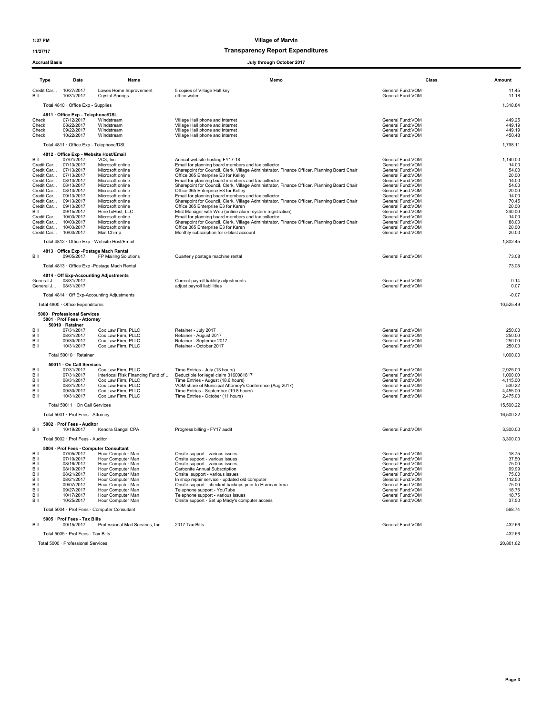# 11/27/17 Transparency Report Expenditures

# Accrual Basis July through October 2017

|                |                                                                 |                                                     | vury unvugn ovtober zvrr                                                                                                           |                                        |                    |
|----------------|-----------------------------------------------------------------|-----------------------------------------------------|------------------------------------------------------------------------------------------------------------------------------------|----------------------------------------|--------------------|
| Type           | Date                                                            | Name                                                | Memo                                                                                                                               | Class                                  | Amount             |
| Credit Car     | 10/27/2017                                                      | Lowes Home Improvement                              | 5 copies of Village Hall key                                                                                                       | General Fund: VOM                      | 11.45              |
| Bill           | 10/31/2017                                                      | <b>Crystal Springs</b>                              | office water                                                                                                                       | General Fund:VOM                       | 11.18              |
|                | Total 4810 · Office Exp - Supplies                              |                                                     |                                                                                                                                    |                                        | 1,318.84           |
| Check          | 4811 · Office Exp - Telephone/DSL<br>07/12/2017                 | Windstream                                          | Village Hall phone and internet                                                                                                    | General Fund:VOM                       | 449.25             |
| Check<br>Check | 08/22/2017<br>09/22/2017                                        | Windstream<br>Windstream                            | Village Hall phone and internet<br>Village Hall phone and internet                                                                 | General Fund:VOM<br>General Fund: VOM  | 449.19<br>449.19   |
| Check          | 10/22/2017                                                      | Windstream                                          | Village Hall phone and internet                                                                                                    | General Fund: VOM                      | 450.48             |
|                | Total 4811 · Office Exp - Telephone/DSL                         |                                                     |                                                                                                                                    |                                        | 1,798.11           |
| Bill           | 07/01/2017                                                      | 4812 · Office Exp - Website Host/Email<br>VC3, Inc. | Annual website hosting FY17-18                                                                                                     | General Fund: VOM                      | 1,140.00           |
|                | Credit Car 07/13/2017                                           | Microsoft online                                    | Email for planning board members and tax collector                                                                                 | General Fund:VOM                       | 14.00              |
|                | Credit Car 07/13/2017<br>Credit Car 07/13/2017                  | Microsoft online<br>Microsoft online                | Sharepoint for Council, Clerk, Village Administrator, Finance Officer, Planning Board Chair<br>Office 365 Enterprise E3 for Kelley | General Fund:VOM<br>General Fund: VOM  | 54.00<br>20.00     |
|                | Credit Car 08/13/2017                                           | Microsoft online                                    | Email for planning board members and tax collector                                                                                 | General Fund: VOM                      | 14.00              |
|                | Credit Car 08/13/2017                                           | Microsoft online<br>Microsoft online                | Sharepoint for Council, Clerk, Village Administrator, Finance Officer, Planning Board Chair                                        | General Fund:VOM                       | 54.00              |
|                | Credit Car 08/13/2017<br>Credit Car 09/13/2017                  | Microsoft online                                    | Office 365 Enterprise E3 for Kelley<br>Email for planning board members and tax collector                                          | General Fund: VOM<br>General Fund:VOM  | 20.00<br>14.00     |
|                | Credit Car 09/13/2017                                           | Microsoft online                                    | Sharepoint for Council, Clerk, Village Administrator, Finance Officer, Planning Board Chair                                        | General Fund:VOM                       | 70.45              |
|                | Credit Car 09/13/2017                                           | Microsoft online                                    | Office 365 Enterprise E3 for Karen                                                                                                 | General Fund: VOM                      | 20.00              |
| Bill           | 09/15/2017<br>Credit Car 10/03/2017                             | HereToHost, LLC<br>Microsoft online                 | Elist Manager with Web (online alarm system registration)<br>Email for planning board members and tax collector                    | General Fund: VOM<br>General Fund: VOM | 240.00<br>14.00    |
|                | Credit Car 10/03/2017                                           | Microsoft online                                    | Sharepoint for Council, Clerk, Village Administrator, Finance Officer, Planning Board Chair                                        | General Fund:VOM                       | 88.00              |
|                | Credit Car 10/03/2017<br>Credit Car 10/03/2017                  | Microsoft online<br>Mail Chimp                      | Office 365 Enterprise E3 for Karen<br>Monthly subscription for e-blast account                                                     | General Fund: VOM<br>General Fund: VOM | 20.00<br>20.00     |
|                |                                                                 | Total 4812 · Office Exp - Website Host/Email        |                                                                                                                                    |                                        | 1,802.45           |
|                |                                                                 | 4813 Office Exp - Postage Mach Rental               |                                                                                                                                    |                                        |                    |
| Bill           | 09/05/2017                                                      | FP Mailing Solutions                                | Quarterly postage machine rental                                                                                                   | General Fund: VOM                      | 73.08              |
|                |                                                                 | Total 4813 · Office Exp -Postage Mach Rental        |                                                                                                                                    |                                        | 73.08              |
|                | General J 08/31/2017                                            | 4814 · Off Exp-Accounting Adjustments               | Correct payroll liabliity adjustments                                                                                              | General Fund: VOM                      | $-0.14$            |
|                | General J 08/31/2017                                            |                                                     | adjust payroll liablilities                                                                                                        | General Fund: VOM                      | 0.07               |
|                |                                                                 | Total 4814 · Off Exp-Accounting Adjustments         |                                                                                                                                    |                                        | $-0.07$            |
|                | Total 4800 · Office Expenditures                                |                                                     |                                                                                                                                    |                                        | 10,525.49          |
|                | 5000 · Professional Services                                    |                                                     |                                                                                                                                    |                                        |                    |
|                | 5001 · Prof Fees - Attorney<br>50010 · Retainer                 |                                                     |                                                                                                                                    |                                        |                    |
| Bill           | 07/31/2017                                                      | Cox Law Firm, PLLC                                  | Retainer - July 2017                                                                                                               | General Fund: VOM                      | 250.00             |
| Bill           | 08/31/2017                                                      | Cox Law Firm, PLLC                                  | Retainer - August 2017                                                                                                             | General Fund: VOM                      | 250.00             |
| Bill<br>Bill   | 09/30/2017<br>10/31/2017                                        | Cox Law Firm, PLLC<br>Cox Law Firm, PLLC            | Retainer - Septemer 2017<br>Retainer - October 2017                                                                                | General Fund: VOM<br>General Fund:VOM  | 250.00<br>250.00   |
|                | Total 50010 · Retainer                                          |                                                     |                                                                                                                                    |                                        | 1,000.00           |
|                | 50011 · On Call Services                                        |                                                     |                                                                                                                                    |                                        |                    |
| Bill           | 07/31/2017                                                      | Cox Law Firm, PLLC                                  | Time Entries - July (13 hours)                                                                                                     | General Fund: VOM                      | 2,925.00           |
| Bill<br>Bill   | 07/31/2017                                                      | Interlocal Risk Financing Fund of                   | Deductible for legal claim 3160081817                                                                                              | General Fund:VOM<br>General Fund: VOM  | 1,000.00           |
| Bill           | 08/31/2017<br>08/31/2017                                        | Cox Law Firm, PLLC<br>Cox Law Firm, PLLC            | Time Entries - August (18.6 hours)<br>VOM share of Municipal Attorney's Conference (Aug 2017)                                      | General Fund: VOM                      | 4,115.00<br>530.22 |
| Bill           | 09/30/2017                                                      | Cox Law Firm, PLLC                                  | Time Entries - September (19.8 hours)                                                                                              | General Fund: VOM                      | 4,455.00           |
| Bill           | 10/31/2017                                                      | Cox Law Firm, PLLC                                  | Time Entries - October (11 hours)                                                                                                  | General Fund: VOM                      | 2,475.00           |
|                | Total 50011 · On Call Services                                  |                                                     |                                                                                                                                    |                                        | 15,500.22          |
|                | Total 5001 · Prof Fees - Attorney<br>5002 · Prof Fees - Auditor |                                                     |                                                                                                                                    |                                        | 16,500.22          |
| Bill           | 10/19/2017                                                      | Kendra Gangal CPA                                   | Progress billing - FY17 audit                                                                                                      | General Fund: VOM                      | 3,300.00           |
|                | Total 5002 · Prof Fees - Auditor                                |                                                     |                                                                                                                                    |                                        | 3,300.00           |
|                |                                                                 | 5004 · Prof Fees - Computer Consultant              |                                                                                                                                    |                                        |                    |
| Bill<br>Bill   | 07/05/2017<br>07/10/2017                                        | Hour Computer Man<br>Hour Computer Man              | Onsite support - various issues<br>Onsite support - various issues                                                                 | General Fund:VOM<br>General Fund:VOM   | 18.75<br>37.50     |
| Bill           | 08/16/2017                                                      | Hour Computer Man                                   | Onsite support - various issues                                                                                                    | General Fund: VOM                      | 75.00              |
| Bill           | 08/19/2017                                                      | Hour Computer Man                                   | Carbonite Annual Subscription                                                                                                      | General Fund: VOM                      | 99.99              |
| Bill<br>Bill   | 08/21/2017<br>08/21/2017                                        | Hour Computer Man<br>Hour Computer Man              | Onsite support - various issues<br>In shop repair service - updated old computer                                                   | General Fund: VOM<br>General Fund: VOM | 75.00<br>112.50    |
| Bill           | 09/07/2017                                                      | Hour Computer Man                                   | Onsite support - checked backups prior to Hurrican Irma                                                                            | General Fund: VOM                      | 75.00              |
| Bill           | 09/27/2017                                                      | Hour Computer Man                                   | Telephone support - YouTube<br>Telephone support - various issues                                                                  | General Fund: VOM<br>General Fund: VOM | 18.75              |
| Bill<br>Bill   | 10/17/2017<br>10/25/2017                                        | Hour Computer Man<br>Hour Computer Man              | Onsite support - Set up Mady's computer access                                                                                     | General Fund:VOM                       | 18.75<br>37.50     |
|                |                                                                 | Total 5004 · Prof Fees - Computer Consultant        |                                                                                                                                    |                                        | 568.74             |
|                | 5005 · Prof Fees - Tax Bills                                    |                                                     |                                                                                                                                    |                                        |                    |
| Bill           | 09/15/2017                                                      | Professional Mail Services, Inc.                    | 2017 Tax Bills                                                                                                                     | General Fund:VOM                       | 432.66             |
|                | Total 5005 · Prof Fees - Tax Bills                              |                                                     |                                                                                                                                    |                                        | 432.66             |

Total 5000 · Professional Services 20,801.62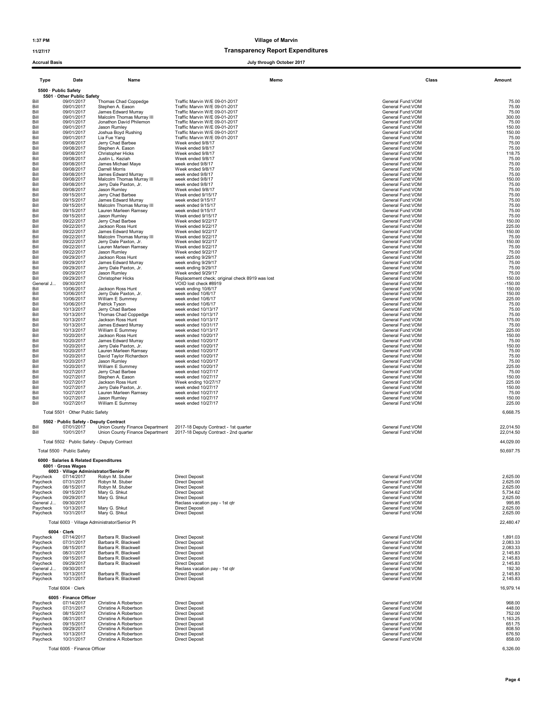# 11/27/17 Transparency Report Expenditures

| <b>Accrual Basis</b> |                                                              |                                              | July through October 2017                       |                                       |           |
|----------------------|--------------------------------------------------------------|----------------------------------------------|-------------------------------------------------|---------------------------------------|-----------|
| Type                 | Date                                                         | Name                                         | Memo                                            | Class                                 | Amount    |
|                      | 5500 · Public Safety                                         |                                              |                                                 |                                       |           |
| Bill                 | 5501 · Other Public Safety<br>09/01/2017                     | Thomas Chad Coppedge                         | Traffic Marvin W/E 09-01-2017                   | General Fund: VOM                     | 75.00     |
| Bill                 | 09/01/2017                                                   | Stephen A. Eason                             | Traffic Marvin W/E 09-01-2017                   | General Fund: VOM                     | 75.00     |
| Bill                 | 09/01/2017                                                   | James Edward Murray                          | Traffic Marvin W/E 09-01-2017                   | General Fund: VOM                     | 75.00     |
| Bill                 | 09/01/2017                                                   | Malcolm Thomas Murray III                    | Traffic Marvin W/E 09-01-2017                   | General Fund: VOM                     | 300.00    |
| Bill                 | 09/01/2017                                                   | Jonathon David Philemon                      | Traffic Marvin W/E 09-01-2017                   | General Fund: VOM                     | 75.00     |
| Bill                 | 09/01/2017                                                   | Jason Rumley                                 | Traffic Marvin W/E 09-01-2017                   | General Fund:VOM                      | 150.00    |
| Bill                 | 09/01/2017                                                   | Joshua Boyd Rushing                          | Traffic Marvin W/E 09-01-2017                   | General Fund: VOM                     | 150.00    |
| Bill                 | 09/01/2017                                                   | Lia Fue Yang                                 | Traffic Marvin W/E 09-01-2017                   | General Fund: VOM                     | 75.00     |
| Bill                 | 09/08/2017                                                   | Jerry Chad Barbee                            | Week ended 9/8/17                               | General Fund: VOM                     | 75.00     |
| Bill                 | 09/08/2017                                                   | Stephen A. Eason                             | Week ended 9/8/17                               | General Fund:VOM                      | 75.00     |
| Bill                 | 09/08/2017                                                   | Christopher Hicks                            | Week ended 9/8/17                               | General Fund:VOM                      | 118.75    |
| Bill                 | 09/08/2017                                                   | Justin L. Keziah                             | Week ended 9/8/17                               | General Fund: VOM                     | 75.00     |
| Bill                 | 09/08/2017                                                   | James Michael Maye                           | week ended 9/8/17                               | General Fund:VOM                      | 75.00     |
| Bill                 | 09/08/2017                                                   | Darrell Morris                               | Week ended 9/8/17                               | General Fund: VOM                     | 75.00     |
| Bill                 | 09/08/2017                                                   | James Edward Murray                          | week ended 9/8/17                               | General Fund: VOM                     | 75.00     |
| Bill                 | 09/08/2017                                                   | Malcolm Thomas Murray III                    | week ended 9/8/17                               | General Fund: VOM<br>General Fund:VOM | 150.00    |
| Bill                 | 09/08/2017                                                   | Jerry Dale Paxton, Jr.                       | week ended 9/8/17                               | General Fund:VOM                      | 75.00     |
| Bill                 | 09/08/2017                                                   | Jason Rumley                                 | Week ended 9/8/17                               |                                       | 75.00     |
| Bill                 | 09/15/2017                                                   | Jerry Chad Barbee                            | Week ended 9/15/17                              | General Fund: VOM                     | 75.00     |
| Bill                 | 09/15/2017                                                   | James Edward Murray                          | week ended 9/15/17                              | General Fund: VOM                     | 75.00     |
| Bill                 | 09/15/2017                                                   | Malcolm Thomas Murray III                    | week ended 9/15/17                              | General Fund: VOM                     | 75.00     |
| Bill                 | 09/15/2017                                                   | Lauren Marleen Ramsey                        | week ended 9/15/17                              | General Fund: VOM                     | 75.00     |
| Bill                 | 09/15/2017                                                   | Jason Rumley                                 | Week ended 9/15/17                              | General Fund:VOM                      | 75.00     |
| Bill                 | 09/22/2017                                                   | Jerry Chad Barbee                            | Week ended 9/22/17                              | General Fund: VOM                     | 150.00    |
| Bill                 | 09/22/2017                                                   | Jackson Ross Hunt                            | Week ended 9/22/17                              | General Fund:VOM                      | 225.00    |
| Bill                 | 09/22/2017                                                   | James Edward Murray                          | Week ended 9/22/17                              | General Fund: VOM                     | 150.00    |
| Bill                 | 09/22/2017                                                   | Malcolm Thomas Murray III                    | Week ended 9/22/17                              | General Fund: VOM                     | 75.00     |
| Bill                 | 09/22/2017                                                   | Jerry Dale Paxton, Jr.                       | Week ended 9/22/17                              | General Fund: VOM                     | 150.00    |
| Bill                 | 09/22/2017                                                   | Lauren Marleen Ramsey                        | Week ended 9/22/17                              | General Fund:VOM                      | 75.00     |
| Bill                 | 09/22/2017                                                   | Jason Rumley                                 | Week ended 9/22/17                              | General Fund: VOM                     | 75.00     |
| Bill                 | 09/29/2017                                                   | Jackson Ross Hunt                            | week ending 9/29/17                             | General Fund:VOM                      | 225.00    |
| Bill                 | 09/29/2017                                                   | James Edward Murray                          | week ending 9/29/17                             | General Fund:VOM                      | 75.00     |
| Bill                 | 09/29/2017                                                   | Jerry Dale Paxton, Jr.                       | week ending 9/29/17                             | General Fund: VOM                     | 75.00     |
| Bill                 | 09/29/2017                                                   | Jason Rumley                                 | Week ended 9/29/17                              | General Fund: VOM                     | 75.00     |
| Bill                 | 09/29/2017                                                   | <b>Christopher Hicks</b>                     | Replacement check; original check 8919 was lost | General Fund: VOM                     | 150.00    |
| General J            | 09/30/2017                                                   |                                              | VOID lost check #8919                           | General Fund: VOM                     | $-150.00$ |
| Bill                 | 10/06/2017                                                   | Jackson Ross Hunt                            | week ending 10/6/17                             | General Fund:VOM                      | 150.00    |
| Bill                 | 10/06/2017                                                   | Jerry Dale Paxton, Jr.                       | week ended 10/6/17                              | General Fund:VOM                      | 150.00    |
| Bill                 | 10/06/2017                                                   | William E Summey                             | week ended 10/6/17                              | General Fund:VOM                      | 225.00    |
| Bill                 | 10/06/2017                                                   | Patrick Tyson                                | week ended 10/6/17                              | General Fund: VOM                     | 75.00     |
| Bill                 | 10/13/2017                                                   | Jerry Chad Barbee                            | week ended 10/13/17                             | General Fund: VOM                     | 75.00     |
| Bill                 | 10/13/2017                                                   | Thomas Chad Coppedge                         | week ended 10/13/17                             | General Fund:VOM                      | 75.00     |
| Bill                 | 10/13/2017                                                   | Jackson Ross Hunt                            | week ended 10/13/17                             | General Fund:VOM                      | 175.00    |
| Bill                 | 10/13/2017                                                   | James Edward Murray                          | week ended 10/31/17                             | General Fund:VOM                      | 75.00     |
| Bill                 | 10/13/2017                                                   | William E Summey                             | week ended 10/13/17                             | General Fund: VOM                     | 225.00    |
| Bill                 | 10/20/2017                                                   | Jackson Ross Hunt                            | week ended 10/20/17                             | General Fund: VOM                     | 150.00    |
| Bill                 | 10/20/2017                                                   | James Edward Murray                          | week ended 10/20/17                             | General Fund: VOM                     | 75.00     |
| Bill                 | 10/20/2017                                                   | Jerry Dale Paxton, Jr.                       | week ended 10/20/17                             | General Fund:VOM                      | 150.00    |
| Bill                 | 10/20/2017                                                   | Lauren Marleen Ramsey                        | week ended 10/20/17                             | General Fund:VOM                      | 75.00     |
| Bill                 | 10/20/2017                                                   | David Taylor Richardson                      | week ended 10/20/17                             | General Fund:VOM                      | 75.00     |
| Bill                 | 10/20/2017                                                   | Jason Rumley                                 | week ended 10/20/17                             | General Fund:VOM                      | 75.00     |
| Bill                 | 10/20/2017                                                   | William E Summey                             | week ended 10/20/17                             | General Fund: VOM                     | 225.00    |
| Bill                 | 10/27/2017                                                   | Jerry Chad Barbee                            | week ended 10/27/17                             | General Fund: VOM                     | 75.00     |
| Bill                 | 10/27/2017                                                   | Stephen A. Eason                             | week ended 10/27/17                             | General Fund:VOM                      | 150.00    |
| Bill                 | 10/27/2017                                                   | Jackson Ross Hunt                            | Week ending 10/27/17                            | General Fund:VOM                      | 225.00    |
| Bill                 | 10/27/2017                                                   | Jerry Dale Paxton, Jr.                       | week ended 10/27/17                             | General Fund:VOM                      | 150.00    |
| Bill                 | 10/27/2017                                                   | Lauren Marleen Ramsey                        | week ended 10/27/17                             | General Fund:VOM                      | 75.00     |
| Bill                 | 10/27/2017                                                   | Jason Rumley                                 | week ended 10/27/17                             | General Fund: VOM                     | 150.00    |
| Bill                 | 10/27/2017                                                   | William E Summey                             | week ended 10/27/17                             | General Fund: VOM                     | 225.00    |
|                      | Total 5501 · Other Public Safety                             |                                              |                                                 |                                       | 6,668.75  |
| Bill                 | 5502 · Public Safety - Deputy Contract<br>07/01/2017         | Union County Finance Department              | 2017-18 Deputy Contract - 1st quarter           | General Fund:VOM                      | 22,014.50 |
| Bill                 | 10/01/2017                                                   | Union County Finance Department              | 2017-18 Deputy Contract - 2nd quarter           | General Fund:VOM                      | 22,014.50 |
|                      |                                                              | Total 5502 · Public Safety - Deputy Contract |                                                 |                                       | 44,029.00 |
|                      | Total 5500 · Public Safety                                   |                                              |                                                 |                                       | 50.697.75 |
|                      | 6000 · Salaries & Related Expenditures<br>6001 · Gross Wages |                                              |                                                 |                                       |           |
|                      | 6003 · Village Administrator/Senior Pl                       |                                              |                                                 |                                       |           |
| Paycheck             | 07/14/2017                                                   | Robyn M. Stuber                              | <b>Direct Deposit</b>                           | General Fund:VOM                      | 2,625.00  |
| Paycheck             | 07/31/2017                                                   | Robyn M. Stuber                              | <b>Direct Deposit</b>                           | General Fund: VOM                     | 2,625.00  |
| Paycheck             | 08/15/2017                                                   | Robyn M. Stuber                              | <b>Direct Deposit</b>                           | General Fund: VOM                     | 2,625.00  |
| Paycheck             | 09/15/2017                                                   | Mary G. Shkut                                | <b>Direct Deposit</b>                           | General Fund: VOM                     | 5,734.62  |
| Paycheck             | 09/29/2017                                                   | Mary G. Shkut                                | <b>Direct Deposit</b>                           | General Fund:VOM                      | 2,625.00  |
| General J            | 09/30/2017                                                   | Mary G. Shkut                                | Reclass vacation pay - 1st qtr                  | General Fund: VOM                     | 995.85    |
| Paycheck             | 10/13/2017                                                   |                                              | <b>Direct Deposit</b>                           | General Fund:VOM                      | 2,625.00  |
| Paycheck             | 10/31/2017                                                   | Mary G. Shkut                                | <b>Direct Deposit</b>                           | General Fund:VOM                      | 2.625.00  |
|                      |                                                              | Total 6003 · Village Administrator/Senior Pl |                                                 |                                       | 22,480.47 |
|                      | 6004 Clerk                                                   |                                              |                                                 |                                       |           |
| Paycheck             | 07/14/2017                                                   | Barbara R. Blackwell                         | <b>Direct Deposit</b>                           | General Fund: VOM                     | 1,891.03  |
| Paycheck             | 07/31/2017                                                   | Barbara R. Blackwell                         | <b>Direct Deposit</b>                           | General Fund: VOM                     | 2,083.33  |
| Paycheck             | 08/15/2017                                                   | Barbara R. Blackwell                         | <b>Direct Deposit</b>                           | General Fund: VOM                     | 2,083.33  |
| Paycheck             | 08/31/2017                                                   | Barbara R. Blackwell                         | <b>Direct Deposit</b>                           | General Fund: VOM                     | 2,145.83  |
| Paycheck             | 09/15/2017                                                   | Barbara R. Blackwell                         | <b>Direct Deposit</b>                           | General Fund: VOM                     | 2,145.83  |
| Paycheck             | 09/29/2017                                                   | Barbara R. Blackwell                         | <b>Direct Deposit</b>                           | General Fund: VOM                     | 2,145.83  |
| General J            | 09/30/2017                                                   |                                              | Reclass vacation pay - 1st qtr                  | General Fund: VOM                     | 192.30    |
| Paycheck             | 10/13/2017                                                   | Barbara R. Blackwell                         | <b>Direct Deposit</b>                           | General Fund: VOM                     | 2,145.83  |
| Paycheck             | 10/31/2017                                                   | Barbara R. Blackwell                         | <b>Direct Deposit</b>                           | General Fund:VOM                      | 2,145.83  |
|                      | Total 6004 · Clerk                                           |                                              |                                                 |                                       | 16,979.14 |
|                      | 6005 · Finance Officer                                       |                                              |                                                 |                                       |           |
| Paycheck             | 07/14/2017                                                   | Christine A Robertson                        | <b>Direct Deposit</b>                           | General Fund:VOM                      | 968.00    |
| Paycheck             | 07/31/2017                                                   | Christine A Robertson                        | <b>Direct Deposit</b>                           | General Fund:VOM                      | 448.00    |
| Paycheck             | 08/15/2017                                                   | Christine A Robertson                        | <b>Direct Deposit</b>                           | General Fund:VOM                      | 752.00    |
| Paycheck             | 08/31/2017                                                   | Christine A Robertson                        | <b>Direct Deposit</b>                           | General Fund: VOM                     | 1,163.25  |
| Paycheck             | 09/15/2017                                                   | Christine A Robertson                        | <b>Direct Deposit</b>                           | General Fund: VOM                     | 651.75    |
| Paycheck             | 09/29/2017                                                   | Christine A Robertson                        | <b>Direct Deposit</b>                           | General Fund:VOM                      | 808.50    |
| Paycheck             | 10/13/2017                                                   | Christine A Robertson                        | <b>Direct Deposit</b>                           | General Fund:VOM                      | 676.50    |
| Paycheck             | 10/31/2017                                                   | Christine A Robertson                        | <b>Direct Deposit</b>                           | General Fund:VOM                      | 858.00    |
|                      | Total 6005 · Finance Officer                                 |                                              |                                                 |                                       | 6,326.00  |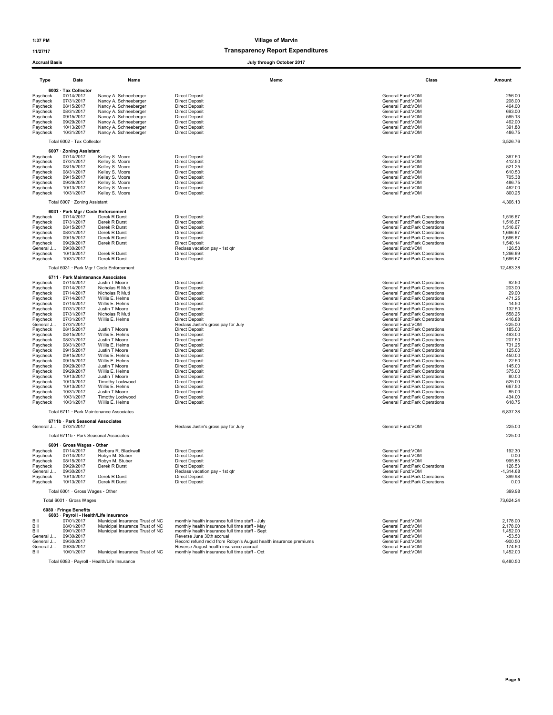# 11/27/17 Transparency Report Expenditures

# Accrual Basis July through October 2017

| Type                   | Date                               | Name                                           | Memo                                                                                           | Class                                                          | Amount                |
|------------------------|------------------------------------|------------------------------------------------|------------------------------------------------------------------------------------------------|----------------------------------------------------------------|-----------------------|
|                        | 6002 · Tax Collector               |                                                |                                                                                                |                                                                |                       |
| Paycheck               | 07/14/2017                         | Nancy A. Schneeberger                          | <b>Direct Deposit</b>                                                                          | General Fund:VOM                                               | 256.00                |
| Paycheck               | 07/31/2017<br>08/15/2017           | Nancy A. Schneeberger<br>Nancy A. Schneeberger | <b>Direct Deposit</b><br><b>Direct Deposit</b>                                                 | General Fund:VOM<br>General Fund:VOM                           | 208.00<br>464.00      |
| Paycheck<br>Paycheck   | 08/31/2017                         | Nancy A. Schneeberger                          | <b>Direct Deposit</b>                                                                          | General Fund:VOM                                               | 693.00                |
| Paycheck               | 09/15/2017                         | Nancy A. Schneeberger                          | <b>Direct Deposit</b>                                                                          | General Fund: VOM                                              | 565.13                |
| Paycheck               | 09/29/2017                         | Nancy A. Schneeberger                          | <b>Direct Deposit</b>                                                                          | General Fund:VOM                                               | 462.00                |
| Paycheck               | 10/13/2017                         | Nancy A. Schneeberger                          | <b>Direct Deposit</b>                                                                          | General Fund:VOM                                               | 391.88                |
| Paycheck               | 10/31/2017                         | Nancy A. Schneeberger                          | <b>Direct Deposit</b>                                                                          | General Fund: VOM                                              | 486.75                |
|                        | Total 6002 · Tax Collector         |                                                |                                                                                                |                                                                | 3,526.76              |
|                        | 6007 · Zoning Assistant            |                                                |                                                                                                |                                                                |                       |
| Paycheck               | 07/14/2017                         | Kelley S. Moore                                | <b>Direct Deposit</b>                                                                          | General Fund: VOM                                              | 367.50                |
| Pavcheck<br>Paycheck   | 07/31/2017<br>08/15/2017           | Kelley S. Moore<br>Kelley S. Moore             | <b>Direct Deposit</b><br><b>Direct Deposit</b>                                                 | General Fund: VOM<br>General Fund: VOM                         | 412.50<br>521.25      |
| Paycheck               | 08/31/2017                         | Kelley S. Moore                                | <b>Direct Deposit</b>                                                                          | General Fund:VOM                                               | 610.50                |
| Paycheck               | 09/15/2017                         | Kelley S. Moore                                | <b>Direct Deposit</b>                                                                          | General Fund:VOM                                               | 705.38                |
| Paycheck               | 09/29/2017                         | Kelley S. Moore                                | <b>Direct Deposit</b>                                                                          | General Fund:VOM                                               | 486.75                |
| Paycheck               | 10/13/2017                         | Kelley S. Moore                                | <b>Direct Deposit</b>                                                                          | General Fund:VOM                                               | 462.00                |
| Paycheck               | 10/31/2017                         | Kelley S. Moore                                | <b>Direct Deposit</b>                                                                          | General Fund:VOM                                               | 800.25                |
|                        | Total 6007 · Zoning Assistant      |                                                |                                                                                                |                                                                | 4,366.13              |
|                        | 6031 · Park Mgr / Code Enforcement |                                                |                                                                                                |                                                                |                       |
| Paycheck               | 07/14/2017                         | Derek R Durst                                  | <b>Direct Deposit</b>                                                                          | General Fund: Park Operations                                  | 1,516.67              |
| Paycheck               | 07/31/2017                         | Derek R Durst<br>Derek R Durst                 | <b>Direct Deposit</b>                                                                          | General Fund: Park Operations                                  | 1,516.67              |
| Paycheck<br>Paycheck   | 08/15/2017<br>08/31/2017           | Derek R Durst                                  | <b>Direct Deposit</b><br><b>Direct Deposit</b>                                                 | General Fund: Park Operations<br>General Fund: Park Operations | 1,516.67<br>1,666.67  |
| Paycheck               | 09/15/2017                         | Derek R Durst                                  | <b>Direct Deposit</b>                                                                          | General Fund: Park Operations                                  | 1,666.67              |
| Paycheck               | 09/29/2017                         | Derek R Durst                                  | <b>Direct Deposit</b>                                                                          | General Fund: Park Operations                                  | 1,540.14              |
| General J              | 09/30/2017                         |                                                | Reclass vacation pay - 1st qtr                                                                 | General Fund: VOM                                              | 126.53                |
| Paycheck               | 10/13/2017                         | Derek R Durst                                  | <b>Direct Deposit</b>                                                                          | General Fund: Park Operations                                  | 1,266.69              |
| Paycheck               | 10/31/2017                         | Derek R Durst                                  | <b>Direct Deposit</b>                                                                          | General Fund: Park Operations                                  | 1,666.67              |
|                        |                                    | Total 6031 · Park Mgr / Code Enforcement       |                                                                                                |                                                                | 12,483.38             |
|                        | 6711 · Park Maintenance Associates |                                                |                                                                                                |                                                                |                       |
| Paycheck               | 07/14/2017                         | Justin T Moore                                 | <b>Direct Deposit</b>                                                                          | General Fund: Park Operations                                  | 92.50                 |
| Paycheck               | 07/14/2017                         | Nicholas R Muti                                | <b>Direct Deposit</b>                                                                          | General Fund: Park Operations                                  | 203.00                |
| Paycheck<br>Paycheck   | 07/14/2017<br>07/14/2017           | Nicholas R Muti<br>Willis E. Helms             | <b>Direct Deposit</b><br><b>Direct Deposit</b>                                                 | General Fund: Park Operations<br>General Fund: Park Operations | 29.00<br>471.25       |
| Paycheck               | 07/14/2017                         | Willis E. Helms                                | <b>Direct Deposit</b>                                                                          | General Fund: Park Operations                                  | 14.50                 |
| Paycheck               | 07/31/2017                         | Justin T Moore                                 | <b>Direct Deposit</b>                                                                          | General Fund: Park Operations                                  | 132.50                |
| Paycheck               | 07/31/2017                         | Nicholas R Muti                                | <b>Direct Deposit</b>                                                                          | General Fund: Park Operations                                  | 558.25                |
| Paycheck               | 07/31/2017                         | Willis E. Helms                                | <b>Direct Deposit</b>                                                                          | General Fund: Park Operations                                  | 416.88                |
| General J              | 07/31/2017                         |                                                | Reclass Justin's gross pay for July                                                            | General Fund: VOM                                              | $-225.00$             |
| Paycheck               | 08/15/2017                         | Justin T Moore                                 | <b>Direct Deposit</b>                                                                          | General Fund:Park Operations                                   | 185.00                |
| Paycheck<br>Paycheck   | 08/15/2017<br>08/31/2017           | Willis E. Helms<br>Justin T Moore              | <b>Direct Deposit</b><br><b>Direct Deposit</b>                                                 | General Fund: Park Operations<br>General Fund: Park Operations | 493.00<br>207.50      |
| Paycheck               | 08/31/2017                         | Willis E. Helms                                | <b>Direct Deposit</b>                                                                          | General Fund: Park Operations                                  | 731.25                |
| Paycheck               | 09/15/2017                         | Justin T Moore                                 | <b>Direct Deposit</b>                                                                          | General Fund: Park Operations                                  | 125.00                |
| Paycheck               | 09/15/2017                         | Willis E. Helms                                | <b>Direct Deposit</b>                                                                          | General Fund: Park Operations                                  | 450.00                |
| Paycheck               | 09/15/2017                         | Willis E. Helms                                | <b>Direct Deposit</b>                                                                          | General Fund: Park Operations                                  | 22.50                 |
| Paycheck               | 09/29/2017                         | Justin T Moore                                 | <b>Direct Deposit</b>                                                                          | General Fund: Park Operations                                  | 145.00                |
| Paycheck<br>Paycheck   | 09/29/2017<br>10/13/2017           | Willis E. Helms<br>Justin T Moore              | <b>Direct Deposit</b><br><b>Direct Deposit</b>                                                 | General Fund: Park Operations<br>General Fund: Park Operations | 375.00<br>80.00       |
| Paycheck               | 10/13/2017                         | Timothy Lockwood                               | <b>Direct Deposit</b>                                                                          | General Fund: Park Operations                                  | 525.00                |
| Paycheck               | 10/13/2017                         | Willis E. Helms                                | <b>Direct Deposit</b>                                                                          | General Fund: Park Operations                                  | 667.50                |
| Paycheck               | 10/31/2017                         | Justin T Moore                                 | <b>Direct Deposit</b>                                                                          | General Fund: Park Operations                                  | 85.00                 |
| Paycheck               | 10/31/2017                         | Timothy Lockwood                               | <b>Direct Deposit</b>                                                                          | General Fund: Park Operations                                  | 434.00                |
| Paycheck               | 10/31/2017                         | Willis E. Helms                                | <b>Direct Deposit</b>                                                                          | General Fund: Park Operations                                  | 618.75                |
|                        |                                    | Total 6711 · Park Maintenance Associates       |                                                                                                |                                                                | 6,837.38              |
|                        | 6711b · Park Seasonal Associates   |                                                |                                                                                                |                                                                |                       |
|                        | General J 07/31/2017               |                                                | Reclass Justin's gross pay for July                                                            | General Fund: VOM                                              | 225.00                |
|                        |                                    | Total 6711b · Park Seasonal Associates         |                                                                                                |                                                                | 225.00                |
|                        | 6001 · Gross Wages - Other         |                                                |                                                                                                |                                                                |                       |
| Paycheck               | 07/14/2017                         | Barbara R. Blackwell                           | <b>Direct Deposit</b>                                                                          | General Fund: VOM                                              | 192.30                |
| Paycheck               | 07/14/2017                         | Robyn M. Stuber                                | <b>Direct Deposit</b>                                                                          | General Fund: VOM                                              | 0.00                  |
| Paycheck<br>Paycheck   | 08/15/2017<br>09/29/2017           | Robyn M. Stuber<br>Derek R Durst               | <b>Direct Deposit</b><br><b>Direct Deposit</b>                                                 | General Fund: VOM<br>General Fund: Park Operations             | 995.85<br>126.53      |
| General J              | 09/30/2017                         |                                                | Reclass vacation pay - 1st gtr                                                                 | General Fund: VOM                                              | $-1,314.68$           |
| Paycheck               | 10/13/2017                         | Derek R Durst                                  | <b>Direct Deposit</b>                                                                          | General Fund: Park Operations                                  | 399.98                |
| Paycheck               | 10/13/2017                         | Derek R Durst                                  | <b>Direct Deposit</b>                                                                          | General Fund: Park Operations                                  | 0.00                  |
|                        | Total 6001 · Gross Wages - Other   |                                                |                                                                                                |                                                                | 399.98                |
|                        | Total 6001 · Gross Wages           |                                                |                                                                                                |                                                                | 73,624.24             |
|                        | 6080 · Fringe Benefits             |                                                |                                                                                                |                                                                |                       |
|                        |                                    | 6083 · Payroll - Health/Life Insurance         |                                                                                                |                                                                |                       |
| Bill                   | 07/01/2017                         | Municipal Insurance Trust of NC                | monthly health insurance full time staff - July                                                | General Fund: VOM                                              | 2.178.00              |
| Bill                   | 08/01/2017                         | Municipal Insurance Trust of NC                | monthly health insurance full time staff - May                                                 | General Fund: VOM                                              | 2,178.00              |
| Bill                   | 09/01/2017                         | Municipal Insurance Trust of NC                | monthly health insurance full time staff - Sept                                                | General Fund: VOM                                              | 1,452.00              |
| General J<br>General J | 09/30/2017<br>09/30/2017           |                                                | Reverse June 30th accrual<br>Record refund rec'd from Robyn's August health insurance premiums | General Fund:VOM<br>General Fund: VOM                          | $-53.50$<br>$-900.50$ |
| General J              | 09/30/2017                         |                                                | Reverse August health insurance accrual                                                        | General Fund: VOM                                              | 174.50                |
| Bill                   | 10/01/2017                         | Municipal Insurance Trust of NC                | monthly health insurance full time staff - Oct                                                 | General Fund: VOM                                              | 1,452.00              |
|                        |                                    |                                                |                                                                                                |                                                                | 6,480.50              |
|                        |                                    | Total 6083 · Payroll - Health/Life Insurance   |                                                                                                |                                                                |                       |

Page 5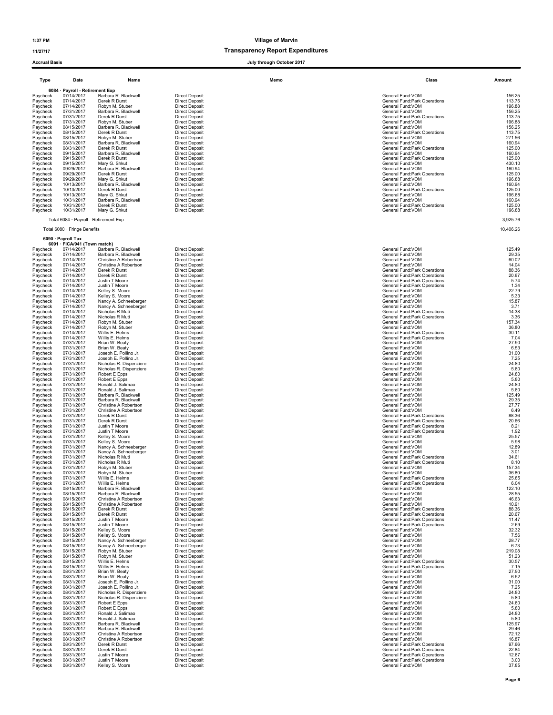# 6090 · Payroll Tax 6091 · FICA/941 (Town match) Paycheck 08/31/2017 Kelley S. Moore Direct Deposit General Fund:VOM 37.85

1:37 PM Village of Marvin

11/27/17 Transparency Report Expenditures

| Type                 | Date                                  | Name                                               |                                                | Memo | Class                                                          | Amount           |
|----------------------|---------------------------------------|----------------------------------------------------|------------------------------------------------|------|----------------------------------------------------------------|------------------|
|                      | 6084 · Payroll - Retirement Exp       |                                                    |                                                |      |                                                                |                  |
| Paycheck             | 07/14/2017                            | Barbara R. Blackwell                               | <b>Direct Deposit</b>                          |      | General Fund: VOM                                              | 156.25           |
| Paycheck             | 07/14/2017                            | Derek R Durst                                      | <b>Direct Deposit</b>                          |      | General Fund: Park Operations                                  | 113.75           |
| Paycheck<br>Paycheck | 07/14/2017<br>07/31/2017              | Robyn M. Stuber<br>Barbara R. Blackwell            | <b>Direct Deposit</b><br><b>Direct Deposit</b> |      | General Fund: VOM<br>General Fund: VOM                         | 196.88<br>156.25 |
| Paycheck             | 07/31/2017                            | Derek R Durst                                      | <b>Direct Deposit</b>                          |      | General Fund: Park Operations                                  | 113.75           |
| Paycheck             | 07/31/2017                            | Robyn M. Stuber                                    | <b>Direct Deposit</b>                          |      | General Fund: VOM                                              | 196.88           |
| Paycheck<br>Paycheck | 08/15/2017<br>08/15/2017              | Barbara R. Blackwell<br>Derek R Durst              | <b>Direct Deposit</b><br><b>Direct Deposit</b> |      | General Fund: VOM<br>General Fund: Park Operations             | 156.25<br>113.75 |
| Paycheck             | 08/15/2017                            | Robyn M. Stuber                                    | <b>Direct Deposit</b>                          |      | General Fund: VOM                                              | 271.56           |
| Paycheck             | 08/31/2017                            | Barbara R. Blackwell                               | <b>Direct Deposit</b>                          |      | General Fund: VOM                                              | 160.94           |
| Paycheck<br>Paycheck | 08/31/2017<br>09/15/2017              | Derek R Durst<br>Barbara R. Blackwell              | <b>Direct Deposit</b><br><b>Direct Deposit</b> |      | General Fund: Park Operations<br>General Fund: VOM             | 125.00<br>160.94 |
| Paycheck             | 09/15/2017                            | Derek R Durst                                      | Direct Deposit                                 |      | General Fund: Park Operations                                  | 125.00           |
| Paycheck             | 09/15/2017                            | Mary G. Shkut                                      | <b>Direct Deposit</b>                          |      | General Fund:VOM                                               | 430.10           |
| Paycheck<br>Paycheck | 09/29/2017<br>09/29/2017              | Barbara R. Blackwell<br>Derek R Durst              | <b>Direct Deposit</b><br><b>Direct Deposit</b> |      | General Fund: VOM<br>General Fund: Park Operations             | 160.94<br>125.00 |
| Paycheck             | 09/29/2017                            | Mary G. Shkut                                      | <b>Direct Deposit</b>                          |      | General Fund: VOM                                              | 196.88           |
| Paycheck             | 10/13/2017                            | Barbara R. Blackwell                               | <b>Direct Deposit</b>                          |      | General Fund: VOM                                              | 160.94           |
| Paycheck             | 10/13/2017                            | Derek R Durst                                      | <b>Direct Deposit</b>                          |      | General Fund: Park Operations                                  | 125.00           |
| Paycheck<br>Paycheck | 10/13/2017<br>10/31/2017              | Mary G. Shkut<br>Barbara R. Blackwell              | <b>Direct Deposit</b><br><b>Direct Deposit</b> |      | General Fund:VOM<br>General Fund: VOM                          | 196.88<br>160.94 |
| Paycheck             | 10/31/2017                            | Derek R Durst                                      | <b>Direct Deposit</b>                          |      | General Fund: Park Operations                                  | 125.00           |
| Paycheck             | 10/31/2017                            | Mary G. Shkut                                      | <b>Direct Deposit</b>                          |      | General Fund: VOM                                              | 196.88           |
|                      | Total 6084 · Payroll - Retirement Exp |                                                    |                                                |      |                                                                | 3,925.76         |
|                      |                                       |                                                    |                                                |      |                                                                |                  |
|                      | Total 6080 · Fringe Benefits          |                                                    |                                                |      |                                                                | 10,406.26        |
|                      | 6090 · Payroll Tax                    |                                                    |                                                |      |                                                                |                  |
|                      | 6091 · FICA/941 (Town match)          |                                                    |                                                |      |                                                                |                  |
| Paycheck<br>Paycheck | 07/14/2017<br>07/14/2017              | Barbara R. Blackwell<br>Barbara R. Blackwell       | <b>Direct Deposit</b><br><b>Direct Deposit</b> |      | General Fund: VOM<br>General Fund:VOM                          | 125.49<br>29.35  |
| Paycheck             | 07/14/2017                            | Christine A Robertson                              | <b>Direct Deposit</b>                          |      | General Fund:VOM                                               | 60.02            |
| Paycheck             | 07/14/2017                            | Christine A Robertson                              | <b>Direct Deposit</b>                          |      | General Fund: VOM                                              | 14.04            |
| Paycheck             | 07/14/2017<br>07/14/2017              | Derek R Durst<br>Derek R Durst                     | <b>Direct Deposit</b><br><b>Direct Deposit</b> |      | General Fund: Park Operations                                  | 88.36<br>20.67   |
| Paycheck<br>Paycheck | 07/14/2017                            | Justin T Moore                                     | <b>Direct Deposit</b>                          |      | General Fund: Park Operations<br>General Fund: Park Operations | 5.74             |
| Paycheck             | 07/14/2017                            | Justin T Moore                                     | <b>Direct Deposit</b>                          |      | General Fund: Park Operations                                  | 1.34             |
| Paycheck             | 07/14/2017                            | Kelley S. Moore                                    | <b>Direct Deposit</b>                          |      | General Fund:VOM                                               | 22.79            |
| Paycheck<br>Paycheck | 07/14/2017<br>07/14/2017              | Kelley S. Moore<br>Nancy A. Schneeberger           | <b>Direct Deposit</b><br><b>Direct Deposit</b> |      | General Fund:VOM<br>General Fund: VOM                          | 5.33<br>15.87    |
| Paycheck             | 07/14/2017                            | Nancy A. Schneeberger                              | <b>Direct Deposit</b>                          |      | General Fund: VOM                                              | 3.71             |
| Paycheck             | 07/14/2017                            | Nicholas R Muti                                    | <b>Direct Deposit</b>                          |      | General Fund: Park Operations                                  | 14.38            |
| Paycheck             | 07/14/2017<br>07/14/2017              | Nicholas R Muti<br>Robyn M. Stuber                 | <b>Direct Deposit</b><br><b>Direct Deposit</b> |      | General Fund: Park Operations<br>General Fund: VOM             | 3.36<br>157.34   |
| Paycheck<br>Paycheck | 07/14/2017                            | Robyn M. Stuber                                    | <b>Direct Deposit</b>                          |      | General Fund: VOM                                              | 36.80            |
| Paycheck             | 07/14/2017                            | Willis E. Helms                                    | <b>Direct Deposit</b>                          |      | General Fund: Park Operations                                  | 30.11            |
| Paycheck             | 07/14/2017                            | Willis E. Helms                                    | <b>Direct Deposit</b>                          |      | General Fund: Park Operations                                  | 7.04             |
| Paycheck<br>Paycheck | 07/31/2017<br>07/31/2017              | Brian W. Beaty<br>Brian W. Beaty                   | <b>Direct Deposit</b><br><b>Direct Deposit</b> |      | General Fund:VOM<br>General Fund:VOM                           | 27.90<br>6.53    |
| Paycheck             | 07/31/2017                            | Joseph E. Pollino Jr.                              | <b>Direct Deposit</b>                          |      | General Fund: VOM                                              | 31.00            |
| Paycheck             | 07/31/2017                            | Joseph E. Pollino Jr.                              | <b>Direct Deposit</b>                          |      | General Fund:VOM                                               | 7.25             |
| Paycheck             | 07/31/2017<br>07/31/2017              | Nicholas R. Dispenziere<br>Nicholas R. Dispenziere | <b>Direct Deposit</b><br><b>Direct Deposit</b> |      | General Fund: VOM<br>General Fund:VOM                          | 24.80<br>5.80    |
| Paycheck<br>Paycheck | 07/31/2017                            | Robert E Epps                                      | <b>Direct Deposit</b>                          |      | General Fund:VOM                                               | 24.80            |
| Paycheck             | 07/31/2017                            | Robert E Epps                                      | <b>Direct Deposit</b>                          |      | General Fund:VOM                                               | 5.80             |
| Paycheck             | 07/31/2017                            | Ronald J. Salimao                                  | <b>Direct Deposit</b>                          |      | General Fund:VOM                                               | 24.80            |
| Paycheck<br>Paycheck | 07/31/2017<br>07/31/2017              | Ronald J. Salimao<br>Barbara R. Blackwell          | <b>Direct Deposit</b><br><b>Direct Deposit</b> |      | General Fund:VOM<br>General Fund: VOM                          | 5.80<br>125.49   |
| Paycheck             | 07/31/2017                            | Barbara R. Blackwell                               | <b>Direct Deposit</b>                          |      | General Fund: VOM                                              | 29.35            |
| Paycheck             | 07/31/2017                            | Christine A Robertson                              | <b>Direct Deposit</b>                          |      | General Fund: VOM                                              | 27.77            |
| Paycheck<br>Paycheck | 07/31/2017<br>07/31/2017              | Christine A Robertson<br>Derek R Durst             | <b>Direct Deposit</b><br><b>Direct Deposit</b> |      | General Fund: VOM<br>General Fund: Park Operations             | 6.49<br>88.36    |
| Paycheck             | 07/31/2017                            | Derek R Durst                                      | <b>Direct Deposit</b>                          |      | General Fund: Park Operations                                  | 20.66            |
| Paycheck             | 07/31/2017                            | Justin T Moore                                     | <b>Direct Deposit</b>                          |      | General Fund: Park Operations                                  | 8.21             |
| Paycheck<br>Paycheck | 07/31/2017<br>07/31/2017              | Justin T Moore<br>Kelley S. Moore                  | <b>Direct Deposit</b><br><b>Direct Deposit</b> |      | General Fund: Park Operations<br>General Fund: VOM             | 1.92<br>25.57    |
| Paycheck             | 07/31/2017                            | Kelley S. Moore                                    | <b>Direct Deposit</b>                          |      | General Fund:VOM                                               | 5.98             |
| Paycheck             | 07/31/2017                            | Nancy A. Schneeberger                              | <b>Direct Deposit</b>                          |      | General Fund:VOM                                               | 12.89            |
| Paycheck<br>Paycheck | 07/31/2017<br>07/31/2017              | Nancy A. Schneeberger<br>Nicholas R Muti           | <b>Direct Deposit</b><br><b>Direct Deposit</b> |      | General Fund: VOM<br>General Fund: Park Operations             | 3.01<br>34.61    |
| Paycheck             | 07/31/2017                            | Nicholas R Muti                                    | <b>Direct Deposit</b>                          |      | General Fund: Park Operations                                  | 8.10             |
| Paycheck             | 07/31/2017                            | Robyn M. Stuber                                    | <b>Direct Deposit</b>                          |      | General Fund: VOM                                              | 157.34           |
| Paycheck             | 07/31/2017                            | Robyn M. Stuber                                    | <b>Direct Deposit</b>                          |      | General Fund:VOM                                               | 36.80            |
| Paycheck<br>Paycheck | 07/31/2017<br>07/31/2017              | Willis E. Helms<br>Willis E. Helms                 | <b>Direct Deposit</b><br><b>Direct Deposit</b> |      | General Fund: Park Operations<br>General Fund: Park Operations | 25.85<br>6.04    |
| Paycheck             | 08/15/2017                            | Barbara R. Blackwell                               | <b>Direct Deposit</b>                          |      | General Fund: VOM                                              | 122.10           |
| Paycheck             | 08/15/2017                            | Barbara R. Blackwell                               | <b>Direct Deposit</b>                          |      | General Fund: VOM                                              | 28.55            |
| Paycheck<br>Paycheck | 08/15/2017<br>08/15/2017              | Christine A Robertson<br>Christine A Robertson     | <b>Direct Deposit</b><br><b>Direct Deposit</b> |      | General Fund:VOM<br>General Fund:VOM                           | 46.63<br>10.91   |
| Paycheck             | 08/15/2017                            | Derek R Durst                                      | <b>Direct Deposit</b>                          |      | General Fund: Park Operations                                  | 88.36            |
| Paycheck             | 08/15/2017                            | Derek R Durst                                      | <b>Direct Deposit</b>                          |      | General Fund: Park Operations                                  | 20.67            |
| Paycheck<br>Paycheck | 08/15/2017<br>08/15/2017              | Justin T Moore<br>Justin T Moore                   | <b>Direct Deposit</b><br><b>Direct Deposit</b> |      | General Fund:Park Operations<br>General Fund: Park Operations  | 11.47<br>2.69    |
| Paycheck             | 08/15/2017                            | Kelley S. Moore                                    | <b>Direct Deposit</b>                          |      | General Fund:VOM                                               | 32.32            |
| Paycheck             | 08/15/2017                            | Kelley S. Moore                                    | <b>Direct Deposit</b>                          |      | General Fund:VOM                                               | 7.56             |
| Paycheck             | 08/15/2017                            | Nancy A. Schneeberger                              | <b>Direct Deposit</b>                          |      | General Fund:VOM                                               | 28.77            |
| Paycheck<br>Paycheck | 08/15/2017<br>08/15/2017              | Nancy A. Schneeberger<br>Robyn M. Stuber           | <b>Direct Deposit</b><br><b>Direct Deposit</b> |      | General Fund:VOM<br>General Fund:VOM                           | 6.73<br>219.08   |
| Paycheck             | 08/15/2017                            | Robyn M. Stuber                                    | <b>Direct Deposit</b>                          |      | General Fund: VOM                                              | 51.23            |
| Paycheck             | 08/15/2017                            | Willis E. Helms                                    | <b>Direct Deposit</b>                          |      | General Fund: Park Operations                                  | 30.57            |
| Paycheck<br>Paycheck | 08/15/2017<br>08/31/2017              | Willis E. Helms<br>Brian W. Beaty                  | <b>Direct Deposit</b><br><b>Direct Deposit</b> |      | General Fund: Park Operations<br>General Fund:VOM              | 7.15<br>27.90    |
| Paycheck             | 08/31/2017                            | Brian W. Beaty                                     | <b>Direct Deposit</b>                          |      | General Fund:VOM                                               | 6.52             |
| Paycheck             | 08/31/2017                            | Joseph E. Pollino Jr.                              | <b>Direct Deposit</b>                          |      | General Fund:VOM                                               | 31.00            |
| Paycheck<br>Paycheck | 08/31/2017                            | Joseph E. Pollino Jr.                              | <b>Direct Deposit</b>                          |      | General Fund: VOM                                              | 7.25<br>24.80    |
| Paycheck             | 08/31/2017<br>08/31/2017              | Nicholas R. Dispenziere<br>Nicholas R. Dispenziere | <b>Direct Deposit</b><br><b>Direct Deposit</b> |      | General Fund: VOM<br>General Fund: VOM                         | 5.80             |
| Paycheck             | 08/31/2017                            | Robert E Epps                                      | <b>Direct Deposit</b>                          |      | General Fund: VOM                                              | 24.80            |
| Paycheck             | 08/31/2017                            | Robert E Epps                                      | <b>Direct Deposit</b>                          |      | General Fund:VOM                                               | 5.80             |
| Paycheck<br>Paycheck | 08/31/2017<br>08/31/2017              | Ronald J. Salimao<br>Ronald J. Salimao             | <b>Direct Deposit</b><br><b>Direct Deposit</b> |      | General Fund:VOM<br>General Fund:VOM                           | 24.80<br>5.80    |
| Paycheck             | 08/31/2017                            | Barbara R. Blackwell                               | <b>Direct Deposit</b>                          |      | General Fund: VOM                                              | 125.97           |
| Paycheck             | 08/31/2017                            | Barbara R. Blackwell                               | <b>Direct Deposit</b>                          |      | General Fund: VOM                                              | 29.46            |
| Paycheck<br>Paycheck | 08/31/2017<br>08/31/2017              | Christine A Robertson<br>Christine A Robertson     | <b>Direct Deposit</b><br><b>Direct Deposit</b> |      | General Fund:VOM<br>General Fund:VOM                           | 72.12<br>16.87   |
| Paycheck             | 08/31/2017                            | Derek R Durst                                      | <b>Direct Deposit</b>                          |      | General Fund: Park Operations                                  | 97.66            |
| Paycheck             | 08/31/2017                            | Derek R Durst                                      | <b>Direct Deposit</b>                          |      | General Fund: Park Operations                                  | 22.84            |
| Paycheck<br>Paycheck | 08/31/2017<br>08/31/2017              | Justin T Moore<br>Justin T Moore                   | <b>Direct Deposit</b><br><b>Direct Deposit</b> |      | General Fund: Park Operations<br>General Fund: Park Operations | 12.87<br>3.00    |
|                      |                                       |                                                    |                                                |      |                                                                |                  |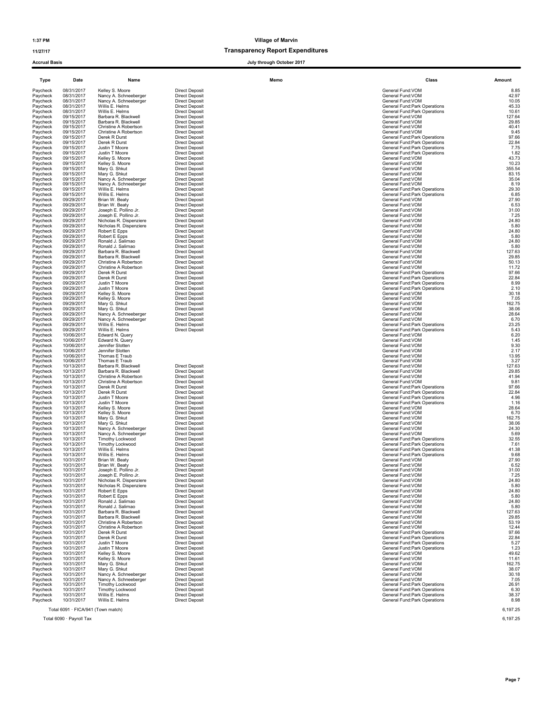11/27/17 Transparency Report Expenditures

Accrual Basis July through October 2017

| 08/31/2017<br>Kelley S. Moore<br><b>Direct Deposit</b><br>General Fund:VOM<br>Paycheck<br>Paycheck<br>08/31/2017<br>Nancy A. Schneeberger<br><b>Direct Deposit</b><br>General Fund:VOM<br>Paycheck<br>08/31/2017<br>Nancy A. Schneeberger<br><b>Direct Deposit</b><br>General Fund:VOM<br>Paycheck<br>08/31/2017<br>Willis E. Helms<br><b>Direct Deposit</b><br>General Fund:Park Operations<br>Paycheck<br>08/31/2017<br>Willis E. Helms<br><b>Direct Deposit</b><br>General Fund: Park Operations<br>Paycheck<br>09/15/2017<br>Barbara R. Blackwell<br><b>Direct Deposit</b><br>General Fund: VOM<br>Paycheck<br>09/15/2017<br>Barbara R. Blackwell<br><b>Direct Deposit</b><br>General Fund:VOM<br>09/15/2017<br>Paycheck<br>Christine A Robertson<br><b>Direct Deposit</b><br>General Fund:VOM<br>Paycheck<br>09/15/2017<br>Christine A Robertson<br><b>Direct Deposit</b><br>General Fund:VOM<br>Paycheck<br>09/15/2017<br>Derek R Durst<br><b>Direct Deposit</b><br>General Fund: Park Operations<br>09/15/2017<br>Derek R Durst<br>Paycheck<br><b>Direct Deposit</b><br>General Fund: Park Operations<br>Paycheck<br>09/15/2017<br>Justin T Moore<br><b>Direct Deposit</b><br>General Fund:Park Operations<br>09/15/2017<br>Justin T Moore<br>Paycheck<br><b>Direct Deposit</b><br>General Fund:Park Operations<br>Paycheck<br>09/15/2017<br>Kelley S. Moore<br><b>Direct Deposit</b><br>General Fund: VOM<br>Paycheck<br>09/15/2017<br>Kelley S. Moore<br><b>Direct Deposit</b><br>General Fund:VOM<br>Paycheck<br>09/15/2017<br>Mary G. Shkut<br><b>Direct Deposit</b><br>General Fund: VOM<br>Paycheck<br>09/15/2017<br>Mary G. Shkut<br><b>Direct Deposit</b><br>General Fund: VOM<br>09/15/2017<br>Paycheck<br>Nancy A. Schneeberger<br><b>Direct Deposit</b><br>General Fund: VOM<br>Paycheck<br>09/15/2017<br>Nancy A. Schneeberger<br><b>Direct Deposit</b><br>General Fund: VOM<br>09/15/2017<br>Paycheck<br>Willis E. Helms<br><b>Direct Deposit</b><br>General Fund:Park Operations<br>09/15/2017<br>Willis E. Helms<br>Paycheck<br><b>Direct Deposit</b><br>General Fund:Park Operations<br>Paycheck<br>09/29/2017<br>Brian W. Beaty<br><b>Direct Deposit</b><br>General Fund: VOM<br>Paycheck<br>09/29/2017<br>Brian W. Beaty<br><b>Direct Deposit</b><br>General Fund: VOM<br>Paycheck<br>General Fund: VOM<br>09/29/2017<br>Joseph E. Pollino Jr.<br><b>Direct Deposit</b><br>Paycheck<br>09/29/2017<br>Joseph E. Pollino Jr.<br>General Fund: VOM<br><b>Direct Deposit</b><br>Paycheck<br>09/29/2017<br>Nicholas R. Dispenziere<br><b>Direct Deposit</b><br>General Fund:VOM<br>Paycheck<br>09/29/2017<br>Nicholas R. Dispenziere<br><b>Direct Deposit</b><br>General Fund:VOM<br>Paycheck<br>09/29/2017<br><b>Direct Deposit</b><br>General Fund:VOM<br>Robert E Epps<br>Paycheck<br>09/29/2017<br>Robert E Epps<br><b>Direct Deposit</b><br>General Fund:VOM<br>Paycheck<br>09/29/2017<br>Ronald J. Salimao<br><b>Direct Deposit</b><br>General Fund: VOM<br>Paycheck<br>09/29/2017<br>General Fund:VOM<br>Ronald J. Salimao<br><b>Direct Deposit</b><br>Paycheck<br>09/29/2017<br>Barbara R. Blackwell<br><b>Direct Deposit</b><br>General Fund:VOM<br>Paycheck<br>09/29/2017<br>Barbara R. Blackwell<br><b>Direct Deposit</b><br>General Fund:VOM<br>Paycheck<br>09/29/2017<br>Christine A Robertson<br>General Fund:VOM<br><b>Direct Deposit</b><br>Paycheck<br>09/29/2017<br>Christine A Robertson<br><b>Direct Deposit</b><br>General Fund:VOM<br>Derek R Durst<br>Paycheck<br>09/29/2017<br><b>Direct Deposit</b><br>General Fund: Park Operations<br>Derek R Durst<br>Paycheck<br>09/29/2017<br><b>Direct Deposit</b><br>General Fund: Park Operations<br>Justin T Moore<br>Paycheck<br>09/29/2017<br><b>Direct Deposit</b><br>General Fund:Park Operations<br>Justin T Moore<br>Paycheck<br>09/29/2017<br><b>Direct Deposit</b><br>General Fund:Park Operations<br>Paycheck<br>09/29/2017<br>Kelley S. Moore<br>General Fund: VOM<br><b>Direct Deposit</b><br>Paycheck<br>09/29/2017<br>Kelley S. Moore<br><b>Direct Deposit</b><br>General Fund: VOM<br>Paycheck<br>09/29/2017<br>Mary G. Shkut<br><b>Direct Deposit</b><br>General Fund: VOM<br>09/29/2017<br>Paycheck<br>Mary G. Shkut<br><b>Direct Deposit</b><br>General Fund:VOM<br>Paycheck<br>09/29/2017<br>General Fund:VOM<br>Nancy A. Schneeberger<br><b>Direct Deposit</b><br>09/29/2017<br>Paycheck<br>Nancy A. Schneeberger<br><b>Direct Deposit</b><br>General Fund:VOM<br>Paycheck<br>09/29/2017<br>Willis E. Helms<br><b>Direct Deposit</b><br>General Fund:Park Operations<br>Paycheck<br>09/29/2017<br>Willis E. Helms<br><b>Direct Deposit</b><br>General Fund:Park Operations<br>Paycheck<br>10/06/2017<br>Edward N. Query<br>General Fund:VOM<br>General Fund:VOM<br>Paycheck<br>10/06/2017<br>Edward N. Query<br>Paycheck<br>10/06/2017<br>General Fund:VOM<br>Jennifer Slotten<br>Paycheck<br>10/06/2017<br>Jennifer Slotten<br>General Fund:VOM<br>Paycheck<br>10/06/2017<br>Thomas E Traub<br>General Fund:VOM<br>Paycheck<br>10/06/2017<br>General Fund:VOM<br>Thomas E Traub<br>Paycheck<br>10/13/2017<br>Barbara R. Blackwell<br><b>Direct Deposit</b><br>General Fund:VOM<br>Paycheck<br>10/13/2017<br>Barbara R. Blackwell<br><b>Direct Deposit</b><br>General Fund: VOM<br>Paycheck<br>10/13/2017<br>General Fund: VOM<br>Christine A Robertson<br><b>Direct Deposit</b><br>Paycheck<br>10/13/2017<br>Christine A Robertson<br><b>Direct Deposit</b><br>General Fund: VOM<br>10/13/2017<br>Paycheck<br>Derek R Durst<br><b>Direct Deposit</b><br>General Fund: Park Operations<br>Paycheck<br>10/13/2017<br>Derek R Durst<br>General Fund: Park Operations<br><b>Direct Deposit</b><br>Paycheck<br>10/13/2017<br>Justin T Moore<br><b>Direct Deposit</b><br>General Fund:Park Operations<br>10/13/2017<br>Justin T Moore<br>General Fund:Park Operations<br>Paycheck<br><b>Direct Deposit</b><br>Kelley S. Moore<br>General Fund:VOM<br>Paycheck<br>10/13/2017<br><b>Direct Deposit</b><br>10/13/2017<br>General Fund:VOM<br>Paycheck<br>Kelley S. Moore<br><b>Direct Deposit</b><br>10/13/2017<br>Paycheck<br>Mary G. Shkut<br><b>Direct Deposit</b><br>General Fund:VOM<br>Paycheck<br>10/13/2017<br>Mary G. Shkut<br><b>Direct Deposit</b><br>General Fund:VOM<br>Paycheck<br>10/13/2017<br>Nancy A. Schneeberger<br><b>Direct Deposit</b><br>General Fund: VOM<br>Paycheck<br>10/13/2017<br>Nancy A. Schneeberger<br><b>Direct Deposit</b><br>General Fund: VOM<br>10/13/2017<br>Paycheck<br>Timothy Lockwood<br><b>Direct Deposit</b><br>General Fund: Park Operations<br>Paycheck<br>10/13/2017<br>Timothy Lockwood<br><b>Direct Deposit</b><br>General Fund: Park Operations<br>Paycheck<br>10/13/2017<br>Willis E. Helms<br><b>Direct Deposit</b><br>General Fund:Park Operations<br>10/13/2017<br>Paycheck<br>Willis E. Helms<br><b>Direct Deposit</b><br>General Fund:Park Operations<br>Paycheck<br>10/31/2017<br>Brian W. Beaty<br>General Fund: VOM<br><b>Direct Deposit</b><br>Paycheck<br>10/31/2017<br>Brian W. Beaty<br><b>Direct Deposit</b><br>General Fund:VOM<br>10/31/2017<br>Joseph E. Pollino Jr.<br><b>Direct Deposit</b><br>General Fund:VOM<br>Paycheck<br>10/31/2017<br>Joseph E. Pollino Jr.<br>Paycheck<br><b>Direct Deposit</b><br>General Fund: VOM<br>10/31/2017<br><b>Direct Deposit</b><br>Paycheck<br>Nicholas R. Dispenziere<br>General Fund:VOM<br>Paycheck<br>10/31/2017<br>Nicholas R. Dispenziere<br><b>Direct Deposit</b><br>General Fund:VOM<br>Paycheck<br>10/31/2017<br>Robert E Epps<br><b>Direct Deposit</b><br>General Fund:VOM<br>Paycheck<br>10/31/2017<br>Robert E Epps<br><b>Direct Deposit</b><br>General Fund:VOM<br>Paycheck<br>10/31/2017<br>General Fund:VOM<br>Ronald J. Salimao<br><b>Direct Deposit</b><br>10/31/2017<br>General Fund:VOM<br>Paycheck<br>Ronald J. Salimao<br><b>Direct Deposit</b><br>Paycheck<br>10/31/2017<br>Barbara R. Blackwell<br><b>Direct Deposit</b><br>General Fund:VOM<br>10/31/2017<br>General Fund: VOM<br>Paycheck<br>Barbara R. Blackwell<br><b>Direct Deposit</b><br>Paycheck<br>10/31/2017<br>Christine A Robertson<br><b>Direct Deposit</b><br>General Fund:VOM<br>Paycheck<br>10/31/2017<br>Christine A Robertson<br><b>Direct Deposit</b><br>General Fund:VOM<br>10/31/2017<br>Derek R Durst<br>General Fund: Park Operations<br>Paycheck<br><b>Direct Deposit</b><br>10/31/2017<br>Derek R Durst<br>Paycheck<br><b>Direct Deposit</b><br>General Fund: Park Operations<br>10/31/2017<br>Justin T Moore<br><b>Direct Deposit</b><br>General Fund:Park Operations<br>Paycheck<br>10/31/2017<br>Justin T Moore<br>Paycheck<br><b>Direct Deposit</b><br>General Fund:Park Operations<br>10/31/2017<br>Kelley S. Moore<br>Paycheck<br><b>Direct Deposit</b><br>General Fund: VOM<br>Paycheck<br>10/31/2017<br>Kelley S. Moore<br><b>Direct Deposit</b><br>General Fund:VOM<br>Paycheck<br>10/31/2017<br>Mary G. Shkut<br>General Fund:VOM<br><b>Direct Deposit</b><br>10/31/2017<br>General Fund:VOM<br>Paycheck<br>Mary G. Shkut<br><b>Direct Deposit</b><br>10/31/2017<br>General Fund:VOM<br>Paycheck<br>Nancy A. Schneeberger<br><b>Direct Deposit</b><br>10/31/2017<br>Paycheck<br>Nancy A. Schneeberger<br><b>Direct Deposit</b><br>General Fund:VOM<br>10/31/2017<br>General Fund:Park Operations<br>Paycheck<br>Timothy Lockwood<br><b>Direct Deposit</b><br>Paycheck<br>10/31/2017<br><b>Timothy Lockwood</b><br><b>Direct Deposit</b><br>General Fund: Park Operations<br>Paycheck<br>10/31/2017<br>Willis E. Helms<br><b>Direct Deposit</b><br>General Fund:Park Operations | <b>Type</b> | Date       | Name            |                       | Memo | Class                        | Amount          |
|------------------------------------------------------------------------------------------------------------------------------------------------------------------------------------------------------------------------------------------------------------------------------------------------------------------------------------------------------------------------------------------------------------------------------------------------------------------------------------------------------------------------------------------------------------------------------------------------------------------------------------------------------------------------------------------------------------------------------------------------------------------------------------------------------------------------------------------------------------------------------------------------------------------------------------------------------------------------------------------------------------------------------------------------------------------------------------------------------------------------------------------------------------------------------------------------------------------------------------------------------------------------------------------------------------------------------------------------------------------------------------------------------------------------------------------------------------------------------------------------------------------------------------------------------------------------------------------------------------------------------------------------------------------------------------------------------------------------------------------------------------------------------------------------------------------------------------------------------------------------------------------------------------------------------------------------------------------------------------------------------------------------------------------------------------------------------------------------------------------------------------------------------------------------------------------------------------------------------------------------------------------------------------------------------------------------------------------------------------------------------------------------------------------------------------------------------------------------------------------------------------------------------------------------------------------------------------------------------------------------------------------------------------------------------------------------------------------------------------------------------------------------------------------------------------------------------------------------------------------------------------------------------------------------------------------------------------------------------------------------------------------------------------------------------------------------------------------------------------------------------------------------------------------------------------------------------------------------------------------------------------------------------------------------------------------------------------------------------------------------------------------------------------------------------------------------------------------------------------------------------------------------------------------------------------------------------------------------------------------------------------------------------------------------------------------------------------------------------------------------------------------------------------------------------------------------------------------------------------------------------------------------------------------------------------------------------------------------------------------------------------------------------------------------------------------------------------------------------------------------------------------------------------------------------------------------------------------------------------------------------------------------------------------------------------------------------------------------------------------------------------------------------------------------------------------------------------------------------------------------------------------------------------------------------------------------------------------------------------------------------------------------------------------------------------------------------------------------------------------------------------------------------------------------------------------------------------------------------------------------------------------------------------------------------------------------------------------------------------------------------------------------------------------------------------------------------------------------------------------------------------------------------------------------------------------------------------------------------------------------------------------------------------------------------------------------------------------------------------------------------------------------------------------------------------------------------------------------------------------------------------------------------------------------------------------------------------------------------------------------------------------------------------------------------------------------------------------------------------------------------------------------------------------------------------------------------------------------------------------------------------------------------------------------------------------------------------------------------------------------------------------------------------------------------------------------------------------------------------------------------------------------------------------------------------------------------------------------------------------------------------------------------------------------------------------------------------------------------------------------------------------------------------------------------------------------------------------------------------------------------------------------------------------------------------------------------------------------------------------------------------------------------------------------------------------------------------------------------------------------------------------------------------------------------------------------------------------------------------------------------------------------------------------------------------------------------------------------------------------------------------------------------------------------------------------------------------------------------------------------------------------------------------------------------------------------------------------------------------------------------------------------------------------------------------------------------------------------------------------------------------------------------------------------------------------------------------------------------------------------------------------------------------------------------------------------------------------------------------------------------------------------------------------------------------------------------------------------------------------------------------------------------------------------------------------------------------------------------------------------------------------------------------------------------------------------------------------------------------------------------------------------------------------------------------------------------------------------------------------------------------------------------------------------------------------------------------------------------------------------------------------------------------------------------------------------------------------------------------------------------------------------------------------------------------------------------------------------------------------------------------------------------------------------------------------------------------------------------------------------------------------------------------------------------------------------------------------------------------------------------------------------------------------------------------------------------------------------------------------------------------------------------------------------------------------------------------------------------------------------------------------------------------------------------------------------------------------------------------------------------------------------------------------------------------------------------------------------------------------------------------------------------------------------------------------------------------------------------------------------------------------------------------------------------------------------------------------------------------------------------------------------------------------------------------------------------------------------------|-------------|------------|-----------------|-----------------------|------|------------------------------|-----------------|
|                                                                                                                                                                                                                                                                                                                                                                                                                                                                                                                                                                                                                                                                                                                                                                                                                                                                                                                                                                                                                                                                                                                                                                                                                                                                                                                                                                                                                                                                                                                                                                                                                                                                                                                                                                                                                                                                                                                                                                                                                                                                                                                                                                                                                                                                                                                                                                                                                                                                                                                                                                                                                                                                                                                                                                                                                                                                                                                                                                                                                                                                                                                                                                                                                                                                                                                                                                                                                                                                                                                                                                                                                                                                                                                                                                                                                                                                                                                                                                                                                                                                                                                                                                                                                                                                                                                                                                                                                                                                                                                                                                                                                                                                                                                                                                                                                                                                                                                                                                                                                                                                                                                                                                                                                                                                                                                                                                                                                                                                                                                                                                                                                                                                                                                                                                                                                                                                                                                                                                                                                                                                                                                                                                                                                                                                                                                                                                                                                                                                                                                                                                                                                                                                                                                                                                                                                                                                                                                                                                                                                                                                                                                                                                                                                                                                                                                                                                                                                                                                                                                                                                                                                                                                                                                                                                                                                                                                                                                                                                                                                                                                                                                                                                                                                                                                                                                                                                                                                                                                                                                                                                                                                                                                                                                                                                                                                                                                                                                                                                                                                                                                                                                                                                                                                                                                                                                                                                                                                                                                                                                                                                                                      |             |            |                 |                       |      |                              | 8.85            |
|                                                                                                                                                                                                                                                                                                                                                                                                                                                                                                                                                                                                                                                                                                                                                                                                                                                                                                                                                                                                                                                                                                                                                                                                                                                                                                                                                                                                                                                                                                                                                                                                                                                                                                                                                                                                                                                                                                                                                                                                                                                                                                                                                                                                                                                                                                                                                                                                                                                                                                                                                                                                                                                                                                                                                                                                                                                                                                                                                                                                                                                                                                                                                                                                                                                                                                                                                                                                                                                                                                                                                                                                                                                                                                                                                                                                                                                                                                                                                                                                                                                                                                                                                                                                                                                                                                                                                                                                                                                                                                                                                                                                                                                                                                                                                                                                                                                                                                                                                                                                                                                                                                                                                                                                                                                                                                                                                                                                                                                                                                                                                                                                                                                                                                                                                                                                                                                                                                                                                                                                                                                                                                                                                                                                                                                                                                                                                                                                                                                                                                                                                                                                                                                                                                                                                                                                                                                                                                                                                                                                                                                                                                                                                                                                                                                                                                                                                                                                                                                                                                                                                                                                                                                                                                                                                                                                                                                                                                                                                                                                                                                                                                                                                                                                                                                                                                                                                                                                                                                                                                                                                                                                                                                                                                                                                                                                                                                                                                                                                                                                                                                                                                                                                                                                                                                                                                                                                                                                                                                                                                                                                                                                      |             |            |                 |                       |      |                              | 42.97<br>10.05  |
|                                                                                                                                                                                                                                                                                                                                                                                                                                                                                                                                                                                                                                                                                                                                                                                                                                                                                                                                                                                                                                                                                                                                                                                                                                                                                                                                                                                                                                                                                                                                                                                                                                                                                                                                                                                                                                                                                                                                                                                                                                                                                                                                                                                                                                                                                                                                                                                                                                                                                                                                                                                                                                                                                                                                                                                                                                                                                                                                                                                                                                                                                                                                                                                                                                                                                                                                                                                                                                                                                                                                                                                                                                                                                                                                                                                                                                                                                                                                                                                                                                                                                                                                                                                                                                                                                                                                                                                                                                                                                                                                                                                                                                                                                                                                                                                                                                                                                                                                                                                                                                                                                                                                                                                                                                                                                                                                                                                                                                                                                                                                                                                                                                                                                                                                                                                                                                                                                                                                                                                                                                                                                                                                                                                                                                                                                                                                                                                                                                                                                                                                                                                                                                                                                                                                                                                                                                                                                                                                                                                                                                                                                                                                                                                                                                                                                                                                                                                                                                                                                                                                                                                                                                                                                                                                                                                                                                                                                                                                                                                                                                                                                                                                                                                                                                                                                                                                                                                                                                                                                                                                                                                                                                                                                                                                                                                                                                                                                                                                                                                                                                                                                                                                                                                                                                                                                                                                                                                                                                                                                                                                                                                                      |             |            |                 |                       |      |                              | 45.33           |
|                                                                                                                                                                                                                                                                                                                                                                                                                                                                                                                                                                                                                                                                                                                                                                                                                                                                                                                                                                                                                                                                                                                                                                                                                                                                                                                                                                                                                                                                                                                                                                                                                                                                                                                                                                                                                                                                                                                                                                                                                                                                                                                                                                                                                                                                                                                                                                                                                                                                                                                                                                                                                                                                                                                                                                                                                                                                                                                                                                                                                                                                                                                                                                                                                                                                                                                                                                                                                                                                                                                                                                                                                                                                                                                                                                                                                                                                                                                                                                                                                                                                                                                                                                                                                                                                                                                                                                                                                                                                                                                                                                                                                                                                                                                                                                                                                                                                                                                                                                                                                                                                                                                                                                                                                                                                                                                                                                                                                                                                                                                                                                                                                                                                                                                                                                                                                                                                                                                                                                                                                                                                                                                                                                                                                                                                                                                                                                                                                                                                                                                                                                                                                                                                                                                                                                                                                                                                                                                                                                                                                                                                                                                                                                                                                                                                                                                                                                                                                                                                                                                                                                                                                                                                                                                                                                                                                                                                                                                                                                                                                                                                                                                                                                                                                                                                                                                                                                                                                                                                                                                                                                                                                                                                                                                                                                                                                                                                                                                                                                                                                                                                                                                                                                                                                                                                                                                                                                                                                                                                                                                                                                                                      |             |            |                 |                       |      |                              | 10.61           |
|                                                                                                                                                                                                                                                                                                                                                                                                                                                                                                                                                                                                                                                                                                                                                                                                                                                                                                                                                                                                                                                                                                                                                                                                                                                                                                                                                                                                                                                                                                                                                                                                                                                                                                                                                                                                                                                                                                                                                                                                                                                                                                                                                                                                                                                                                                                                                                                                                                                                                                                                                                                                                                                                                                                                                                                                                                                                                                                                                                                                                                                                                                                                                                                                                                                                                                                                                                                                                                                                                                                                                                                                                                                                                                                                                                                                                                                                                                                                                                                                                                                                                                                                                                                                                                                                                                                                                                                                                                                                                                                                                                                                                                                                                                                                                                                                                                                                                                                                                                                                                                                                                                                                                                                                                                                                                                                                                                                                                                                                                                                                                                                                                                                                                                                                                                                                                                                                                                                                                                                                                                                                                                                                                                                                                                                                                                                                                                                                                                                                                                                                                                                                                                                                                                                                                                                                                                                                                                                                                                                                                                                                                                                                                                                                                                                                                                                                                                                                                                                                                                                                                                                                                                                                                                                                                                                                                                                                                                                                                                                                                                                                                                                                                                                                                                                                                                                                                                                                                                                                                                                                                                                                                                                                                                                                                                                                                                                                                                                                                                                                                                                                                                                                                                                                                                                                                                                                                                                                                                                                                                                                                                                                      |             |            |                 |                       |      |                              | 127.64<br>29.85 |
|                                                                                                                                                                                                                                                                                                                                                                                                                                                                                                                                                                                                                                                                                                                                                                                                                                                                                                                                                                                                                                                                                                                                                                                                                                                                                                                                                                                                                                                                                                                                                                                                                                                                                                                                                                                                                                                                                                                                                                                                                                                                                                                                                                                                                                                                                                                                                                                                                                                                                                                                                                                                                                                                                                                                                                                                                                                                                                                                                                                                                                                                                                                                                                                                                                                                                                                                                                                                                                                                                                                                                                                                                                                                                                                                                                                                                                                                                                                                                                                                                                                                                                                                                                                                                                                                                                                                                                                                                                                                                                                                                                                                                                                                                                                                                                                                                                                                                                                                                                                                                                                                                                                                                                                                                                                                                                                                                                                                                                                                                                                                                                                                                                                                                                                                                                                                                                                                                                                                                                                                                                                                                                                                                                                                                                                                                                                                                                                                                                                                                                                                                                                                                                                                                                                                                                                                                                                                                                                                                                                                                                                                                                                                                                                                                                                                                                                                                                                                                                                                                                                                                                                                                                                                                                                                                                                                                                                                                                                                                                                                                                                                                                                                                                                                                                                                                                                                                                                                                                                                                                                                                                                                                                                                                                                                                                                                                                                                                                                                                                                                                                                                                                                                                                                                                                                                                                                                                                                                                                                                                                                                                                                                      |             |            |                 |                       |      |                              | 40.41           |
|                                                                                                                                                                                                                                                                                                                                                                                                                                                                                                                                                                                                                                                                                                                                                                                                                                                                                                                                                                                                                                                                                                                                                                                                                                                                                                                                                                                                                                                                                                                                                                                                                                                                                                                                                                                                                                                                                                                                                                                                                                                                                                                                                                                                                                                                                                                                                                                                                                                                                                                                                                                                                                                                                                                                                                                                                                                                                                                                                                                                                                                                                                                                                                                                                                                                                                                                                                                                                                                                                                                                                                                                                                                                                                                                                                                                                                                                                                                                                                                                                                                                                                                                                                                                                                                                                                                                                                                                                                                                                                                                                                                                                                                                                                                                                                                                                                                                                                                                                                                                                                                                                                                                                                                                                                                                                                                                                                                                                                                                                                                                                                                                                                                                                                                                                                                                                                                                                                                                                                                                                                                                                                                                                                                                                                                                                                                                                                                                                                                                                                                                                                                                                                                                                                                                                                                                                                                                                                                                                                                                                                                                                                                                                                                                                                                                                                                                                                                                                                                                                                                                                                                                                                                                                                                                                                                                                                                                                                                                                                                                                                                                                                                                                                                                                                                                                                                                                                                                                                                                                                                                                                                                                                                                                                                                                                                                                                                                                                                                                                                                                                                                                                                                                                                                                                                                                                                                                                                                                                                                                                                                                                                                      |             |            |                 |                       |      |                              | 9.45            |
|                                                                                                                                                                                                                                                                                                                                                                                                                                                                                                                                                                                                                                                                                                                                                                                                                                                                                                                                                                                                                                                                                                                                                                                                                                                                                                                                                                                                                                                                                                                                                                                                                                                                                                                                                                                                                                                                                                                                                                                                                                                                                                                                                                                                                                                                                                                                                                                                                                                                                                                                                                                                                                                                                                                                                                                                                                                                                                                                                                                                                                                                                                                                                                                                                                                                                                                                                                                                                                                                                                                                                                                                                                                                                                                                                                                                                                                                                                                                                                                                                                                                                                                                                                                                                                                                                                                                                                                                                                                                                                                                                                                                                                                                                                                                                                                                                                                                                                                                                                                                                                                                                                                                                                                                                                                                                                                                                                                                                                                                                                                                                                                                                                                                                                                                                                                                                                                                                                                                                                                                                                                                                                                                                                                                                                                                                                                                                                                                                                                                                                                                                                                                                                                                                                                                                                                                                                                                                                                                                                                                                                                                                                                                                                                                                                                                                                                                                                                                                                                                                                                                                                                                                                                                                                                                                                                                                                                                                                                                                                                                                                                                                                                                                                                                                                                                                                                                                                                                                                                                                                                                                                                                                                                                                                                                                                                                                                                                                                                                                                                                                                                                                                                                                                                                                                                                                                                                                                                                                                                                                                                                                                                                      |             |            |                 |                       |      |                              | 97.66<br>22.84  |
|                                                                                                                                                                                                                                                                                                                                                                                                                                                                                                                                                                                                                                                                                                                                                                                                                                                                                                                                                                                                                                                                                                                                                                                                                                                                                                                                                                                                                                                                                                                                                                                                                                                                                                                                                                                                                                                                                                                                                                                                                                                                                                                                                                                                                                                                                                                                                                                                                                                                                                                                                                                                                                                                                                                                                                                                                                                                                                                                                                                                                                                                                                                                                                                                                                                                                                                                                                                                                                                                                                                                                                                                                                                                                                                                                                                                                                                                                                                                                                                                                                                                                                                                                                                                                                                                                                                                                                                                                                                                                                                                                                                                                                                                                                                                                                                                                                                                                                                                                                                                                                                                                                                                                                                                                                                                                                                                                                                                                                                                                                                                                                                                                                                                                                                                                                                                                                                                                                                                                                                                                                                                                                                                                                                                                                                                                                                                                                                                                                                                                                                                                                                                                                                                                                                                                                                                                                                                                                                                                                                                                                                                                                                                                                                                                                                                                                                                                                                                                                                                                                                                                                                                                                                                                                                                                                                                                                                                                                                                                                                                                                                                                                                                                                                                                                                                                                                                                                                                                                                                                                                                                                                                                                                                                                                                                                                                                                                                                                                                                                                                                                                                                                                                                                                                                                                                                                                                                                                                                                                                                                                                                                                                      |             |            |                 |                       |      |                              | 7.75            |
|                                                                                                                                                                                                                                                                                                                                                                                                                                                                                                                                                                                                                                                                                                                                                                                                                                                                                                                                                                                                                                                                                                                                                                                                                                                                                                                                                                                                                                                                                                                                                                                                                                                                                                                                                                                                                                                                                                                                                                                                                                                                                                                                                                                                                                                                                                                                                                                                                                                                                                                                                                                                                                                                                                                                                                                                                                                                                                                                                                                                                                                                                                                                                                                                                                                                                                                                                                                                                                                                                                                                                                                                                                                                                                                                                                                                                                                                                                                                                                                                                                                                                                                                                                                                                                                                                                                                                                                                                                                                                                                                                                                                                                                                                                                                                                                                                                                                                                                                                                                                                                                                                                                                                                                                                                                                                                                                                                                                                                                                                                                                                                                                                                                                                                                                                                                                                                                                                                                                                                                                                                                                                                                                                                                                                                                                                                                                                                                                                                                                                                                                                                                                                                                                                                                                                                                                                                                                                                                                                                                                                                                                                                                                                                                                                                                                                                                                                                                                                                                                                                                                                                                                                                                                                                                                                                                                                                                                                                                                                                                                                                                                                                                                                                                                                                                                                                                                                                                                                                                                                                                                                                                                                                                                                                                                                                                                                                                                                                                                                                                                                                                                                                                                                                                                                                                                                                                                                                                                                                                                                                                                                                                                      |             |            |                 |                       |      |                              | 1.82            |
|                                                                                                                                                                                                                                                                                                                                                                                                                                                                                                                                                                                                                                                                                                                                                                                                                                                                                                                                                                                                                                                                                                                                                                                                                                                                                                                                                                                                                                                                                                                                                                                                                                                                                                                                                                                                                                                                                                                                                                                                                                                                                                                                                                                                                                                                                                                                                                                                                                                                                                                                                                                                                                                                                                                                                                                                                                                                                                                                                                                                                                                                                                                                                                                                                                                                                                                                                                                                                                                                                                                                                                                                                                                                                                                                                                                                                                                                                                                                                                                                                                                                                                                                                                                                                                                                                                                                                                                                                                                                                                                                                                                                                                                                                                                                                                                                                                                                                                                                                                                                                                                                                                                                                                                                                                                                                                                                                                                                                                                                                                                                                                                                                                                                                                                                                                                                                                                                                                                                                                                                                                                                                                                                                                                                                                                                                                                                                                                                                                                                                                                                                                                                                                                                                                                                                                                                                                                                                                                                                                                                                                                                                                                                                                                                                                                                                                                                                                                                                                                                                                                                                                                                                                                                                                                                                                                                                                                                                                                                                                                                                                                                                                                                                                                                                                                                                                                                                                                                                                                                                                                                                                                                                                                                                                                                                                                                                                                                                                                                                                                                                                                                                                                                                                                                                                                                                                                                                                                                                                                                                                                                                                                                      |             |            |                 |                       |      |                              | 43.73           |
|                                                                                                                                                                                                                                                                                                                                                                                                                                                                                                                                                                                                                                                                                                                                                                                                                                                                                                                                                                                                                                                                                                                                                                                                                                                                                                                                                                                                                                                                                                                                                                                                                                                                                                                                                                                                                                                                                                                                                                                                                                                                                                                                                                                                                                                                                                                                                                                                                                                                                                                                                                                                                                                                                                                                                                                                                                                                                                                                                                                                                                                                                                                                                                                                                                                                                                                                                                                                                                                                                                                                                                                                                                                                                                                                                                                                                                                                                                                                                                                                                                                                                                                                                                                                                                                                                                                                                                                                                                                                                                                                                                                                                                                                                                                                                                                                                                                                                                                                                                                                                                                                                                                                                                                                                                                                                                                                                                                                                                                                                                                                                                                                                                                                                                                                                                                                                                                                                                                                                                                                                                                                                                                                                                                                                                                                                                                                                                                                                                                                                                                                                                                                                                                                                                                                                                                                                                                                                                                                                                                                                                                                                                                                                                                                                                                                                                                                                                                                                                                                                                                                                                                                                                                                                                                                                                                                                                                                                                                                                                                                                                                                                                                                                                                                                                                                                                                                                                                                                                                                                                                                                                                                                                                                                                                                                                                                                                                                                                                                                                                                                                                                                                                                                                                                                                                                                                                                                                                                                                                                                                                                                                                                      |             |            |                 |                       |      |                              | 10.23<br>355.54 |
|                                                                                                                                                                                                                                                                                                                                                                                                                                                                                                                                                                                                                                                                                                                                                                                                                                                                                                                                                                                                                                                                                                                                                                                                                                                                                                                                                                                                                                                                                                                                                                                                                                                                                                                                                                                                                                                                                                                                                                                                                                                                                                                                                                                                                                                                                                                                                                                                                                                                                                                                                                                                                                                                                                                                                                                                                                                                                                                                                                                                                                                                                                                                                                                                                                                                                                                                                                                                                                                                                                                                                                                                                                                                                                                                                                                                                                                                                                                                                                                                                                                                                                                                                                                                                                                                                                                                                                                                                                                                                                                                                                                                                                                                                                                                                                                                                                                                                                                                                                                                                                                                                                                                                                                                                                                                                                                                                                                                                                                                                                                                                                                                                                                                                                                                                                                                                                                                                                                                                                                                                                                                                                                                                                                                                                                                                                                                                                                                                                                                                                                                                                                                                                                                                                                                                                                                                                                                                                                                                                                                                                                                                                                                                                                                                                                                                                                                                                                                                                                                                                                                                                                                                                                                                                                                                                                                                                                                                                                                                                                                                                                                                                                                                                                                                                                                                                                                                                                                                                                                                                                                                                                                                                                                                                                                                                                                                                                                                                                                                                                                                                                                                                                                                                                                                                                                                                                                                                                                                                                                                                                                                                                                      |             |            |                 |                       |      |                              | 83.15           |
|                                                                                                                                                                                                                                                                                                                                                                                                                                                                                                                                                                                                                                                                                                                                                                                                                                                                                                                                                                                                                                                                                                                                                                                                                                                                                                                                                                                                                                                                                                                                                                                                                                                                                                                                                                                                                                                                                                                                                                                                                                                                                                                                                                                                                                                                                                                                                                                                                                                                                                                                                                                                                                                                                                                                                                                                                                                                                                                                                                                                                                                                                                                                                                                                                                                                                                                                                                                                                                                                                                                                                                                                                                                                                                                                                                                                                                                                                                                                                                                                                                                                                                                                                                                                                                                                                                                                                                                                                                                                                                                                                                                                                                                                                                                                                                                                                                                                                                                                                                                                                                                                                                                                                                                                                                                                                                                                                                                                                                                                                                                                                                                                                                                                                                                                                                                                                                                                                                                                                                                                                                                                                                                                                                                                                                                                                                                                                                                                                                                                                                                                                                                                                                                                                                                                                                                                                                                                                                                                                                                                                                                                                                                                                                                                                                                                                                                                                                                                                                                                                                                                                                                                                                                                                                                                                                                                                                                                                                                                                                                                                                                                                                                                                                                                                                                                                                                                                                                                                                                                                                                                                                                                                                                                                                                                                                                                                                                                                                                                                                                                                                                                                                                                                                                                                                                                                                                                                                                                                                                                                                                                                                                                      |             |            |                 |                       |      |                              | 35.04           |
|                                                                                                                                                                                                                                                                                                                                                                                                                                                                                                                                                                                                                                                                                                                                                                                                                                                                                                                                                                                                                                                                                                                                                                                                                                                                                                                                                                                                                                                                                                                                                                                                                                                                                                                                                                                                                                                                                                                                                                                                                                                                                                                                                                                                                                                                                                                                                                                                                                                                                                                                                                                                                                                                                                                                                                                                                                                                                                                                                                                                                                                                                                                                                                                                                                                                                                                                                                                                                                                                                                                                                                                                                                                                                                                                                                                                                                                                                                                                                                                                                                                                                                                                                                                                                                                                                                                                                                                                                                                                                                                                                                                                                                                                                                                                                                                                                                                                                                                                                                                                                                                                                                                                                                                                                                                                                                                                                                                                                                                                                                                                                                                                                                                                                                                                                                                                                                                                                                                                                                                                                                                                                                                                                                                                                                                                                                                                                                                                                                                                                                                                                                                                                                                                                                                                                                                                                                                                                                                                                                                                                                                                                                                                                                                                                                                                                                                                                                                                                                                                                                                                                                                                                                                                                                                                                                                                                                                                                                                                                                                                                                                                                                                                                                                                                                                                                                                                                                                                                                                                                                                                                                                                                                                                                                                                                                                                                                                                                                                                                                                                                                                                                                                                                                                                                                                                                                                                                                                                                                                                                                                                                                                                      |             |            |                 |                       |      |                              | 8.19<br>29.30   |
|                                                                                                                                                                                                                                                                                                                                                                                                                                                                                                                                                                                                                                                                                                                                                                                                                                                                                                                                                                                                                                                                                                                                                                                                                                                                                                                                                                                                                                                                                                                                                                                                                                                                                                                                                                                                                                                                                                                                                                                                                                                                                                                                                                                                                                                                                                                                                                                                                                                                                                                                                                                                                                                                                                                                                                                                                                                                                                                                                                                                                                                                                                                                                                                                                                                                                                                                                                                                                                                                                                                                                                                                                                                                                                                                                                                                                                                                                                                                                                                                                                                                                                                                                                                                                                                                                                                                                                                                                                                                                                                                                                                                                                                                                                                                                                                                                                                                                                                                                                                                                                                                                                                                                                                                                                                                                                                                                                                                                                                                                                                                                                                                                                                                                                                                                                                                                                                                                                                                                                                                                                                                                                                                                                                                                                                                                                                                                                                                                                                                                                                                                                                                                                                                                                                                                                                                                                                                                                                                                                                                                                                                                                                                                                                                                                                                                                                                                                                                                                                                                                                                                                                                                                                                                                                                                                                                                                                                                                                                                                                                                                                                                                                                                                                                                                                                                                                                                                                                                                                                                                                                                                                                                                                                                                                                                                                                                                                                                                                                                                                                                                                                                                                                                                                                                                                                                                                                                                                                                                                                                                                                                                                                      |             |            |                 |                       |      |                              | 6.85            |
|                                                                                                                                                                                                                                                                                                                                                                                                                                                                                                                                                                                                                                                                                                                                                                                                                                                                                                                                                                                                                                                                                                                                                                                                                                                                                                                                                                                                                                                                                                                                                                                                                                                                                                                                                                                                                                                                                                                                                                                                                                                                                                                                                                                                                                                                                                                                                                                                                                                                                                                                                                                                                                                                                                                                                                                                                                                                                                                                                                                                                                                                                                                                                                                                                                                                                                                                                                                                                                                                                                                                                                                                                                                                                                                                                                                                                                                                                                                                                                                                                                                                                                                                                                                                                                                                                                                                                                                                                                                                                                                                                                                                                                                                                                                                                                                                                                                                                                                                                                                                                                                                                                                                                                                                                                                                                                                                                                                                                                                                                                                                                                                                                                                                                                                                                                                                                                                                                                                                                                                                                                                                                                                                                                                                                                                                                                                                                                                                                                                                                                                                                                                                                                                                                                                                                                                                                                                                                                                                                                                                                                                                                                                                                                                                                                                                                                                                                                                                                                                                                                                                                                                                                                                                                                                                                                                                                                                                                                                                                                                                                                                                                                                                                                                                                                                                                                                                                                                                                                                                                                                                                                                                                                                                                                                                                                                                                                                                                                                                                                                                                                                                                                                                                                                                                                                                                                                                                                                                                                                                                                                                                                                                      |             |            |                 |                       |      |                              | 27.90           |
|                                                                                                                                                                                                                                                                                                                                                                                                                                                                                                                                                                                                                                                                                                                                                                                                                                                                                                                                                                                                                                                                                                                                                                                                                                                                                                                                                                                                                                                                                                                                                                                                                                                                                                                                                                                                                                                                                                                                                                                                                                                                                                                                                                                                                                                                                                                                                                                                                                                                                                                                                                                                                                                                                                                                                                                                                                                                                                                                                                                                                                                                                                                                                                                                                                                                                                                                                                                                                                                                                                                                                                                                                                                                                                                                                                                                                                                                                                                                                                                                                                                                                                                                                                                                                                                                                                                                                                                                                                                                                                                                                                                                                                                                                                                                                                                                                                                                                                                                                                                                                                                                                                                                                                                                                                                                                                                                                                                                                                                                                                                                                                                                                                                                                                                                                                                                                                                                                                                                                                                                                                                                                                                                                                                                                                                                                                                                                                                                                                                                                                                                                                                                                                                                                                                                                                                                                                                                                                                                                                                                                                                                                                                                                                                                                                                                                                                                                                                                                                                                                                                                                                                                                                                                                                                                                                                                                                                                                                                                                                                                                                                                                                                                                                                                                                                                                                                                                                                                                                                                                                                                                                                                                                                                                                                                                                                                                                                                                                                                                                                                                                                                                                                                                                                                                                                                                                                                                                                                                                                                                                                                                                                                      |             |            |                 |                       |      |                              | 6.53            |
|                                                                                                                                                                                                                                                                                                                                                                                                                                                                                                                                                                                                                                                                                                                                                                                                                                                                                                                                                                                                                                                                                                                                                                                                                                                                                                                                                                                                                                                                                                                                                                                                                                                                                                                                                                                                                                                                                                                                                                                                                                                                                                                                                                                                                                                                                                                                                                                                                                                                                                                                                                                                                                                                                                                                                                                                                                                                                                                                                                                                                                                                                                                                                                                                                                                                                                                                                                                                                                                                                                                                                                                                                                                                                                                                                                                                                                                                                                                                                                                                                                                                                                                                                                                                                                                                                                                                                                                                                                                                                                                                                                                                                                                                                                                                                                                                                                                                                                                                                                                                                                                                                                                                                                                                                                                                                                                                                                                                                                                                                                                                                                                                                                                                                                                                                                                                                                                                                                                                                                                                                                                                                                                                                                                                                                                                                                                                                                                                                                                                                                                                                                                                                                                                                                                                                                                                                                                                                                                                                                                                                                                                                                                                                                                                                                                                                                                                                                                                                                                                                                                                                                                                                                                                                                                                                                                                                                                                                                                                                                                                                                                                                                                                                                                                                                                                                                                                                                                                                                                                                                                                                                                                                                                                                                                                                                                                                                                                                                                                                                                                                                                                                                                                                                                                                                                                                                                                                                                                                                                                                                                                                                                                      |             |            |                 |                       |      |                              | 31.00<br>7.25   |
|                                                                                                                                                                                                                                                                                                                                                                                                                                                                                                                                                                                                                                                                                                                                                                                                                                                                                                                                                                                                                                                                                                                                                                                                                                                                                                                                                                                                                                                                                                                                                                                                                                                                                                                                                                                                                                                                                                                                                                                                                                                                                                                                                                                                                                                                                                                                                                                                                                                                                                                                                                                                                                                                                                                                                                                                                                                                                                                                                                                                                                                                                                                                                                                                                                                                                                                                                                                                                                                                                                                                                                                                                                                                                                                                                                                                                                                                                                                                                                                                                                                                                                                                                                                                                                                                                                                                                                                                                                                                                                                                                                                                                                                                                                                                                                                                                                                                                                                                                                                                                                                                                                                                                                                                                                                                                                                                                                                                                                                                                                                                                                                                                                                                                                                                                                                                                                                                                                                                                                                                                                                                                                                                                                                                                                                                                                                                                                                                                                                                                                                                                                                                                                                                                                                                                                                                                                                                                                                                                                                                                                                                                                                                                                                                                                                                                                                                                                                                                                                                                                                                                                                                                                                                                                                                                                                                                                                                                                                                                                                                                                                                                                                                                                                                                                                                                                                                                                                                                                                                                                                                                                                                                                                                                                                                                                                                                                                                                                                                                                                                                                                                                                                                                                                                                                                                                                                                                                                                                                                                                                                                                                                                      |             |            |                 |                       |      |                              | 24.80           |
|                                                                                                                                                                                                                                                                                                                                                                                                                                                                                                                                                                                                                                                                                                                                                                                                                                                                                                                                                                                                                                                                                                                                                                                                                                                                                                                                                                                                                                                                                                                                                                                                                                                                                                                                                                                                                                                                                                                                                                                                                                                                                                                                                                                                                                                                                                                                                                                                                                                                                                                                                                                                                                                                                                                                                                                                                                                                                                                                                                                                                                                                                                                                                                                                                                                                                                                                                                                                                                                                                                                                                                                                                                                                                                                                                                                                                                                                                                                                                                                                                                                                                                                                                                                                                                                                                                                                                                                                                                                                                                                                                                                                                                                                                                                                                                                                                                                                                                                                                                                                                                                                                                                                                                                                                                                                                                                                                                                                                                                                                                                                                                                                                                                                                                                                                                                                                                                                                                                                                                                                                                                                                                                                                                                                                                                                                                                                                                                                                                                                                                                                                                                                                                                                                                                                                                                                                                                                                                                                                                                                                                                                                                                                                                                                                                                                                                                                                                                                                                                                                                                                                                                                                                                                                                                                                                                                                                                                                                                                                                                                                                                                                                                                                                                                                                                                                                                                                                                                                                                                                                                                                                                                                                                                                                                                                                                                                                                                                                                                                                                                                                                                                                                                                                                                                                                                                                                                                                                                                                                                                                                                                                                                      |             |            |                 |                       |      |                              | 5.80            |
|                                                                                                                                                                                                                                                                                                                                                                                                                                                                                                                                                                                                                                                                                                                                                                                                                                                                                                                                                                                                                                                                                                                                                                                                                                                                                                                                                                                                                                                                                                                                                                                                                                                                                                                                                                                                                                                                                                                                                                                                                                                                                                                                                                                                                                                                                                                                                                                                                                                                                                                                                                                                                                                                                                                                                                                                                                                                                                                                                                                                                                                                                                                                                                                                                                                                                                                                                                                                                                                                                                                                                                                                                                                                                                                                                                                                                                                                                                                                                                                                                                                                                                                                                                                                                                                                                                                                                                                                                                                                                                                                                                                                                                                                                                                                                                                                                                                                                                                                                                                                                                                                                                                                                                                                                                                                                                                                                                                                                                                                                                                                                                                                                                                                                                                                                                                                                                                                                                                                                                                                                                                                                                                                                                                                                                                                                                                                                                                                                                                                                                                                                                                                                                                                                                                                                                                                                                                                                                                                                                                                                                                                                                                                                                                                                                                                                                                                                                                                                                                                                                                                                                                                                                                                                                                                                                                                                                                                                                                                                                                                                                                                                                                                                                                                                                                                                                                                                                                                                                                                                                                                                                                                                                                                                                                                                                                                                                                                                                                                                                                                                                                                                                                                                                                                                                                                                                                                                                                                                                                                                                                                                                                                      |             |            |                 |                       |      |                              | 24.80           |
|                                                                                                                                                                                                                                                                                                                                                                                                                                                                                                                                                                                                                                                                                                                                                                                                                                                                                                                                                                                                                                                                                                                                                                                                                                                                                                                                                                                                                                                                                                                                                                                                                                                                                                                                                                                                                                                                                                                                                                                                                                                                                                                                                                                                                                                                                                                                                                                                                                                                                                                                                                                                                                                                                                                                                                                                                                                                                                                                                                                                                                                                                                                                                                                                                                                                                                                                                                                                                                                                                                                                                                                                                                                                                                                                                                                                                                                                                                                                                                                                                                                                                                                                                                                                                                                                                                                                                                                                                                                                                                                                                                                                                                                                                                                                                                                                                                                                                                                                                                                                                                                                                                                                                                                                                                                                                                                                                                                                                                                                                                                                                                                                                                                                                                                                                                                                                                                                                                                                                                                                                                                                                                                                                                                                                                                                                                                                                                                                                                                                                                                                                                                                                                                                                                                                                                                                                                                                                                                                                                                                                                                                                                                                                                                                                                                                                                                                                                                                                                                                                                                                                                                                                                                                                                                                                                                                                                                                                                                                                                                                                                                                                                                                                                                                                                                                                                                                                                                                                                                                                                                                                                                                                                                                                                                                                                                                                                                                                                                                                                                                                                                                                                                                                                                                                                                                                                                                                                                                                                                                                                                                                                                                      |             |            |                 |                       |      |                              | 5.80<br>24.80   |
|                                                                                                                                                                                                                                                                                                                                                                                                                                                                                                                                                                                                                                                                                                                                                                                                                                                                                                                                                                                                                                                                                                                                                                                                                                                                                                                                                                                                                                                                                                                                                                                                                                                                                                                                                                                                                                                                                                                                                                                                                                                                                                                                                                                                                                                                                                                                                                                                                                                                                                                                                                                                                                                                                                                                                                                                                                                                                                                                                                                                                                                                                                                                                                                                                                                                                                                                                                                                                                                                                                                                                                                                                                                                                                                                                                                                                                                                                                                                                                                                                                                                                                                                                                                                                                                                                                                                                                                                                                                                                                                                                                                                                                                                                                                                                                                                                                                                                                                                                                                                                                                                                                                                                                                                                                                                                                                                                                                                                                                                                                                                                                                                                                                                                                                                                                                                                                                                                                                                                                                                                                                                                                                                                                                                                                                                                                                                                                                                                                                                                                                                                                                                                                                                                                                                                                                                                                                                                                                                                                                                                                                                                                                                                                                                                                                                                                                                                                                                                                                                                                                                                                                                                                                                                                                                                                                                                                                                                                                                                                                                                                                                                                                                                                                                                                                                                                                                                                                                                                                                                                                                                                                                                                                                                                                                                                                                                                                                                                                                                                                                                                                                                                                                                                                                                                                                                                                                                                                                                                                                                                                                                                                                      |             |            |                 |                       |      |                              | 5.80            |
|                                                                                                                                                                                                                                                                                                                                                                                                                                                                                                                                                                                                                                                                                                                                                                                                                                                                                                                                                                                                                                                                                                                                                                                                                                                                                                                                                                                                                                                                                                                                                                                                                                                                                                                                                                                                                                                                                                                                                                                                                                                                                                                                                                                                                                                                                                                                                                                                                                                                                                                                                                                                                                                                                                                                                                                                                                                                                                                                                                                                                                                                                                                                                                                                                                                                                                                                                                                                                                                                                                                                                                                                                                                                                                                                                                                                                                                                                                                                                                                                                                                                                                                                                                                                                                                                                                                                                                                                                                                                                                                                                                                                                                                                                                                                                                                                                                                                                                                                                                                                                                                                                                                                                                                                                                                                                                                                                                                                                                                                                                                                                                                                                                                                                                                                                                                                                                                                                                                                                                                                                                                                                                                                                                                                                                                                                                                                                                                                                                                                                                                                                                                                                                                                                                                                                                                                                                                                                                                                                                                                                                                                                                                                                                                                                                                                                                                                                                                                                                                                                                                                                                                                                                                                                                                                                                                                                                                                                                                                                                                                                                                                                                                                                                                                                                                                                                                                                                                                                                                                                                                                                                                                                                                                                                                                                                                                                                                                                                                                                                                                                                                                                                                                                                                                                                                                                                                                                                                                                                                                                                                                                                                                      |             |            |                 |                       |      |                              | 127.63          |
|                                                                                                                                                                                                                                                                                                                                                                                                                                                                                                                                                                                                                                                                                                                                                                                                                                                                                                                                                                                                                                                                                                                                                                                                                                                                                                                                                                                                                                                                                                                                                                                                                                                                                                                                                                                                                                                                                                                                                                                                                                                                                                                                                                                                                                                                                                                                                                                                                                                                                                                                                                                                                                                                                                                                                                                                                                                                                                                                                                                                                                                                                                                                                                                                                                                                                                                                                                                                                                                                                                                                                                                                                                                                                                                                                                                                                                                                                                                                                                                                                                                                                                                                                                                                                                                                                                                                                                                                                                                                                                                                                                                                                                                                                                                                                                                                                                                                                                                                                                                                                                                                                                                                                                                                                                                                                                                                                                                                                                                                                                                                                                                                                                                                                                                                                                                                                                                                                                                                                                                                                                                                                                                                                                                                                                                                                                                                                                                                                                                                                                                                                                                                                                                                                                                                                                                                                                                                                                                                                                                                                                                                                                                                                                                                                                                                                                                                                                                                                                                                                                                                                                                                                                                                                                                                                                                                                                                                                                                                                                                                                                                                                                                                                                                                                                                                                                                                                                                                                                                                                                                                                                                                                                                                                                                                                                                                                                                                                                                                                                                                                                                                                                                                                                                                                                                                                                                                                                                                                                                                                                                                                                                                      |             |            |                 |                       |      |                              | 29.85<br>50.13  |
|                                                                                                                                                                                                                                                                                                                                                                                                                                                                                                                                                                                                                                                                                                                                                                                                                                                                                                                                                                                                                                                                                                                                                                                                                                                                                                                                                                                                                                                                                                                                                                                                                                                                                                                                                                                                                                                                                                                                                                                                                                                                                                                                                                                                                                                                                                                                                                                                                                                                                                                                                                                                                                                                                                                                                                                                                                                                                                                                                                                                                                                                                                                                                                                                                                                                                                                                                                                                                                                                                                                                                                                                                                                                                                                                                                                                                                                                                                                                                                                                                                                                                                                                                                                                                                                                                                                                                                                                                                                                                                                                                                                                                                                                                                                                                                                                                                                                                                                                                                                                                                                                                                                                                                                                                                                                                                                                                                                                                                                                                                                                                                                                                                                                                                                                                                                                                                                                                                                                                                                                                                                                                                                                                                                                                                                                                                                                                                                                                                                                                                                                                                                                                                                                                                                                                                                                                                                                                                                                                                                                                                                                                                                                                                                                                                                                                                                                                                                                                                                                                                                                                                                                                                                                                                                                                                                                                                                                                                                                                                                                                                                                                                                                                                                                                                                                                                                                                                                                                                                                                                                                                                                                                                                                                                                                                                                                                                                                                                                                                                                                                                                                                                                                                                                                                                                                                                                                                                                                                                                                                                                                                                                                      |             |            |                 |                       |      |                              | 11.72           |
|                                                                                                                                                                                                                                                                                                                                                                                                                                                                                                                                                                                                                                                                                                                                                                                                                                                                                                                                                                                                                                                                                                                                                                                                                                                                                                                                                                                                                                                                                                                                                                                                                                                                                                                                                                                                                                                                                                                                                                                                                                                                                                                                                                                                                                                                                                                                                                                                                                                                                                                                                                                                                                                                                                                                                                                                                                                                                                                                                                                                                                                                                                                                                                                                                                                                                                                                                                                                                                                                                                                                                                                                                                                                                                                                                                                                                                                                                                                                                                                                                                                                                                                                                                                                                                                                                                                                                                                                                                                                                                                                                                                                                                                                                                                                                                                                                                                                                                                                                                                                                                                                                                                                                                                                                                                                                                                                                                                                                                                                                                                                                                                                                                                                                                                                                                                                                                                                                                                                                                                                                                                                                                                                                                                                                                                                                                                                                                                                                                                                                                                                                                                                                                                                                                                                                                                                                                                                                                                                                                                                                                                                                                                                                                                                                                                                                                                                                                                                                                                                                                                                                                                                                                                                                                                                                                                                                                                                                                                                                                                                                                                                                                                                                                                                                                                                                                                                                                                                                                                                                                                                                                                                                                                                                                                                                                                                                                                                                                                                                                                                                                                                                                                                                                                                                                                                                                                                                                                                                                                                                                                                                                                                      |             |            |                 |                       |      |                              | 97.66           |
|                                                                                                                                                                                                                                                                                                                                                                                                                                                                                                                                                                                                                                                                                                                                                                                                                                                                                                                                                                                                                                                                                                                                                                                                                                                                                                                                                                                                                                                                                                                                                                                                                                                                                                                                                                                                                                                                                                                                                                                                                                                                                                                                                                                                                                                                                                                                                                                                                                                                                                                                                                                                                                                                                                                                                                                                                                                                                                                                                                                                                                                                                                                                                                                                                                                                                                                                                                                                                                                                                                                                                                                                                                                                                                                                                                                                                                                                                                                                                                                                                                                                                                                                                                                                                                                                                                                                                                                                                                                                                                                                                                                                                                                                                                                                                                                                                                                                                                                                                                                                                                                                                                                                                                                                                                                                                                                                                                                                                                                                                                                                                                                                                                                                                                                                                                                                                                                                                                                                                                                                                                                                                                                                                                                                                                                                                                                                                                                                                                                                                                                                                                                                                                                                                                                                                                                                                                                                                                                                                                                                                                                                                                                                                                                                                                                                                                                                                                                                                                                                                                                                                                                                                                                                                                                                                                                                                                                                                                                                                                                                                                                                                                                                                                                                                                                                                                                                                                                                                                                                                                                                                                                                                                                                                                                                                                                                                                                                                                                                                                                                                                                                                                                                                                                                                                                                                                                                                                                                                                                                                                                                                                                                      |             |            |                 |                       |      |                              | 22.84           |
|                                                                                                                                                                                                                                                                                                                                                                                                                                                                                                                                                                                                                                                                                                                                                                                                                                                                                                                                                                                                                                                                                                                                                                                                                                                                                                                                                                                                                                                                                                                                                                                                                                                                                                                                                                                                                                                                                                                                                                                                                                                                                                                                                                                                                                                                                                                                                                                                                                                                                                                                                                                                                                                                                                                                                                                                                                                                                                                                                                                                                                                                                                                                                                                                                                                                                                                                                                                                                                                                                                                                                                                                                                                                                                                                                                                                                                                                                                                                                                                                                                                                                                                                                                                                                                                                                                                                                                                                                                                                                                                                                                                                                                                                                                                                                                                                                                                                                                                                                                                                                                                                                                                                                                                                                                                                                                                                                                                                                                                                                                                                                                                                                                                                                                                                                                                                                                                                                                                                                                                                                                                                                                                                                                                                                                                                                                                                                                                                                                                                                                                                                                                                                                                                                                                                                                                                                                                                                                                                                                                                                                                                                                                                                                                                                                                                                                                                                                                                                                                                                                                                                                                                                                                                                                                                                                                                                                                                                                                                                                                                                                                                                                                                                                                                                                                                                                                                                                                                                                                                                                                                                                                                                                                                                                                                                                                                                                                                                                                                                                                                                                                                                                                                                                                                                                                                                                                                                                                                                                                                                                                                                                                                      |             |            |                 |                       |      |                              | 8.99<br>2.10    |
|                                                                                                                                                                                                                                                                                                                                                                                                                                                                                                                                                                                                                                                                                                                                                                                                                                                                                                                                                                                                                                                                                                                                                                                                                                                                                                                                                                                                                                                                                                                                                                                                                                                                                                                                                                                                                                                                                                                                                                                                                                                                                                                                                                                                                                                                                                                                                                                                                                                                                                                                                                                                                                                                                                                                                                                                                                                                                                                                                                                                                                                                                                                                                                                                                                                                                                                                                                                                                                                                                                                                                                                                                                                                                                                                                                                                                                                                                                                                                                                                                                                                                                                                                                                                                                                                                                                                                                                                                                                                                                                                                                                                                                                                                                                                                                                                                                                                                                                                                                                                                                                                                                                                                                                                                                                                                                                                                                                                                                                                                                                                                                                                                                                                                                                                                                                                                                                                                                                                                                                                                                                                                                                                                                                                                                                                                                                                                                                                                                                                                                                                                                                                                                                                                                                                                                                                                                                                                                                                                                                                                                                                                                                                                                                                                                                                                                                                                                                                                                                                                                                                                                                                                                                                                                                                                                                                                                                                                                                                                                                                                                                                                                                                                                                                                                                                                                                                                                                                                                                                                                                                                                                                                                                                                                                                                                                                                                                                                                                                                                                                                                                                                                                                                                                                                                                                                                                                                                                                                                                                                                                                                                                                      |             |            |                 |                       |      |                              | 30.18           |
|                                                                                                                                                                                                                                                                                                                                                                                                                                                                                                                                                                                                                                                                                                                                                                                                                                                                                                                                                                                                                                                                                                                                                                                                                                                                                                                                                                                                                                                                                                                                                                                                                                                                                                                                                                                                                                                                                                                                                                                                                                                                                                                                                                                                                                                                                                                                                                                                                                                                                                                                                                                                                                                                                                                                                                                                                                                                                                                                                                                                                                                                                                                                                                                                                                                                                                                                                                                                                                                                                                                                                                                                                                                                                                                                                                                                                                                                                                                                                                                                                                                                                                                                                                                                                                                                                                                                                                                                                                                                                                                                                                                                                                                                                                                                                                                                                                                                                                                                                                                                                                                                                                                                                                                                                                                                                                                                                                                                                                                                                                                                                                                                                                                                                                                                                                                                                                                                                                                                                                                                                                                                                                                                                                                                                                                                                                                                                                                                                                                                                                                                                                                                                                                                                                                                                                                                                                                                                                                                                                                                                                                                                                                                                                                                                                                                                                                                                                                                                                                                                                                                                                                                                                                                                                                                                                                                                                                                                                                                                                                                                                                                                                                                                                                                                                                                                                                                                                                                                                                                                                                                                                                                                                                                                                                                                                                                                                                                                                                                                                                                                                                                                                                                                                                                                                                                                                                                                                                                                                                                                                                                                                                                      |             |            |                 |                       |      |                              | 7.05<br>162.75  |
|                                                                                                                                                                                                                                                                                                                                                                                                                                                                                                                                                                                                                                                                                                                                                                                                                                                                                                                                                                                                                                                                                                                                                                                                                                                                                                                                                                                                                                                                                                                                                                                                                                                                                                                                                                                                                                                                                                                                                                                                                                                                                                                                                                                                                                                                                                                                                                                                                                                                                                                                                                                                                                                                                                                                                                                                                                                                                                                                                                                                                                                                                                                                                                                                                                                                                                                                                                                                                                                                                                                                                                                                                                                                                                                                                                                                                                                                                                                                                                                                                                                                                                                                                                                                                                                                                                                                                                                                                                                                                                                                                                                                                                                                                                                                                                                                                                                                                                                                                                                                                                                                                                                                                                                                                                                                                                                                                                                                                                                                                                                                                                                                                                                                                                                                                                                                                                                                                                                                                                                                                                                                                                                                                                                                                                                                                                                                                                                                                                                                                                                                                                                                                                                                                                                                                                                                                                                                                                                                                                                                                                                                                                                                                                                                                                                                                                                                                                                                                                                                                                                                                                                                                                                                                                                                                                                                                                                                                                                                                                                                                                                                                                                                                                                                                                                                                                                                                                                                                                                                                                                                                                                                                                                                                                                                                                                                                                                                                                                                                                                                                                                                                                                                                                                                                                                                                                                                                                                                                                                                                                                                                                                                      |             |            |                 |                       |      |                              |                 |
|                                                                                                                                                                                                                                                                                                                                                                                                                                                                                                                                                                                                                                                                                                                                                                                                                                                                                                                                                                                                                                                                                                                                                                                                                                                                                                                                                                                                                                                                                                                                                                                                                                                                                                                                                                                                                                                                                                                                                                                                                                                                                                                                                                                                                                                                                                                                                                                                                                                                                                                                                                                                                                                                                                                                                                                                                                                                                                                                                                                                                                                                                                                                                                                                                                                                                                                                                                                                                                                                                                                                                                                                                                                                                                                                                                                                                                                                                                                                                                                                                                                                                                                                                                                                                                                                                                                                                                                                                                                                                                                                                                                                                                                                                                                                                                                                                                                                                                                                                                                                                                                                                                                                                                                                                                                                                                                                                                                                                                                                                                                                                                                                                                                                                                                                                                                                                                                                                                                                                                                                                                                                                                                                                                                                                                                                                                                                                                                                                                                                                                                                                                                                                                                                                                                                                                                                                                                                                                                                                                                                                                                                                                                                                                                                                                                                                                                                                                                                                                                                                                                                                                                                                                                                                                                                                                                                                                                                                                                                                                                                                                                                                                                                                                                                                                                                                                                                                                                                                                                                                                                                                                                                                                                                                                                                                                                                                                                                                                                                                                                                                                                                                                                                                                                                                                                                                                                                                                                                                                                                                                                                                                                                      |             |            |                 |                       |      |                              | 38.06<br>28.64  |
|                                                                                                                                                                                                                                                                                                                                                                                                                                                                                                                                                                                                                                                                                                                                                                                                                                                                                                                                                                                                                                                                                                                                                                                                                                                                                                                                                                                                                                                                                                                                                                                                                                                                                                                                                                                                                                                                                                                                                                                                                                                                                                                                                                                                                                                                                                                                                                                                                                                                                                                                                                                                                                                                                                                                                                                                                                                                                                                                                                                                                                                                                                                                                                                                                                                                                                                                                                                                                                                                                                                                                                                                                                                                                                                                                                                                                                                                                                                                                                                                                                                                                                                                                                                                                                                                                                                                                                                                                                                                                                                                                                                                                                                                                                                                                                                                                                                                                                                                                                                                                                                                                                                                                                                                                                                                                                                                                                                                                                                                                                                                                                                                                                                                                                                                                                                                                                                                                                                                                                                                                                                                                                                                                                                                                                                                                                                                                                                                                                                                                                                                                                                                                                                                                                                                                                                                                                                                                                                                                                                                                                                                                                                                                                                                                                                                                                                                                                                                                                                                                                                                                                                                                                                                                                                                                                                                                                                                                                                                                                                                                                                                                                                                                                                                                                                                                                                                                                                                                                                                                                                                                                                                                                                                                                                                                                                                                                                                                                                                                                                                                                                                                                                                                                                                                                                                                                                                                                                                                                                                                                                                                                                                      |             |            |                 |                       |      |                              | 6.70            |
|                                                                                                                                                                                                                                                                                                                                                                                                                                                                                                                                                                                                                                                                                                                                                                                                                                                                                                                                                                                                                                                                                                                                                                                                                                                                                                                                                                                                                                                                                                                                                                                                                                                                                                                                                                                                                                                                                                                                                                                                                                                                                                                                                                                                                                                                                                                                                                                                                                                                                                                                                                                                                                                                                                                                                                                                                                                                                                                                                                                                                                                                                                                                                                                                                                                                                                                                                                                                                                                                                                                                                                                                                                                                                                                                                                                                                                                                                                                                                                                                                                                                                                                                                                                                                                                                                                                                                                                                                                                                                                                                                                                                                                                                                                                                                                                                                                                                                                                                                                                                                                                                                                                                                                                                                                                                                                                                                                                                                                                                                                                                                                                                                                                                                                                                                                                                                                                                                                                                                                                                                                                                                                                                                                                                                                                                                                                                                                                                                                                                                                                                                                                                                                                                                                                                                                                                                                                                                                                                                                                                                                                                                                                                                                                                                                                                                                                                                                                                                                                                                                                                                                                                                                                                                                                                                                                                                                                                                                                                                                                                                                                                                                                                                                                                                                                                                                                                                                                                                                                                                                                                                                                                                                                                                                                                                                                                                                                                                                                                                                                                                                                                                                                                                                                                                                                                                                                                                                                                                                                                                                                                                                                                      |             |            |                 |                       |      |                              | 23.25           |
|                                                                                                                                                                                                                                                                                                                                                                                                                                                                                                                                                                                                                                                                                                                                                                                                                                                                                                                                                                                                                                                                                                                                                                                                                                                                                                                                                                                                                                                                                                                                                                                                                                                                                                                                                                                                                                                                                                                                                                                                                                                                                                                                                                                                                                                                                                                                                                                                                                                                                                                                                                                                                                                                                                                                                                                                                                                                                                                                                                                                                                                                                                                                                                                                                                                                                                                                                                                                                                                                                                                                                                                                                                                                                                                                                                                                                                                                                                                                                                                                                                                                                                                                                                                                                                                                                                                                                                                                                                                                                                                                                                                                                                                                                                                                                                                                                                                                                                                                                                                                                                                                                                                                                                                                                                                                                                                                                                                                                                                                                                                                                                                                                                                                                                                                                                                                                                                                                                                                                                                                                                                                                                                                                                                                                                                                                                                                                                                                                                                                                                                                                                                                                                                                                                                                                                                                                                                                                                                                                                                                                                                                                                                                                                                                                                                                                                                                                                                                                                                                                                                                                                                                                                                                                                                                                                                                                                                                                                                                                                                                                                                                                                                                                                                                                                                                                                                                                                                                                                                                                                                                                                                                                                                                                                                                                                                                                                                                                                                                                                                                                                                                                                                                                                                                                                                                                                                                                                                                                                                                                                                                                                                                      |             |            |                 |                       |      |                              | 5.43<br>6.20    |
|                                                                                                                                                                                                                                                                                                                                                                                                                                                                                                                                                                                                                                                                                                                                                                                                                                                                                                                                                                                                                                                                                                                                                                                                                                                                                                                                                                                                                                                                                                                                                                                                                                                                                                                                                                                                                                                                                                                                                                                                                                                                                                                                                                                                                                                                                                                                                                                                                                                                                                                                                                                                                                                                                                                                                                                                                                                                                                                                                                                                                                                                                                                                                                                                                                                                                                                                                                                                                                                                                                                                                                                                                                                                                                                                                                                                                                                                                                                                                                                                                                                                                                                                                                                                                                                                                                                                                                                                                                                                                                                                                                                                                                                                                                                                                                                                                                                                                                                                                                                                                                                                                                                                                                                                                                                                                                                                                                                                                                                                                                                                                                                                                                                                                                                                                                                                                                                                                                                                                                                                                                                                                                                                                                                                                                                                                                                                                                                                                                                                                                                                                                                                                                                                                                                                                                                                                                                                                                                                                                                                                                                                                                                                                                                                                                                                                                                                                                                                                                                                                                                                                                                                                                                                                                                                                                                                                                                                                                                                                                                                                                                                                                                                                                                                                                                                                                                                                                                                                                                                                                                                                                                                                                                                                                                                                                                                                                                                                                                                                                                                                                                                                                                                                                                                                                                                                                                                                                                                                                                                                                                                                                                                      |             |            |                 |                       |      |                              | 1.45            |
|                                                                                                                                                                                                                                                                                                                                                                                                                                                                                                                                                                                                                                                                                                                                                                                                                                                                                                                                                                                                                                                                                                                                                                                                                                                                                                                                                                                                                                                                                                                                                                                                                                                                                                                                                                                                                                                                                                                                                                                                                                                                                                                                                                                                                                                                                                                                                                                                                                                                                                                                                                                                                                                                                                                                                                                                                                                                                                                                                                                                                                                                                                                                                                                                                                                                                                                                                                                                                                                                                                                                                                                                                                                                                                                                                                                                                                                                                                                                                                                                                                                                                                                                                                                                                                                                                                                                                                                                                                                                                                                                                                                                                                                                                                                                                                                                                                                                                                                                                                                                                                                                                                                                                                                                                                                                                                                                                                                                                                                                                                                                                                                                                                                                                                                                                                                                                                                                                                                                                                                                                                                                                                                                                                                                                                                                                                                                                                                                                                                                                                                                                                                                                                                                                                                                                                                                                                                                                                                                                                                                                                                                                                                                                                                                                                                                                                                                                                                                                                                                                                                                                                                                                                                                                                                                                                                                                                                                                                                                                                                                                                                                                                                                                                                                                                                                                                                                                                                                                                                                                                                                                                                                                                                                                                                                                                                                                                                                                                                                                                                                                                                                                                                                                                                                                                                                                                                                                                                                                                                                                                                                                                                                      |             |            |                 |                       |      |                              | 9.30            |
|                                                                                                                                                                                                                                                                                                                                                                                                                                                                                                                                                                                                                                                                                                                                                                                                                                                                                                                                                                                                                                                                                                                                                                                                                                                                                                                                                                                                                                                                                                                                                                                                                                                                                                                                                                                                                                                                                                                                                                                                                                                                                                                                                                                                                                                                                                                                                                                                                                                                                                                                                                                                                                                                                                                                                                                                                                                                                                                                                                                                                                                                                                                                                                                                                                                                                                                                                                                                                                                                                                                                                                                                                                                                                                                                                                                                                                                                                                                                                                                                                                                                                                                                                                                                                                                                                                                                                                                                                                                                                                                                                                                                                                                                                                                                                                                                                                                                                                                                                                                                                                                                                                                                                                                                                                                                                                                                                                                                                                                                                                                                                                                                                                                                                                                                                                                                                                                                                                                                                                                                                                                                                                                                                                                                                                                                                                                                                                                                                                                                                                                                                                                                                                                                                                                                                                                                                                                                                                                                                                                                                                                                                                                                                                                                                                                                                                                                                                                                                                                                                                                                                                                                                                                                                                                                                                                                                                                                                                                                                                                                                                                                                                                                                                                                                                                                                                                                                                                                                                                                                                                                                                                                                                                                                                                                                                                                                                                                                                                                                                                                                                                                                                                                                                                                                                                                                                                                                                                                                                                                                                                                                                                                      |             |            |                 |                       |      |                              | 2.17            |
|                                                                                                                                                                                                                                                                                                                                                                                                                                                                                                                                                                                                                                                                                                                                                                                                                                                                                                                                                                                                                                                                                                                                                                                                                                                                                                                                                                                                                                                                                                                                                                                                                                                                                                                                                                                                                                                                                                                                                                                                                                                                                                                                                                                                                                                                                                                                                                                                                                                                                                                                                                                                                                                                                                                                                                                                                                                                                                                                                                                                                                                                                                                                                                                                                                                                                                                                                                                                                                                                                                                                                                                                                                                                                                                                                                                                                                                                                                                                                                                                                                                                                                                                                                                                                                                                                                                                                                                                                                                                                                                                                                                                                                                                                                                                                                                                                                                                                                                                                                                                                                                                                                                                                                                                                                                                                                                                                                                                                                                                                                                                                                                                                                                                                                                                                                                                                                                                                                                                                                                                                                                                                                                                                                                                                                                                                                                                                                                                                                                                                                                                                                                                                                                                                                                                                                                                                                                                                                                                                                                                                                                                                                                                                                                                                                                                                                                                                                                                                                                                                                                                                                                                                                                                                                                                                                                                                                                                                                                                                                                                                                                                                                                                                                                                                                                                                                                                                                                                                                                                                                                                                                                                                                                                                                                                                                                                                                                                                                                                                                                                                                                                                                                                                                                                                                                                                                                                                                                                                                                                                                                                                                                                      |             |            |                 |                       |      |                              | 13.95<br>3.27   |
|                                                                                                                                                                                                                                                                                                                                                                                                                                                                                                                                                                                                                                                                                                                                                                                                                                                                                                                                                                                                                                                                                                                                                                                                                                                                                                                                                                                                                                                                                                                                                                                                                                                                                                                                                                                                                                                                                                                                                                                                                                                                                                                                                                                                                                                                                                                                                                                                                                                                                                                                                                                                                                                                                                                                                                                                                                                                                                                                                                                                                                                                                                                                                                                                                                                                                                                                                                                                                                                                                                                                                                                                                                                                                                                                                                                                                                                                                                                                                                                                                                                                                                                                                                                                                                                                                                                                                                                                                                                                                                                                                                                                                                                                                                                                                                                                                                                                                                                                                                                                                                                                                                                                                                                                                                                                                                                                                                                                                                                                                                                                                                                                                                                                                                                                                                                                                                                                                                                                                                                                                                                                                                                                                                                                                                                                                                                                                                                                                                                                                                                                                                                                                                                                                                                                                                                                                                                                                                                                                                                                                                                                                                                                                                                                                                                                                                                                                                                                                                                                                                                                                                                                                                                                                                                                                                                                                                                                                                                                                                                                                                                                                                                                                                                                                                                                                                                                                                                                                                                                                                                                                                                                                                                                                                                                                                                                                                                                                                                                                                                                                                                                                                                                                                                                                                                                                                                                                                                                                                                                                                                                                                                                      |             |            |                 |                       |      |                              | 127.63          |
|                                                                                                                                                                                                                                                                                                                                                                                                                                                                                                                                                                                                                                                                                                                                                                                                                                                                                                                                                                                                                                                                                                                                                                                                                                                                                                                                                                                                                                                                                                                                                                                                                                                                                                                                                                                                                                                                                                                                                                                                                                                                                                                                                                                                                                                                                                                                                                                                                                                                                                                                                                                                                                                                                                                                                                                                                                                                                                                                                                                                                                                                                                                                                                                                                                                                                                                                                                                                                                                                                                                                                                                                                                                                                                                                                                                                                                                                                                                                                                                                                                                                                                                                                                                                                                                                                                                                                                                                                                                                                                                                                                                                                                                                                                                                                                                                                                                                                                                                                                                                                                                                                                                                                                                                                                                                                                                                                                                                                                                                                                                                                                                                                                                                                                                                                                                                                                                                                                                                                                                                                                                                                                                                                                                                                                                                                                                                                                                                                                                                                                                                                                                                                                                                                                                                                                                                                                                                                                                                                                                                                                                                                                                                                                                                                                                                                                                                                                                                                                                                                                                                                                                                                                                                                                                                                                                                                                                                                                                                                                                                                                                                                                                                                                                                                                                                                                                                                                                                                                                                                                                                                                                                                                                                                                                                                                                                                                                                                                                                                                                                                                                                                                                                                                                                                                                                                                                                                                                                                                                                                                                                                                                                      |             |            |                 |                       |      |                              | 29.85           |
|                                                                                                                                                                                                                                                                                                                                                                                                                                                                                                                                                                                                                                                                                                                                                                                                                                                                                                                                                                                                                                                                                                                                                                                                                                                                                                                                                                                                                                                                                                                                                                                                                                                                                                                                                                                                                                                                                                                                                                                                                                                                                                                                                                                                                                                                                                                                                                                                                                                                                                                                                                                                                                                                                                                                                                                                                                                                                                                                                                                                                                                                                                                                                                                                                                                                                                                                                                                                                                                                                                                                                                                                                                                                                                                                                                                                                                                                                                                                                                                                                                                                                                                                                                                                                                                                                                                                                                                                                                                                                                                                                                                                                                                                                                                                                                                                                                                                                                                                                                                                                                                                                                                                                                                                                                                                                                                                                                                                                                                                                                                                                                                                                                                                                                                                                                                                                                                                                                                                                                                                                                                                                                                                                                                                                                                                                                                                                                                                                                                                                                                                                                                                                                                                                                                                                                                                                                                                                                                                                                                                                                                                                                                                                                                                                                                                                                                                                                                                                                                                                                                                                                                                                                                                                                                                                                                                                                                                                                                                                                                                                                                                                                                                                                                                                                                                                                                                                                                                                                                                                                                                                                                                                                                                                                                                                                                                                                                                                                                                                                                                                                                                                                                                                                                                                                                                                                                                                                                                                                                                                                                                                                                                      |             |            |                 |                       |      |                              | 41.94<br>9.81   |
|                                                                                                                                                                                                                                                                                                                                                                                                                                                                                                                                                                                                                                                                                                                                                                                                                                                                                                                                                                                                                                                                                                                                                                                                                                                                                                                                                                                                                                                                                                                                                                                                                                                                                                                                                                                                                                                                                                                                                                                                                                                                                                                                                                                                                                                                                                                                                                                                                                                                                                                                                                                                                                                                                                                                                                                                                                                                                                                                                                                                                                                                                                                                                                                                                                                                                                                                                                                                                                                                                                                                                                                                                                                                                                                                                                                                                                                                                                                                                                                                                                                                                                                                                                                                                                                                                                                                                                                                                                                                                                                                                                                                                                                                                                                                                                                                                                                                                                                                                                                                                                                                                                                                                                                                                                                                                                                                                                                                                                                                                                                                                                                                                                                                                                                                                                                                                                                                                                                                                                                                                                                                                                                                                                                                                                                                                                                                                                                                                                                                                                                                                                                                                                                                                                                                                                                                                                                                                                                                                                                                                                                                                                                                                                                                                                                                                                                                                                                                                                                                                                                                                                                                                                                                                                                                                                                                                                                                                                                                                                                                                                                                                                                                                                                                                                                                                                                                                                                                                                                                                                                                                                                                                                                                                                                                                                                                                                                                                                                                                                                                                                                                                                                                                                                                                                                                                                                                                                                                                                                                                                                                                                                                      |             |            |                 |                       |      |                              | 97.66           |
|                                                                                                                                                                                                                                                                                                                                                                                                                                                                                                                                                                                                                                                                                                                                                                                                                                                                                                                                                                                                                                                                                                                                                                                                                                                                                                                                                                                                                                                                                                                                                                                                                                                                                                                                                                                                                                                                                                                                                                                                                                                                                                                                                                                                                                                                                                                                                                                                                                                                                                                                                                                                                                                                                                                                                                                                                                                                                                                                                                                                                                                                                                                                                                                                                                                                                                                                                                                                                                                                                                                                                                                                                                                                                                                                                                                                                                                                                                                                                                                                                                                                                                                                                                                                                                                                                                                                                                                                                                                                                                                                                                                                                                                                                                                                                                                                                                                                                                                                                                                                                                                                                                                                                                                                                                                                                                                                                                                                                                                                                                                                                                                                                                                                                                                                                                                                                                                                                                                                                                                                                                                                                                                                                                                                                                                                                                                                                                                                                                                                                                                                                                                                                                                                                                                                                                                                                                                                                                                                                                                                                                                                                                                                                                                                                                                                                                                                                                                                                                                                                                                                                                                                                                                                                                                                                                                                                                                                                                                                                                                                                                                                                                                                                                                                                                                                                                                                                                                                                                                                                                                                                                                                                                                                                                                                                                                                                                                                                                                                                                                                                                                                                                                                                                                                                                                                                                                                                                                                                                                                                                                                                                                                      |             |            |                 |                       |      |                              | 22.84           |
|                                                                                                                                                                                                                                                                                                                                                                                                                                                                                                                                                                                                                                                                                                                                                                                                                                                                                                                                                                                                                                                                                                                                                                                                                                                                                                                                                                                                                                                                                                                                                                                                                                                                                                                                                                                                                                                                                                                                                                                                                                                                                                                                                                                                                                                                                                                                                                                                                                                                                                                                                                                                                                                                                                                                                                                                                                                                                                                                                                                                                                                                                                                                                                                                                                                                                                                                                                                                                                                                                                                                                                                                                                                                                                                                                                                                                                                                                                                                                                                                                                                                                                                                                                                                                                                                                                                                                                                                                                                                                                                                                                                                                                                                                                                                                                                                                                                                                                                                                                                                                                                                                                                                                                                                                                                                                                                                                                                                                                                                                                                                                                                                                                                                                                                                                                                                                                                                                                                                                                                                                                                                                                                                                                                                                                                                                                                                                                                                                                                                                                                                                                                                                                                                                                                                                                                                                                                                                                                                                                                                                                                                                                                                                                                                                                                                                                                                                                                                                                                                                                                                                                                                                                                                                                                                                                                                                                                                                                                                                                                                                                                                                                                                                                                                                                                                                                                                                                                                                                                                                                                                                                                                                                                                                                                                                                                                                                                                                                                                                                                                                                                                                                                                                                                                                                                                                                                                                                                                                                                                                                                                                                                                      |             |            |                 |                       |      |                              | 4.96<br>1.16    |
|                                                                                                                                                                                                                                                                                                                                                                                                                                                                                                                                                                                                                                                                                                                                                                                                                                                                                                                                                                                                                                                                                                                                                                                                                                                                                                                                                                                                                                                                                                                                                                                                                                                                                                                                                                                                                                                                                                                                                                                                                                                                                                                                                                                                                                                                                                                                                                                                                                                                                                                                                                                                                                                                                                                                                                                                                                                                                                                                                                                                                                                                                                                                                                                                                                                                                                                                                                                                                                                                                                                                                                                                                                                                                                                                                                                                                                                                                                                                                                                                                                                                                                                                                                                                                                                                                                                                                                                                                                                                                                                                                                                                                                                                                                                                                                                                                                                                                                                                                                                                                                                                                                                                                                                                                                                                                                                                                                                                                                                                                                                                                                                                                                                                                                                                                                                                                                                                                                                                                                                                                                                                                                                                                                                                                                                                                                                                                                                                                                                                                                                                                                                                                                                                                                                                                                                                                                                                                                                                                                                                                                                                                                                                                                                                                                                                                                                                                                                                                                                                                                                                                                                                                                                                                                                                                                                                                                                                                                                                                                                                                                                                                                                                                                                                                                                                                                                                                                                                                                                                                                                                                                                                                                                                                                                                                                                                                                                                                                                                                                                                                                                                                                                                                                                                                                                                                                                                                                                                                                                                                                                                                                                                      |             |            |                 |                       |      |                              | 28.64           |
|                                                                                                                                                                                                                                                                                                                                                                                                                                                                                                                                                                                                                                                                                                                                                                                                                                                                                                                                                                                                                                                                                                                                                                                                                                                                                                                                                                                                                                                                                                                                                                                                                                                                                                                                                                                                                                                                                                                                                                                                                                                                                                                                                                                                                                                                                                                                                                                                                                                                                                                                                                                                                                                                                                                                                                                                                                                                                                                                                                                                                                                                                                                                                                                                                                                                                                                                                                                                                                                                                                                                                                                                                                                                                                                                                                                                                                                                                                                                                                                                                                                                                                                                                                                                                                                                                                                                                                                                                                                                                                                                                                                                                                                                                                                                                                                                                                                                                                                                                                                                                                                                                                                                                                                                                                                                                                                                                                                                                                                                                                                                                                                                                                                                                                                                                                                                                                                                                                                                                                                                                                                                                                                                                                                                                                                                                                                                                                                                                                                                                                                                                                                                                                                                                                                                                                                                                                                                                                                                                                                                                                                                                                                                                                                                                                                                                                                                                                                                                                                                                                                                                                                                                                                                                                                                                                                                                                                                                                                                                                                                                                                                                                                                                                                                                                                                                                                                                                                                                                                                                                                                                                                                                                                                                                                                                                                                                                                                                                                                                                                                                                                                                                                                                                                                                                                                                                                                                                                                                                                                                                                                                                                                      |             |            |                 |                       |      |                              | 6.70            |
|                                                                                                                                                                                                                                                                                                                                                                                                                                                                                                                                                                                                                                                                                                                                                                                                                                                                                                                                                                                                                                                                                                                                                                                                                                                                                                                                                                                                                                                                                                                                                                                                                                                                                                                                                                                                                                                                                                                                                                                                                                                                                                                                                                                                                                                                                                                                                                                                                                                                                                                                                                                                                                                                                                                                                                                                                                                                                                                                                                                                                                                                                                                                                                                                                                                                                                                                                                                                                                                                                                                                                                                                                                                                                                                                                                                                                                                                                                                                                                                                                                                                                                                                                                                                                                                                                                                                                                                                                                                                                                                                                                                                                                                                                                                                                                                                                                                                                                                                                                                                                                                                                                                                                                                                                                                                                                                                                                                                                                                                                                                                                                                                                                                                                                                                                                                                                                                                                                                                                                                                                                                                                                                                                                                                                                                                                                                                                                                                                                                                                                                                                                                                                                                                                                                                                                                                                                                                                                                                                                                                                                                                                                                                                                                                                                                                                                                                                                                                                                                                                                                                                                                                                                                                                                                                                                                                                                                                                                                                                                                                                                                                                                                                                                                                                                                                                                                                                                                                                                                                                                                                                                                                                                                                                                                                                                                                                                                                                                                                                                                                                                                                                                                                                                                                                                                                                                                                                                                                                                                                                                                                                                                                      |             |            |                 |                       |      |                              | 162.75          |
|                                                                                                                                                                                                                                                                                                                                                                                                                                                                                                                                                                                                                                                                                                                                                                                                                                                                                                                                                                                                                                                                                                                                                                                                                                                                                                                                                                                                                                                                                                                                                                                                                                                                                                                                                                                                                                                                                                                                                                                                                                                                                                                                                                                                                                                                                                                                                                                                                                                                                                                                                                                                                                                                                                                                                                                                                                                                                                                                                                                                                                                                                                                                                                                                                                                                                                                                                                                                                                                                                                                                                                                                                                                                                                                                                                                                                                                                                                                                                                                                                                                                                                                                                                                                                                                                                                                                                                                                                                                                                                                                                                                                                                                                                                                                                                                                                                                                                                                                                                                                                                                                                                                                                                                                                                                                                                                                                                                                                                                                                                                                                                                                                                                                                                                                                                                                                                                                                                                                                                                                                                                                                                                                                                                                                                                                                                                                                                                                                                                                                                                                                                                                                                                                                                                                                                                                                                                                                                                                                                                                                                                                                                                                                                                                                                                                                                                                                                                                                                                                                                                                                                                                                                                                                                                                                                                                                                                                                                                                                                                                                                                                                                                                                                                                                                                                                                                                                                                                                                                                                                                                                                                                                                                                                                                                                                                                                                                                                                                                                                                                                                                                                                                                                                                                                                                                                                                                                                                                                                                                                                                                                                                                      |             |            |                 |                       |      |                              | 38.06<br>24.30  |
|                                                                                                                                                                                                                                                                                                                                                                                                                                                                                                                                                                                                                                                                                                                                                                                                                                                                                                                                                                                                                                                                                                                                                                                                                                                                                                                                                                                                                                                                                                                                                                                                                                                                                                                                                                                                                                                                                                                                                                                                                                                                                                                                                                                                                                                                                                                                                                                                                                                                                                                                                                                                                                                                                                                                                                                                                                                                                                                                                                                                                                                                                                                                                                                                                                                                                                                                                                                                                                                                                                                                                                                                                                                                                                                                                                                                                                                                                                                                                                                                                                                                                                                                                                                                                                                                                                                                                                                                                                                                                                                                                                                                                                                                                                                                                                                                                                                                                                                                                                                                                                                                                                                                                                                                                                                                                                                                                                                                                                                                                                                                                                                                                                                                                                                                                                                                                                                                                                                                                                                                                                                                                                                                                                                                                                                                                                                                                                                                                                                                                                                                                                                                                                                                                                                                                                                                                                                                                                                                                                                                                                                                                                                                                                                                                                                                                                                                                                                                                                                                                                                                                                                                                                                                                                                                                                                                                                                                                                                                                                                                                                                                                                                                                                                                                                                                                                                                                                                                                                                                                                                                                                                                                                                                                                                                                                                                                                                                                                                                                                                                                                                                                                                                                                                                                                                                                                                                                                                                                                                                                                                                                                                                      |             |            |                 |                       |      |                              | 5.69            |
|                                                                                                                                                                                                                                                                                                                                                                                                                                                                                                                                                                                                                                                                                                                                                                                                                                                                                                                                                                                                                                                                                                                                                                                                                                                                                                                                                                                                                                                                                                                                                                                                                                                                                                                                                                                                                                                                                                                                                                                                                                                                                                                                                                                                                                                                                                                                                                                                                                                                                                                                                                                                                                                                                                                                                                                                                                                                                                                                                                                                                                                                                                                                                                                                                                                                                                                                                                                                                                                                                                                                                                                                                                                                                                                                                                                                                                                                                                                                                                                                                                                                                                                                                                                                                                                                                                                                                                                                                                                                                                                                                                                                                                                                                                                                                                                                                                                                                                                                                                                                                                                                                                                                                                                                                                                                                                                                                                                                                                                                                                                                                                                                                                                                                                                                                                                                                                                                                                                                                                                                                                                                                                                                                                                                                                                                                                                                                                                                                                                                                                                                                                                                                                                                                                                                                                                                                                                                                                                                                                                                                                                                                                                                                                                                                                                                                                                                                                                                                                                                                                                                                                                                                                                                                                                                                                                                                                                                                                                                                                                                                                                                                                                                                                                                                                                                                                                                                                                                                                                                                                                                                                                                                                                                                                                                                                                                                                                                                                                                                                                                                                                                                                                                                                                                                                                                                                                                                                                                                                                                                                                                                                                                      |             |            |                 |                       |      |                              | 32.55           |
|                                                                                                                                                                                                                                                                                                                                                                                                                                                                                                                                                                                                                                                                                                                                                                                                                                                                                                                                                                                                                                                                                                                                                                                                                                                                                                                                                                                                                                                                                                                                                                                                                                                                                                                                                                                                                                                                                                                                                                                                                                                                                                                                                                                                                                                                                                                                                                                                                                                                                                                                                                                                                                                                                                                                                                                                                                                                                                                                                                                                                                                                                                                                                                                                                                                                                                                                                                                                                                                                                                                                                                                                                                                                                                                                                                                                                                                                                                                                                                                                                                                                                                                                                                                                                                                                                                                                                                                                                                                                                                                                                                                                                                                                                                                                                                                                                                                                                                                                                                                                                                                                                                                                                                                                                                                                                                                                                                                                                                                                                                                                                                                                                                                                                                                                                                                                                                                                                                                                                                                                                                                                                                                                                                                                                                                                                                                                                                                                                                                                                                                                                                                                                                                                                                                                                                                                                                                                                                                                                                                                                                                                                                                                                                                                                                                                                                                                                                                                                                                                                                                                                                                                                                                                                                                                                                                                                                                                                                                                                                                                                                                                                                                                                                                                                                                                                                                                                                                                                                                                                                                                                                                                                                                                                                                                                                                                                                                                                                                                                                                                                                                                                                                                                                                                                                                                                                                                                                                                                                                                                                                                                                                                      |             |            |                 |                       |      |                              | 7.61<br>41.38   |
|                                                                                                                                                                                                                                                                                                                                                                                                                                                                                                                                                                                                                                                                                                                                                                                                                                                                                                                                                                                                                                                                                                                                                                                                                                                                                                                                                                                                                                                                                                                                                                                                                                                                                                                                                                                                                                                                                                                                                                                                                                                                                                                                                                                                                                                                                                                                                                                                                                                                                                                                                                                                                                                                                                                                                                                                                                                                                                                                                                                                                                                                                                                                                                                                                                                                                                                                                                                                                                                                                                                                                                                                                                                                                                                                                                                                                                                                                                                                                                                                                                                                                                                                                                                                                                                                                                                                                                                                                                                                                                                                                                                                                                                                                                                                                                                                                                                                                                                                                                                                                                                                                                                                                                                                                                                                                                                                                                                                                                                                                                                                                                                                                                                                                                                                                                                                                                                                                                                                                                                                                                                                                                                                                                                                                                                                                                                                                                                                                                                                                                                                                                                                                                                                                                                                                                                                                                                                                                                                                                                                                                                                                                                                                                                                                                                                                                                                                                                                                                                                                                                                                                                                                                                                                                                                                                                                                                                                                                                                                                                                                                                                                                                                                                                                                                                                                                                                                                                                                                                                                                                                                                                                                                                                                                                                                                                                                                                                                                                                                                                                                                                                                                                                                                                                                                                                                                                                                                                                                                                                                                                                                                                                      |             |            |                 |                       |      |                              | 9.68            |
|                                                                                                                                                                                                                                                                                                                                                                                                                                                                                                                                                                                                                                                                                                                                                                                                                                                                                                                                                                                                                                                                                                                                                                                                                                                                                                                                                                                                                                                                                                                                                                                                                                                                                                                                                                                                                                                                                                                                                                                                                                                                                                                                                                                                                                                                                                                                                                                                                                                                                                                                                                                                                                                                                                                                                                                                                                                                                                                                                                                                                                                                                                                                                                                                                                                                                                                                                                                                                                                                                                                                                                                                                                                                                                                                                                                                                                                                                                                                                                                                                                                                                                                                                                                                                                                                                                                                                                                                                                                                                                                                                                                                                                                                                                                                                                                                                                                                                                                                                                                                                                                                                                                                                                                                                                                                                                                                                                                                                                                                                                                                                                                                                                                                                                                                                                                                                                                                                                                                                                                                                                                                                                                                                                                                                                                                                                                                                                                                                                                                                                                                                                                                                                                                                                                                                                                                                                                                                                                                                                                                                                                                                                                                                                                                                                                                                                                                                                                                                                                                                                                                                                                                                                                                                                                                                                                                                                                                                                                                                                                                                                                                                                                                                                                                                                                                                                                                                                                                                                                                                                                                                                                                                                                                                                                                                                                                                                                                                                                                                                                                                                                                                                                                                                                                                                                                                                                                                                                                                                                                                                                                                                                                      |             |            |                 |                       |      |                              | 27.90           |
|                                                                                                                                                                                                                                                                                                                                                                                                                                                                                                                                                                                                                                                                                                                                                                                                                                                                                                                                                                                                                                                                                                                                                                                                                                                                                                                                                                                                                                                                                                                                                                                                                                                                                                                                                                                                                                                                                                                                                                                                                                                                                                                                                                                                                                                                                                                                                                                                                                                                                                                                                                                                                                                                                                                                                                                                                                                                                                                                                                                                                                                                                                                                                                                                                                                                                                                                                                                                                                                                                                                                                                                                                                                                                                                                                                                                                                                                                                                                                                                                                                                                                                                                                                                                                                                                                                                                                                                                                                                                                                                                                                                                                                                                                                                                                                                                                                                                                                                                                                                                                                                                                                                                                                                                                                                                                                                                                                                                                                                                                                                                                                                                                                                                                                                                                                                                                                                                                                                                                                                                                                                                                                                                                                                                                                                                                                                                                                                                                                                                                                                                                                                                                                                                                                                                                                                                                                                                                                                                                                                                                                                                                                                                                                                                                                                                                                                                                                                                                                                                                                                                                                                                                                                                                                                                                                                                                                                                                                                                                                                                                                                                                                                                                                                                                                                                                                                                                                                                                                                                                                                                                                                                                                                                                                                                                                                                                                                                                                                                                                                                                                                                                                                                                                                                                                                                                                                                                                                                                                                                                                                                                                                                      |             |            |                 |                       |      |                              | 6.52            |
|                                                                                                                                                                                                                                                                                                                                                                                                                                                                                                                                                                                                                                                                                                                                                                                                                                                                                                                                                                                                                                                                                                                                                                                                                                                                                                                                                                                                                                                                                                                                                                                                                                                                                                                                                                                                                                                                                                                                                                                                                                                                                                                                                                                                                                                                                                                                                                                                                                                                                                                                                                                                                                                                                                                                                                                                                                                                                                                                                                                                                                                                                                                                                                                                                                                                                                                                                                                                                                                                                                                                                                                                                                                                                                                                                                                                                                                                                                                                                                                                                                                                                                                                                                                                                                                                                                                                                                                                                                                                                                                                                                                                                                                                                                                                                                                                                                                                                                                                                                                                                                                                                                                                                                                                                                                                                                                                                                                                                                                                                                                                                                                                                                                                                                                                                                                                                                                                                                                                                                                                                                                                                                                                                                                                                                                                                                                                                                                                                                                                                                                                                                                                                                                                                                                                                                                                                                                                                                                                                                                                                                                                                                                                                                                                                                                                                                                                                                                                                                                                                                                                                                                                                                                                                                                                                                                                                                                                                                                                                                                                                                                                                                                                                                                                                                                                                                                                                                                                                                                                                                                                                                                                                                                                                                                                                                                                                                                                                                                                                                                                                                                                                                                                                                                                                                                                                                                                                                                                                                                                                                                                                                                                      |             |            |                 |                       |      |                              | 31.00<br>7.25   |
|                                                                                                                                                                                                                                                                                                                                                                                                                                                                                                                                                                                                                                                                                                                                                                                                                                                                                                                                                                                                                                                                                                                                                                                                                                                                                                                                                                                                                                                                                                                                                                                                                                                                                                                                                                                                                                                                                                                                                                                                                                                                                                                                                                                                                                                                                                                                                                                                                                                                                                                                                                                                                                                                                                                                                                                                                                                                                                                                                                                                                                                                                                                                                                                                                                                                                                                                                                                                                                                                                                                                                                                                                                                                                                                                                                                                                                                                                                                                                                                                                                                                                                                                                                                                                                                                                                                                                                                                                                                                                                                                                                                                                                                                                                                                                                                                                                                                                                                                                                                                                                                                                                                                                                                                                                                                                                                                                                                                                                                                                                                                                                                                                                                                                                                                                                                                                                                                                                                                                                                                                                                                                                                                                                                                                                                                                                                                                                                                                                                                                                                                                                                                                                                                                                                                                                                                                                                                                                                                                                                                                                                                                                                                                                                                                                                                                                                                                                                                                                                                                                                                                                                                                                                                                                                                                                                                                                                                                                                                                                                                                                                                                                                                                                                                                                                                                                                                                                                                                                                                                                                                                                                                                                                                                                                                                                                                                                                                                                                                                                                                                                                                                                                                                                                                                                                                                                                                                                                                                                                                                                                                                                                                      |             |            |                 |                       |      |                              | 24.80           |
|                                                                                                                                                                                                                                                                                                                                                                                                                                                                                                                                                                                                                                                                                                                                                                                                                                                                                                                                                                                                                                                                                                                                                                                                                                                                                                                                                                                                                                                                                                                                                                                                                                                                                                                                                                                                                                                                                                                                                                                                                                                                                                                                                                                                                                                                                                                                                                                                                                                                                                                                                                                                                                                                                                                                                                                                                                                                                                                                                                                                                                                                                                                                                                                                                                                                                                                                                                                                                                                                                                                                                                                                                                                                                                                                                                                                                                                                                                                                                                                                                                                                                                                                                                                                                                                                                                                                                                                                                                                                                                                                                                                                                                                                                                                                                                                                                                                                                                                                                                                                                                                                                                                                                                                                                                                                                                                                                                                                                                                                                                                                                                                                                                                                                                                                                                                                                                                                                                                                                                                                                                                                                                                                                                                                                                                                                                                                                                                                                                                                                                                                                                                                                                                                                                                                                                                                                                                                                                                                                                                                                                                                                                                                                                                                                                                                                                                                                                                                                                                                                                                                                                                                                                                                                                                                                                                                                                                                                                                                                                                                                                                                                                                                                                                                                                                                                                                                                                                                                                                                                                                                                                                                                                                                                                                                                                                                                                                                                                                                                                                                                                                                                                                                                                                                                                                                                                                                                                                                                                                                                                                                                                                                      |             |            |                 |                       |      |                              | 5.80            |
|                                                                                                                                                                                                                                                                                                                                                                                                                                                                                                                                                                                                                                                                                                                                                                                                                                                                                                                                                                                                                                                                                                                                                                                                                                                                                                                                                                                                                                                                                                                                                                                                                                                                                                                                                                                                                                                                                                                                                                                                                                                                                                                                                                                                                                                                                                                                                                                                                                                                                                                                                                                                                                                                                                                                                                                                                                                                                                                                                                                                                                                                                                                                                                                                                                                                                                                                                                                                                                                                                                                                                                                                                                                                                                                                                                                                                                                                                                                                                                                                                                                                                                                                                                                                                                                                                                                                                                                                                                                                                                                                                                                                                                                                                                                                                                                                                                                                                                                                                                                                                                                                                                                                                                                                                                                                                                                                                                                                                                                                                                                                                                                                                                                                                                                                                                                                                                                                                                                                                                                                                                                                                                                                                                                                                                                                                                                                                                                                                                                                                                                                                                                                                                                                                                                                                                                                                                                                                                                                                                                                                                                                                                                                                                                                                                                                                                                                                                                                                                                                                                                                                                                                                                                                                                                                                                                                                                                                                                                                                                                                                                                                                                                                                                                                                                                                                                                                                                                                                                                                                                                                                                                                                                                                                                                                                                                                                                                                                                                                                                                                                                                                                                                                                                                                                                                                                                                                                                                                                                                                                                                                                                                                      |             |            |                 |                       |      |                              | 24.80<br>5.80   |
|                                                                                                                                                                                                                                                                                                                                                                                                                                                                                                                                                                                                                                                                                                                                                                                                                                                                                                                                                                                                                                                                                                                                                                                                                                                                                                                                                                                                                                                                                                                                                                                                                                                                                                                                                                                                                                                                                                                                                                                                                                                                                                                                                                                                                                                                                                                                                                                                                                                                                                                                                                                                                                                                                                                                                                                                                                                                                                                                                                                                                                                                                                                                                                                                                                                                                                                                                                                                                                                                                                                                                                                                                                                                                                                                                                                                                                                                                                                                                                                                                                                                                                                                                                                                                                                                                                                                                                                                                                                                                                                                                                                                                                                                                                                                                                                                                                                                                                                                                                                                                                                                                                                                                                                                                                                                                                                                                                                                                                                                                                                                                                                                                                                                                                                                                                                                                                                                                                                                                                                                                                                                                                                                                                                                                                                                                                                                                                                                                                                                                                                                                                                                                                                                                                                                                                                                                                                                                                                                                                                                                                                                                                                                                                                                                                                                                                                                                                                                                                                                                                                                                                                                                                                                                                                                                                                                                                                                                                                                                                                                                                                                                                                                                                                                                                                                                                                                                                                                                                                                                                                                                                                                                                                                                                                                                                                                                                                                                                                                                                                                                                                                                                                                                                                                                                                                                                                                                                                                                                                                                                                                                                                                      |             |            |                 |                       |      |                              | 24.80           |
|                                                                                                                                                                                                                                                                                                                                                                                                                                                                                                                                                                                                                                                                                                                                                                                                                                                                                                                                                                                                                                                                                                                                                                                                                                                                                                                                                                                                                                                                                                                                                                                                                                                                                                                                                                                                                                                                                                                                                                                                                                                                                                                                                                                                                                                                                                                                                                                                                                                                                                                                                                                                                                                                                                                                                                                                                                                                                                                                                                                                                                                                                                                                                                                                                                                                                                                                                                                                                                                                                                                                                                                                                                                                                                                                                                                                                                                                                                                                                                                                                                                                                                                                                                                                                                                                                                                                                                                                                                                                                                                                                                                                                                                                                                                                                                                                                                                                                                                                                                                                                                                                                                                                                                                                                                                                                                                                                                                                                                                                                                                                                                                                                                                                                                                                                                                                                                                                                                                                                                                                                                                                                                                                                                                                                                                                                                                                                                                                                                                                                                                                                                                                                                                                                                                                                                                                                                                                                                                                                                                                                                                                                                                                                                                                                                                                                                                                                                                                                                                                                                                                                                                                                                                                                                                                                                                                                                                                                                                                                                                                                                                                                                                                                                                                                                                                                                                                                                                                                                                                                                                                                                                                                                                                                                                                                                                                                                                                                                                                                                                                                                                                                                                                                                                                                                                                                                                                                                                                                                                                                                                                                                                                      |             |            |                 |                       |      |                              | 5.80            |
|                                                                                                                                                                                                                                                                                                                                                                                                                                                                                                                                                                                                                                                                                                                                                                                                                                                                                                                                                                                                                                                                                                                                                                                                                                                                                                                                                                                                                                                                                                                                                                                                                                                                                                                                                                                                                                                                                                                                                                                                                                                                                                                                                                                                                                                                                                                                                                                                                                                                                                                                                                                                                                                                                                                                                                                                                                                                                                                                                                                                                                                                                                                                                                                                                                                                                                                                                                                                                                                                                                                                                                                                                                                                                                                                                                                                                                                                                                                                                                                                                                                                                                                                                                                                                                                                                                                                                                                                                                                                                                                                                                                                                                                                                                                                                                                                                                                                                                                                                                                                                                                                                                                                                                                                                                                                                                                                                                                                                                                                                                                                                                                                                                                                                                                                                                                                                                                                                                                                                                                                                                                                                                                                                                                                                                                                                                                                                                                                                                                                                                                                                                                                                                                                                                                                                                                                                                                                                                                                                                                                                                                                                                                                                                                                                                                                                                                                                                                                                                                                                                                                                                                                                                                                                                                                                                                                                                                                                                                                                                                                                                                                                                                                                                                                                                                                                                                                                                                                                                                                                                                                                                                                                                                                                                                                                                                                                                                                                                                                                                                                                                                                                                                                                                                                                                                                                                                                                                                                                                                                                                                                                                                                      |             |            |                 |                       |      |                              | 127.63          |
|                                                                                                                                                                                                                                                                                                                                                                                                                                                                                                                                                                                                                                                                                                                                                                                                                                                                                                                                                                                                                                                                                                                                                                                                                                                                                                                                                                                                                                                                                                                                                                                                                                                                                                                                                                                                                                                                                                                                                                                                                                                                                                                                                                                                                                                                                                                                                                                                                                                                                                                                                                                                                                                                                                                                                                                                                                                                                                                                                                                                                                                                                                                                                                                                                                                                                                                                                                                                                                                                                                                                                                                                                                                                                                                                                                                                                                                                                                                                                                                                                                                                                                                                                                                                                                                                                                                                                                                                                                                                                                                                                                                                                                                                                                                                                                                                                                                                                                                                                                                                                                                                                                                                                                                                                                                                                                                                                                                                                                                                                                                                                                                                                                                                                                                                                                                                                                                                                                                                                                                                                                                                                                                                                                                                                                                                                                                                                                                                                                                                                                                                                                                                                                                                                                                                                                                                                                                                                                                                                                                                                                                                                                                                                                                                                                                                                                                                                                                                                                                                                                                                                                                                                                                                                                                                                                                                                                                                                                                                                                                                                                                                                                                                                                                                                                                                                                                                                                                                                                                                                                                                                                                                                                                                                                                                                                                                                                                                                                                                                                                                                                                                                                                                                                                                                                                                                                                                                                                                                                                                                                                                                                                                      |             |            |                 |                       |      |                              | 29.85<br>53.19  |
|                                                                                                                                                                                                                                                                                                                                                                                                                                                                                                                                                                                                                                                                                                                                                                                                                                                                                                                                                                                                                                                                                                                                                                                                                                                                                                                                                                                                                                                                                                                                                                                                                                                                                                                                                                                                                                                                                                                                                                                                                                                                                                                                                                                                                                                                                                                                                                                                                                                                                                                                                                                                                                                                                                                                                                                                                                                                                                                                                                                                                                                                                                                                                                                                                                                                                                                                                                                                                                                                                                                                                                                                                                                                                                                                                                                                                                                                                                                                                                                                                                                                                                                                                                                                                                                                                                                                                                                                                                                                                                                                                                                                                                                                                                                                                                                                                                                                                                                                                                                                                                                                                                                                                                                                                                                                                                                                                                                                                                                                                                                                                                                                                                                                                                                                                                                                                                                                                                                                                                                                                                                                                                                                                                                                                                                                                                                                                                                                                                                                                                                                                                                                                                                                                                                                                                                                                                                                                                                                                                                                                                                                                                                                                                                                                                                                                                                                                                                                                                                                                                                                                                                                                                                                                                                                                                                                                                                                                                                                                                                                                                                                                                                                                                                                                                                                                                                                                                                                                                                                                                                                                                                                                                                                                                                                                                                                                                                                                                                                                                                                                                                                                                                                                                                                                                                                                                                                                                                                                                                                                                                                                                                                      |             |            |                 |                       |      |                              | 12.44           |
|                                                                                                                                                                                                                                                                                                                                                                                                                                                                                                                                                                                                                                                                                                                                                                                                                                                                                                                                                                                                                                                                                                                                                                                                                                                                                                                                                                                                                                                                                                                                                                                                                                                                                                                                                                                                                                                                                                                                                                                                                                                                                                                                                                                                                                                                                                                                                                                                                                                                                                                                                                                                                                                                                                                                                                                                                                                                                                                                                                                                                                                                                                                                                                                                                                                                                                                                                                                                                                                                                                                                                                                                                                                                                                                                                                                                                                                                                                                                                                                                                                                                                                                                                                                                                                                                                                                                                                                                                                                                                                                                                                                                                                                                                                                                                                                                                                                                                                                                                                                                                                                                                                                                                                                                                                                                                                                                                                                                                                                                                                                                                                                                                                                                                                                                                                                                                                                                                                                                                                                                                                                                                                                                                                                                                                                                                                                                                                                                                                                                                                                                                                                                                                                                                                                                                                                                                                                                                                                                                                                                                                                                                                                                                                                                                                                                                                                                                                                                                                                                                                                                                                                                                                                                                                                                                                                                                                                                                                                                                                                                                                                                                                                                                                                                                                                                                                                                                                                                                                                                                                                                                                                                                                                                                                                                                                                                                                                                                                                                                                                                                                                                                                                                                                                                                                                                                                                                                                                                                                                                                                                                                                                                      |             |            |                 |                       |      |                              | 97.66           |
|                                                                                                                                                                                                                                                                                                                                                                                                                                                                                                                                                                                                                                                                                                                                                                                                                                                                                                                                                                                                                                                                                                                                                                                                                                                                                                                                                                                                                                                                                                                                                                                                                                                                                                                                                                                                                                                                                                                                                                                                                                                                                                                                                                                                                                                                                                                                                                                                                                                                                                                                                                                                                                                                                                                                                                                                                                                                                                                                                                                                                                                                                                                                                                                                                                                                                                                                                                                                                                                                                                                                                                                                                                                                                                                                                                                                                                                                                                                                                                                                                                                                                                                                                                                                                                                                                                                                                                                                                                                                                                                                                                                                                                                                                                                                                                                                                                                                                                                                                                                                                                                                                                                                                                                                                                                                                                                                                                                                                                                                                                                                                                                                                                                                                                                                                                                                                                                                                                                                                                                                                                                                                                                                                                                                                                                                                                                                                                                                                                                                                                                                                                                                                                                                                                                                                                                                                                                                                                                                                                                                                                                                                                                                                                                                                                                                                                                                                                                                                                                                                                                                                                                                                                                                                                                                                                                                                                                                                                                                                                                                                                                                                                                                                                                                                                                                                                                                                                                                                                                                                                                                                                                                                                                                                                                                                                                                                                                                                                                                                                                                                                                                                                                                                                                                                                                                                                                                                                                                                                                                                                                                                                                                      |             |            |                 |                       |      |                              | 22.84           |
|                                                                                                                                                                                                                                                                                                                                                                                                                                                                                                                                                                                                                                                                                                                                                                                                                                                                                                                                                                                                                                                                                                                                                                                                                                                                                                                                                                                                                                                                                                                                                                                                                                                                                                                                                                                                                                                                                                                                                                                                                                                                                                                                                                                                                                                                                                                                                                                                                                                                                                                                                                                                                                                                                                                                                                                                                                                                                                                                                                                                                                                                                                                                                                                                                                                                                                                                                                                                                                                                                                                                                                                                                                                                                                                                                                                                                                                                                                                                                                                                                                                                                                                                                                                                                                                                                                                                                                                                                                                                                                                                                                                                                                                                                                                                                                                                                                                                                                                                                                                                                                                                                                                                                                                                                                                                                                                                                                                                                                                                                                                                                                                                                                                                                                                                                                                                                                                                                                                                                                                                                                                                                                                                                                                                                                                                                                                                                                                                                                                                                                                                                                                                                                                                                                                                                                                                                                                                                                                                                                                                                                                                                                                                                                                                                                                                                                                                                                                                                                                                                                                                                                                                                                                                                                                                                                                                                                                                                                                                                                                                                                                                                                                                                                                                                                                                                                                                                                                                                                                                                                                                                                                                                                                                                                                                                                                                                                                                                                                                                                                                                                                                                                                                                                                                                                                                                                                                                                                                                                                                                                                                                                                                      |             |            |                 |                       |      |                              | 5.27<br>1.23    |
|                                                                                                                                                                                                                                                                                                                                                                                                                                                                                                                                                                                                                                                                                                                                                                                                                                                                                                                                                                                                                                                                                                                                                                                                                                                                                                                                                                                                                                                                                                                                                                                                                                                                                                                                                                                                                                                                                                                                                                                                                                                                                                                                                                                                                                                                                                                                                                                                                                                                                                                                                                                                                                                                                                                                                                                                                                                                                                                                                                                                                                                                                                                                                                                                                                                                                                                                                                                                                                                                                                                                                                                                                                                                                                                                                                                                                                                                                                                                                                                                                                                                                                                                                                                                                                                                                                                                                                                                                                                                                                                                                                                                                                                                                                                                                                                                                                                                                                                                                                                                                                                                                                                                                                                                                                                                                                                                                                                                                                                                                                                                                                                                                                                                                                                                                                                                                                                                                                                                                                                                                                                                                                                                                                                                                                                                                                                                                                                                                                                                                                                                                                                                                                                                                                                                                                                                                                                                                                                                                                                                                                                                                                                                                                                                                                                                                                                                                                                                                                                                                                                                                                                                                                                                                                                                                                                                                                                                                                                                                                                                                                                                                                                                                                                                                                                                                                                                                                                                                                                                                                                                                                                                                                                                                                                                                                                                                                                                                                                                                                                                                                                                                                                                                                                                                                                                                                                                                                                                                                                                                                                                                                                                      |             |            |                 |                       |      |                              | 49.62           |
|                                                                                                                                                                                                                                                                                                                                                                                                                                                                                                                                                                                                                                                                                                                                                                                                                                                                                                                                                                                                                                                                                                                                                                                                                                                                                                                                                                                                                                                                                                                                                                                                                                                                                                                                                                                                                                                                                                                                                                                                                                                                                                                                                                                                                                                                                                                                                                                                                                                                                                                                                                                                                                                                                                                                                                                                                                                                                                                                                                                                                                                                                                                                                                                                                                                                                                                                                                                                                                                                                                                                                                                                                                                                                                                                                                                                                                                                                                                                                                                                                                                                                                                                                                                                                                                                                                                                                                                                                                                                                                                                                                                                                                                                                                                                                                                                                                                                                                                                                                                                                                                                                                                                                                                                                                                                                                                                                                                                                                                                                                                                                                                                                                                                                                                                                                                                                                                                                                                                                                                                                                                                                                                                                                                                                                                                                                                                                                                                                                                                                                                                                                                                                                                                                                                                                                                                                                                                                                                                                                                                                                                                                                                                                                                                                                                                                                                                                                                                                                                                                                                                                                                                                                                                                                                                                                                                                                                                                                                                                                                                                                                                                                                                                                                                                                                                                                                                                                                                                                                                                                                                                                                                                                                                                                                                                                                                                                                                                                                                                                                                                                                                                                                                                                                                                                                                                                                                                                                                                                                                                                                                                                                                      |             |            |                 |                       |      |                              | 11.61           |
|                                                                                                                                                                                                                                                                                                                                                                                                                                                                                                                                                                                                                                                                                                                                                                                                                                                                                                                                                                                                                                                                                                                                                                                                                                                                                                                                                                                                                                                                                                                                                                                                                                                                                                                                                                                                                                                                                                                                                                                                                                                                                                                                                                                                                                                                                                                                                                                                                                                                                                                                                                                                                                                                                                                                                                                                                                                                                                                                                                                                                                                                                                                                                                                                                                                                                                                                                                                                                                                                                                                                                                                                                                                                                                                                                                                                                                                                                                                                                                                                                                                                                                                                                                                                                                                                                                                                                                                                                                                                                                                                                                                                                                                                                                                                                                                                                                                                                                                                                                                                                                                                                                                                                                                                                                                                                                                                                                                                                                                                                                                                                                                                                                                                                                                                                                                                                                                                                                                                                                                                                                                                                                                                                                                                                                                                                                                                                                                                                                                                                                                                                                                                                                                                                                                                                                                                                                                                                                                                                                                                                                                                                                                                                                                                                                                                                                                                                                                                                                                                                                                                                                                                                                                                                                                                                                                                                                                                                                                                                                                                                                                                                                                                                                                                                                                                                                                                                                                                                                                                                                                                                                                                                                                                                                                                                                                                                                                                                                                                                                                                                                                                                                                                                                                                                                                                                                                                                                                                                                                                                                                                                                                                      |             |            |                 |                       |      |                              | 162.75          |
|                                                                                                                                                                                                                                                                                                                                                                                                                                                                                                                                                                                                                                                                                                                                                                                                                                                                                                                                                                                                                                                                                                                                                                                                                                                                                                                                                                                                                                                                                                                                                                                                                                                                                                                                                                                                                                                                                                                                                                                                                                                                                                                                                                                                                                                                                                                                                                                                                                                                                                                                                                                                                                                                                                                                                                                                                                                                                                                                                                                                                                                                                                                                                                                                                                                                                                                                                                                                                                                                                                                                                                                                                                                                                                                                                                                                                                                                                                                                                                                                                                                                                                                                                                                                                                                                                                                                                                                                                                                                                                                                                                                                                                                                                                                                                                                                                                                                                                                                                                                                                                                                                                                                                                                                                                                                                                                                                                                                                                                                                                                                                                                                                                                                                                                                                                                                                                                                                                                                                                                                                                                                                                                                                                                                                                                                                                                                                                                                                                                                                                                                                                                                                                                                                                                                                                                                                                                                                                                                                                                                                                                                                                                                                                                                                                                                                                                                                                                                                                                                                                                                                                                                                                                                                                                                                                                                                                                                                                                                                                                                                                                                                                                                                                                                                                                                                                                                                                                                                                                                                                                                                                                                                                                                                                                                                                                                                                                                                                                                                                                                                                                                                                                                                                                                                                                                                                                                                                                                                                                                                                                                                                                                      |             |            |                 |                       |      |                              | 38.07<br>30.18  |
|                                                                                                                                                                                                                                                                                                                                                                                                                                                                                                                                                                                                                                                                                                                                                                                                                                                                                                                                                                                                                                                                                                                                                                                                                                                                                                                                                                                                                                                                                                                                                                                                                                                                                                                                                                                                                                                                                                                                                                                                                                                                                                                                                                                                                                                                                                                                                                                                                                                                                                                                                                                                                                                                                                                                                                                                                                                                                                                                                                                                                                                                                                                                                                                                                                                                                                                                                                                                                                                                                                                                                                                                                                                                                                                                                                                                                                                                                                                                                                                                                                                                                                                                                                                                                                                                                                                                                                                                                                                                                                                                                                                                                                                                                                                                                                                                                                                                                                                                                                                                                                                                                                                                                                                                                                                                                                                                                                                                                                                                                                                                                                                                                                                                                                                                                                                                                                                                                                                                                                                                                                                                                                                                                                                                                                                                                                                                                                                                                                                                                                                                                                                                                                                                                                                                                                                                                                                                                                                                                                                                                                                                                                                                                                                                                                                                                                                                                                                                                                                                                                                                                                                                                                                                                                                                                                                                                                                                                                                                                                                                                                                                                                                                                                                                                                                                                                                                                                                                                                                                                                                                                                                                                                                                                                                                                                                                                                                                                                                                                                                                                                                                                                                                                                                                                                                                                                                                                                                                                                                                                                                                                                                                      |             |            |                 |                       |      |                              | 7.05            |
|                                                                                                                                                                                                                                                                                                                                                                                                                                                                                                                                                                                                                                                                                                                                                                                                                                                                                                                                                                                                                                                                                                                                                                                                                                                                                                                                                                                                                                                                                                                                                                                                                                                                                                                                                                                                                                                                                                                                                                                                                                                                                                                                                                                                                                                                                                                                                                                                                                                                                                                                                                                                                                                                                                                                                                                                                                                                                                                                                                                                                                                                                                                                                                                                                                                                                                                                                                                                                                                                                                                                                                                                                                                                                                                                                                                                                                                                                                                                                                                                                                                                                                                                                                                                                                                                                                                                                                                                                                                                                                                                                                                                                                                                                                                                                                                                                                                                                                                                                                                                                                                                                                                                                                                                                                                                                                                                                                                                                                                                                                                                                                                                                                                                                                                                                                                                                                                                                                                                                                                                                                                                                                                                                                                                                                                                                                                                                                                                                                                                                                                                                                                                                                                                                                                                                                                                                                                                                                                                                                                                                                                                                                                                                                                                                                                                                                                                                                                                                                                                                                                                                                                                                                                                                                                                                                                                                                                                                                                                                                                                                                                                                                                                                                                                                                                                                                                                                                                                                                                                                                                                                                                                                                                                                                                                                                                                                                                                                                                                                                                                                                                                                                                                                                                                                                                                                                                                                                                                                                                                                                                                                                                                      |             |            |                 |                       |      |                              | 26.91           |
|                                                                                                                                                                                                                                                                                                                                                                                                                                                                                                                                                                                                                                                                                                                                                                                                                                                                                                                                                                                                                                                                                                                                                                                                                                                                                                                                                                                                                                                                                                                                                                                                                                                                                                                                                                                                                                                                                                                                                                                                                                                                                                                                                                                                                                                                                                                                                                                                                                                                                                                                                                                                                                                                                                                                                                                                                                                                                                                                                                                                                                                                                                                                                                                                                                                                                                                                                                                                                                                                                                                                                                                                                                                                                                                                                                                                                                                                                                                                                                                                                                                                                                                                                                                                                                                                                                                                                                                                                                                                                                                                                                                                                                                                                                                                                                                                                                                                                                                                                                                                                                                                                                                                                                                                                                                                                                                                                                                                                                                                                                                                                                                                                                                                                                                                                                                                                                                                                                                                                                                                                                                                                                                                                                                                                                                                                                                                                                                                                                                                                                                                                                                                                                                                                                                                                                                                                                                                                                                                                                                                                                                                                                                                                                                                                                                                                                                                                                                                                                                                                                                                                                                                                                                                                                                                                                                                                                                                                                                                                                                                                                                                                                                                                                                                                                                                                                                                                                                                                                                                                                                                                                                                                                                                                                                                                                                                                                                                                                                                                                                                                                                                                                                                                                                                                                                                                                                                                                                                                                                                                                                                                                                                      |             |            |                 |                       |      |                              | 6.30            |
|                                                                                                                                                                                                                                                                                                                                                                                                                                                                                                                                                                                                                                                                                                                                                                                                                                                                                                                                                                                                                                                                                                                                                                                                                                                                                                                                                                                                                                                                                                                                                                                                                                                                                                                                                                                                                                                                                                                                                                                                                                                                                                                                                                                                                                                                                                                                                                                                                                                                                                                                                                                                                                                                                                                                                                                                                                                                                                                                                                                                                                                                                                                                                                                                                                                                                                                                                                                                                                                                                                                                                                                                                                                                                                                                                                                                                                                                                                                                                                                                                                                                                                                                                                                                                                                                                                                                                                                                                                                                                                                                                                                                                                                                                                                                                                                                                                                                                                                                                                                                                                                                                                                                                                                                                                                                                                                                                                                                                                                                                                                                                                                                                                                                                                                                                                                                                                                                                                                                                                                                                                                                                                                                                                                                                                                                                                                                                                                                                                                                                                                                                                                                                                                                                                                                                                                                                                                                                                                                                                                                                                                                                                                                                                                                                                                                                                                                                                                                                                                                                                                                                                                                                                                                                                                                                                                                                                                                                                                                                                                                                                                                                                                                                                                                                                                                                                                                                                                                                                                                                                                                                                                                                                                                                                                                                                                                                                                                                                                                                                                                                                                                                                                                                                                                                                                                                                                                                                                                                                                                                                                                                                                                      | Paycheck    | 10/31/2017 | Willis E. Helms | <b>Direct Deposit</b> |      | General Fund:Park Operations | 38.37<br>8.98   |
| Total 6091 · FICA/941 (Town match)                                                                                                                                                                                                                                                                                                                                                                                                                                                                                                                                                                                                                                                                                                                                                                                                                                                                                                                                                                                                                                                                                                                                                                                                                                                                                                                                                                                                                                                                                                                                                                                                                                                                                                                                                                                                                                                                                                                                                                                                                                                                                                                                                                                                                                                                                                                                                                                                                                                                                                                                                                                                                                                                                                                                                                                                                                                                                                                                                                                                                                                                                                                                                                                                                                                                                                                                                                                                                                                                                                                                                                                                                                                                                                                                                                                                                                                                                                                                                                                                                                                                                                                                                                                                                                                                                                                                                                                                                                                                                                                                                                                                                                                                                                                                                                                                                                                                                                                                                                                                                                                                                                                                                                                                                                                                                                                                                                                                                                                                                                                                                                                                                                                                                                                                                                                                                                                                                                                                                                                                                                                                                                                                                                                                                                                                                                                                                                                                                                                                                                                                                                                                                                                                                                                                                                                                                                                                                                                                                                                                                                                                                                                                                                                                                                                                                                                                                                                                                                                                                                                                                                                                                                                                                                                                                                                                                                                                                                                                                                                                                                                                                                                                                                                                                                                                                                                                                                                                                                                                                                                                                                                                                                                                                                                                                                                                                                                                                                                                                                                                                                                                                                                                                                                                                                                                                                                                                                                                                                                                                                                                                                   |             |            |                 |                       |      |                              | 6,197.25        |

Total 6090 · Payroll Tax 6,197.25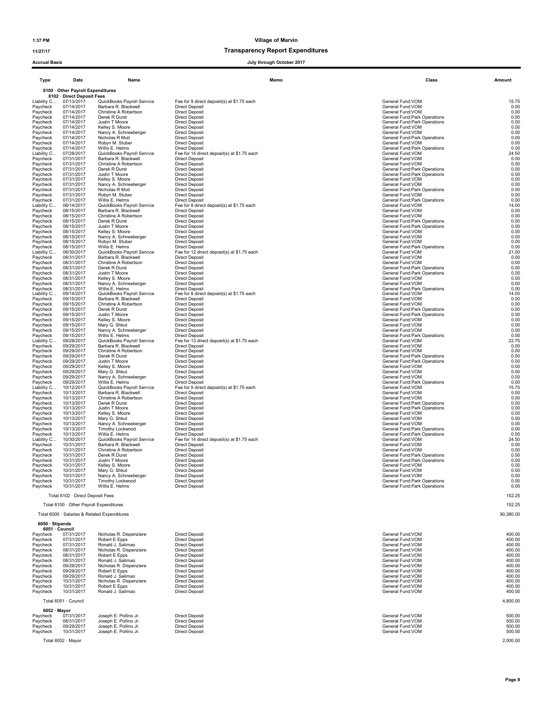# 11/27/17 Transparency Report Expenditures

| <b>Type</b>             | Date                                     | Name                                               |                                                                     | Memo | Class                                                         |  |
|-------------------------|------------------------------------------|----------------------------------------------------|---------------------------------------------------------------------|------|---------------------------------------------------------------|--|
|                         | 6100 · Other Payroll Expenditures        |                                                    |                                                                     |      |                                                               |  |
| Liability C             | 6102 · Direct Deposit Fees<br>07/13/2017 | QuickBooks Payroll Service                         | Fee for 9 direct deposit(s) at \$1.75 each                          |      | General Fund: VOM                                             |  |
| Paycheck                | 07/14/2017                               | Barbara R. Blackwell                               | <b>Direct Deposit</b>                                               |      | General Fund: VOM                                             |  |
| Paycheck                | 07/14/2017                               | Christine A Robertson                              | <b>Direct Deposit</b>                                               |      | General Fund: VOM                                             |  |
| Paycheck                | 07/14/2017                               | Derek R Durst                                      | <b>Direct Deposit</b>                                               |      | General Fund: Park Operations                                 |  |
| Paycheck                | 07/14/2017                               | Justin T Moore                                     | <b>Direct Deposit</b>                                               |      | General Fund: Park Operations                                 |  |
| Paycheck<br>Paycheck    | 07/14/2017<br>07/14/2017                 | Kelley S. Moore<br>Nancy A. Schneeberger           | <b>Direct Deposit</b><br><b>Direct Deposit</b>                      |      | General Fund: VOM<br>General Fund: VOM                        |  |
| Paycheck                | 07/14/2017                               | Nicholas R Muti                                    | <b>Direct Deposit</b>                                               |      | General Fund: Park Operations                                 |  |
| Paycheck                | 07/14/2017                               | Robyn M. Stuber                                    | <b>Direct Deposit</b>                                               |      | General Fund: VOM                                             |  |
| Paycheck                | 07/14/2017                               | Willis E. Helms                                    | <b>Direct Deposit</b>                                               |      | General Fund: Park Operations                                 |  |
| Liability C             | 07/28/2017                               | QuickBooks Payroll Service                         | Fee for 14 direct deposit(s) at \$1.75 each                         |      | General Fund:VOM                                              |  |
| Paycheck                | 07/31/2017                               | Barbara R. Blackwell                               | <b>Direct Deposit</b>                                               |      | General Fund: VOM                                             |  |
| Paycheck<br>Paycheck    | 07/31/2017<br>07/31/2017                 | Christine A Robertson<br>Derek R Durst             | <b>Direct Deposit</b><br><b>Direct Deposit</b>                      |      | General Fund: VOM<br>General Fund: Park Operations            |  |
| Paycheck                | 07/31/2017                               | Justin T Moore                                     | <b>Direct Deposit</b>                                               |      | General Fund:Park Operations                                  |  |
| Paycheck                | 07/31/2017                               | Kelley S. Moore                                    | <b>Direct Deposit</b>                                               |      | General Fund: VOM                                             |  |
| Paycheck                | 07/31/2017                               | Nancy A. Schneeberger                              | <b>Direct Deposit</b>                                               |      | General Fund:VOM                                              |  |
| Paycheck                | 07/31/2017                               | Nicholas R Muti                                    | <b>Direct Deposit</b>                                               |      | General Fund: Park Operations                                 |  |
| Paycheck                | 07/31/2017                               | Robyn M. Stuber                                    | <b>Direct Deposit</b>                                               |      | General Fund: VOM                                             |  |
| Paycheck                | 07/31/2017                               | Willis E. Helms                                    | <b>Direct Deposit</b>                                               |      | General Fund: Park Operations                                 |  |
| Liability C<br>Paycheck | 08/14/2017<br>08/15/2017                 | QuickBooks Payroll Service<br>Barbara R. Blackwell | Fee for 8 direct deposit(s) at \$1.75 each<br><b>Direct Deposit</b> |      | General Fund: VOM<br>General Fund:VOM                         |  |
| Paycheck                | 08/15/2017                               | Christine A Robertson                              | <b>Direct Deposit</b>                                               |      | General Fund: VOM                                             |  |
| Paycheck                | 08/15/2017                               | Derek R Durst                                      | <b>Direct Deposit</b>                                               |      | General Fund: Park Operations                                 |  |
| Paycheck                | 08/15/2017                               | Justin T Moore                                     | <b>Direct Deposit</b>                                               |      | General Fund: Park Operations                                 |  |
| Paycheck                | 08/15/2017                               | Kelley S. Moore                                    | <b>Direct Deposit</b>                                               |      | General Fund: VOM                                             |  |
| Paycheck                | 08/15/2017                               | Nancy A. Schneeberger                              | <b>Direct Deposit</b>                                               |      | General Fund: VOM                                             |  |
| Paycheck<br>Paycheck    | 08/15/2017<br>08/15/2017                 | Robyn M. Stuber<br>Willis E. Helms                 | <b>Direct Deposit</b><br><b>Direct Deposit</b>                      |      | General Fund:VOM<br>General Fund:Park Operations              |  |
| Liability C             | 08/30/2017                               | QuickBooks Payroll Service                         | Fee for 12 direct deposit(s) at \$1.75 each                         |      | General Fund: VOM                                             |  |
| Paycheck                | 08/31/2017                               | Barbara R. Blackwell                               | <b>Direct Deposit</b>                                               |      | General Fund: VOM                                             |  |
| Paycheck                | 08/31/2017                               | Christine A Robertson                              | <b>Direct Deposit</b>                                               |      | General Fund: VOM                                             |  |
| Paycheck                | 08/31/2017                               | Derek R Durst                                      | <b>Direct Deposit</b>                                               |      | General Fund: Park Operations                                 |  |
| Paycheck                | 08/31/2017                               | Justin T Moore                                     | <b>Direct Deposit</b>                                               |      | General Fund: Park Operations                                 |  |
| Paycheck<br>Paycheck    | 08/31/2017<br>08/31/2017                 | Kelley S. Moore<br>Nancy A. Schneeberger           | <b>Direct Deposit</b><br><b>Direct Deposit</b>                      |      | General Fund:VOM<br>General Fund: VOM                         |  |
| Paycheck                | 08/31/2017                               | Willis E. Helms                                    | <b>Direct Deposit</b>                                               |      | General Fund: Park Operations                                 |  |
| Liability C             | 09/14/2017                               | QuickBooks Pavroll Service                         | Fee for 8 direct deposit(s) at \$1.75 each                          |      | General Fund: VOM                                             |  |
| Paycheck                | 09/15/2017                               | Barbara R. Blackwell                               | <b>Direct Deposit</b>                                               |      | General Fund: VOM                                             |  |
| Paycheck                | 09/15/2017                               | Christine A Robertson                              | <b>Direct Deposit</b>                                               |      | General Fund: VOM                                             |  |
| Paycheck                | 09/15/2017                               | Derek R Durst                                      | <b>Direct Deposit</b>                                               |      | General Fund: Park Operations                                 |  |
| Paycheck<br>Paycheck    | 09/15/2017<br>09/15/2017                 | Justin T Moore<br>Kelley S. Moore                  | <b>Direct Deposit</b><br><b>Direct Deposit</b>                      |      | General Fund: Park Operations<br>General Fund: VOM            |  |
| Paycheck                | 09/15/2017                               | Mary G. Shkut                                      | <b>Direct Deposit</b>                                               |      | General Fund:VOM                                              |  |
| Paycheck                | 09/15/2017                               | Nancy A. Schneeberger                              | <b>Direct Deposit</b>                                               |      | General Fund: VOM                                             |  |
| Paycheck                | 09/15/2017                               | Willis E. Helms                                    | <b>Direct Deposit</b>                                               |      | General Fund: Park Operations                                 |  |
| Liability C             | 09/28/2017                               | QuickBooks Payroll Service                         | Fee for 13 direct deposit(s) at \$1.75 each                         |      | General Fund:VOM                                              |  |
| Paycheck                | 09/29/2017                               | Barbara R. Blackwell                               | <b>Direct Deposit</b>                                               |      | General Fund: VOM                                             |  |
| Paycheck<br>Paycheck    | 09/29/2017<br>09/29/2017                 | Christine A Robertson<br>Derek R Durst             | <b>Direct Deposit</b><br><b>Direct Deposit</b>                      |      | General Fund: VOM<br>General Fund: Park Operations            |  |
| Paycheck                | 09/29/2017                               | Justin T Moore                                     | <b>Direct Deposit</b>                                               |      | General Fund:Park Operations                                  |  |
| Paycheck                | 09/29/2017                               | Kelley S. Moore                                    | <b>Direct Deposit</b>                                               |      | General Fund: VOM                                             |  |
| Paycheck                | 09/29/2017                               | Mary G. Shkut                                      | <b>Direct Deposit</b>                                               |      | General Fund:VOM                                              |  |
| Paycheck                | 09/29/2017                               | Nancy A. Schneeberger                              | <b>Direct Deposit</b>                                               |      | General Fund: VOM                                             |  |
| Paycheck                | 09/29/2017                               | Willis E. Helms                                    | <b>Direct Deposit</b>                                               |      | General Fund: Park Operations                                 |  |
| Liability C             | 10/12/2017<br>10/13/2017                 | QuickBooks Payroll Service<br>Barbara R. Blackwell | Fee for 9 direct deposit(s) at \$1.75 each                          |      | General Fund: VOM                                             |  |
| Paycheck<br>Paycheck    | 10/13/2017                               | Christine A Robertson                              | <b>Direct Deposit</b><br><b>Direct Deposit</b>                      |      | General Fund:VOM<br>General Fund:VOM                          |  |
| Paycheck                | 10/13/2017                               | Derek R Durst                                      | <b>Direct Deposit</b>                                               |      | General Fund: Park Operations                                 |  |
| Paycheck                | 10/13/2017                               | Justin T Moore                                     | <b>Direct Deposit</b>                                               |      | General Fund:Park Operations                                  |  |
| Paycheck                | 10/13/2017                               | Kelley S. Moore                                    | <b>Direct Deposit</b>                                               |      | General Fund: VOM                                             |  |
| Paycheck                | 10/13/2017                               | Mary G. Shkut                                      | <b>Direct Deposit</b>                                               |      | General Fund: VOM                                             |  |
| Paycheck                | 10/13/2017                               | Nancy A. Schneeberger                              | <b>Direct Deposit</b>                                               |      | General Fund: VOM                                             |  |
| Paycheck<br>Paycheck    | 10/13/2017<br>10/13/2017                 | Timothy Lockwood<br>Willis E. Helms                | <b>Direct Deposit</b><br><b>Direct Deposit</b>                      |      | General Fund: Park Operations<br>General Fund:Park Operations |  |
| Liability C             | 10/30/2017                               | QuickBooks Payroll Service                         | Fee for 14 direct deposit(s) at \$1.75 each                         |      | General Fund: VOM                                             |  |
| Paycheck                | 10/31/2017                               | Barbara R. Blackwell                               | <b>Direct Deposit</b>                                               |      | General Fund: VOM                                             |  |
| Paycheck                | 10/31/2017                               | Christine A Robertson                              | <b>Direct Deposit</b>                                               |      | General Fund: VOM                                             |  |
| Paycheck                | 10/31/2017                               | Derek R Durst                                      | <b>Direct Deposit</b>                                               |      | General Fund: Park Operations                                 |  |
| Paycheck                | 10/31/2017                               | Justin T Moore                                     | <b>Direct Deposit</b>                                               |      | <b>General Fund:Park Operations</b>                           |  |
| Paycheck<br>Paycheck    | 10/31/2017<br>10/31/2017                 | Kelley S. Moore<br>Mary G. Shkut                   | <b>Direct Deposit</b><br>Direct Deposit                             |      | General Fund: VOM<br>General Fund: VOM                        |  |
| Paycheck                | 10/31/2017                               | Nancy A. Schneeberger                              | <b>Direct Deposit</b>                                               |      | General Fund: VOM                                             |  |
| Paycheck                | 10/31/2017                               | Timothy Lockwood                                   | Direct Deposit                                                      |      | General Fund:Park Operations                                  |  |
| Paycheck                | 10/31/2017                               | Willis E. Helms                                    | <b>Direct Deposit</b>                                               |      | General Fund: Park Operations                                 |  |
|                         |                                          |                                                    |                                                                     |      |                                                               |  |

# 6050 · Stipends 6051 · Council

| Paycheck | 07/31/2017 | Nicholas R. Dispenziere | <b>Direct Deposit</b> | General Fund: VOM | 400.00 |
|----------|------------|-------------------------|-----------------------|-------------------|--------|
| Paycheck | 07/31/2017 | Robert E Epps           | Direct Deposit        | General Fund: VOM | 400.00 |
| Paycheck | 07/31/2017 | Ronald J. Salimao       | Direct Deposit        | General Fund: VOM | 400.00 |
| Paycheck | 08/31/2017 | Nicholas R. Dispenziere | <b>Direct Deposit</b> | General Fund: VOM | 400.00 |
| Paycheck | 08/31/2017 | Robert E Epps           | Direct Deposit        | General Fund: VOM | 400.00 |
| Paycheck | 08/31/2017 | Ronald J. Salimao       | <b>Direct Deposit</b> | General Fund: VOM | 400.00 |
| Paycheck | 09/29/2017 | Nicholas R. Dispenziere | Direct Deposit        | General Fund: VOM | 400.00 |
| Paycheck | 09/29/2017 | Robert E Epps           | Direct Deposit        | General Fund: VOM | 400.00 |
| Paycheck | 09/29/2017 | Ronald J. Salimao       | <b>Direct Deposit</b> | General Fund: VOM | 400.00 |
| Paycheck | 10/31/2017 | Nicholas R. Dispenziere | Direct Deposit        | General Fund: VOM | 400.00 |
| Paycheck | 10/31/2017 | Robert E Epps           | <b>Direct Deposit</b> | General Fund: VOM | 400.00 |
| Paycheck | 10/31/2017 | Ronald J. Salimao       | <b>Direct Deposit</b> | General Fund: VOM | 400.00 |
|          |            |                         |                       |                   |        |

# 6052 · Mayor

| aycheck | 07/31/2017 | Joseph E |
|---------|------------|----------|
| aycheck | 08/31/2017 | Joseph E |
| aycheck | 09/29/2017 | Joseph E |
| aycheck | 10/31/2017 | Joseph E |

Total 6052 · Mayor 2,000.00

|                 | 90,380.00<br>Total 6000 · Salaries & Related Expenditures |                         |                       |                   |          |  |  |  |  |
|-----------------|-----------------------------------------------------------|-------------------------|-----------------------|-------------------|----------|--|--|--|--|
| 6050 · Stipends | 6051 Council                                              |                         |                       |                   |          |  |  |  |  |
| aycheck         | 07/31/2017                                                | Nicholas R. Dispenziere | <b>Direct Deposit</b> | General Fund: VOM | 400.00   |  |  |  |  |
| aycheck         | 07/31/2017                                                | Robert E Epps           | <b>Direct Deposit</b> | General Fund: VOM | 400.00   |  |  |  |  |
| aycheck         | 07/31/2017                                                | Ronald J. Salimao       | <b>Direct Deposit</b> | General Fund: VOM | 400.00   |  |  |  |  |
| aycheck         | 08/31/2017                                                | Nicholas R. Dispenziere | <b>Direct Deposit</b> | General Fund: VOM | 400.00   |  |  |  |  |
| aycheck         | 08/31/2017                                                | Robert E Epps           | <b>Direct Deposit</b> | General Fund: VOM | 400.00   |  |  |  |  |
| aycheck         | 08/31/2017                                                | Ronald J. Salimao       | <b>Direct Deposit</b> | General Fund: VOM | 400.00   |  |  |  |  |
| aycheck         | 09/29/2017                                                | Nicholas R. Dispenziere | <b>Direct Deposit</b> | General Fund: VOM | 400.00   |  |  |  |  |
| aycheck         | 09/29/2017                                                | Robert E Epps           | <b>Direct Deposit</b> | General Fund: VOM | 400.00   |  |  |  |  |
| aycheck         | 09/29/2017                                                | Ronald J. Salimao       | Direct Deposit        | General Fund: VOM | 400.00   |  |  |  |  |
| aycheck         | 10/31/2017                                                | Nicholas R. Dispenziere | <b>Direct Deposit</b> | General Fund: VOM | 400.00   |  |  |  |  |
| aycheck         | 10/31/2017                                                | Robert E Epps           | <b>Direct Deposit</b> | General Fund: VOM | 400.00   |  |  |  |  |
| aycheck         | 10/31/2017                                                | Ronald J. Salimao       | <b>Direct Deposit</b> | General Fund: VOM | 400.00   |  |  |  |  |
|                 | Total 6051 · Council                                      |                         |                       |                   | 4.800.00 |  |  |  |  |

Paycheck 07/31/2017 Joseph E. Pollino Jr. Direct Deposit General Fund:VOM 500.00 Paycheck 08/31/2017 Joseph E. Pollino Jr. Direct Deposit General Fund:VOM 500.00 Paycheck 09/29/2017 Joseph E. Pollino Jr. Direct Deposit General Fund:VOM 500.00 Paycheck 10/31/2017 Joseph E. Pollino Jr. Direct Deposit General Fund:VOM 500.00

# Page 8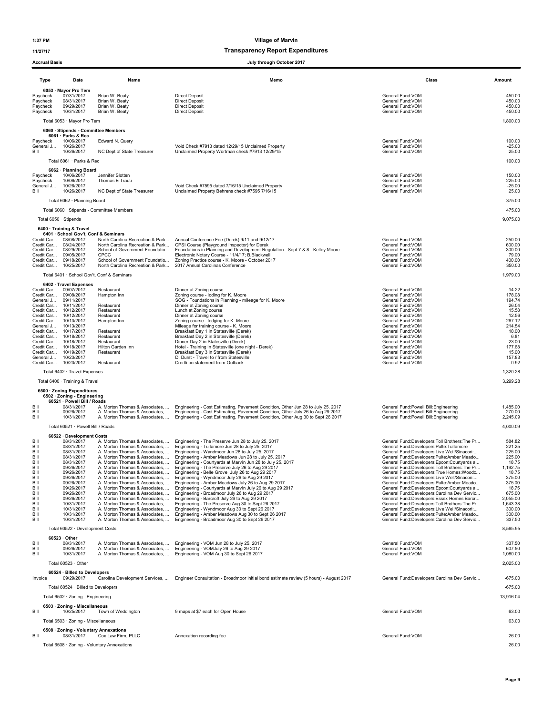# 11/27/17 Transparency Report Expenditures

|                                                                                                                                                     | <b>Accrual Basis</b><br>July through October 2017                                                                                                                                                                                                                                    |                                                                                                                                                                                      |                                                                                                                                                                                                                                                                                                                                                                                                                                                                                                                                                                                                                                                                                                                                                                                                                                                                                                                                                                                                                                                                                                                                                                                                                                                                                                                                                                            |                                                                                                                                                                                                                                                                                                                                                                                                                                                                                                                                                                                                                                                                                                                                                                |                                                                                                                                                                 |  |  |  |
|-----------------------------------------------------------------------------------------------------------------------------------------------------|--------------------------------------------------------------------------------------------------------------------------------------------------------------------------------------------------------------------------------------------------------------------------------------|--------------------------------------------------------------------------------------------------------------------------------------------------------------------------------------|----------------------------------------------------------------------------------------------------------------------------------------------------------------------------------------------------------------------------------------------------------------------------------------------------------------------------------------------------------------------------------------------------------------------------------------------------------------------------------------------------------------------------------------------------------------------------------------------------------------------------------------------------------------------------------------------------------------------------------------------------------------------------------------------------------------------------------------------------------------------------------------------------------------------------------------------------------------------------------------------------------------------------------------------------------------------------------------------------------------------------------------------------------------------------------------------------------------------------------------------------------------------------------------------------------------------------------------------------------------------------|----------------------------------------------------------------------------------------------------------------------------------------------------------------------------------------------------------------------------------------------------------------------------------------------------------------------------------------------------------------------------------------------------------------------------------------------------------------------------------------------------------------------------------------------------------------------------------------------------------------------------------------------------------------------------------------------------------------------------------------------------------------|-----------------------------------------------------------------------------------------------------------------------------------------------------------------|--|--|--|
| Type                                                                                                                                                | Date                                                                                                                                                                                                                                                                                 | Name                                                                                                                                                                                 | Memo                                                                                                                                                                                                                                                                                                                                                                                                                                                                                                                                                                                                                                                                                                                                                                                                                                                                                                                                                                                                                                                                                                                                                                                                                                                                                                                                                                       | Class                                                                                                                                                                                                                                                                                                                                                                                                                                                                                                                                                                                                                                                                                                                                                          | Amount                                                                                                                                                          |  |  |  |
| Paycheck<br>Paycheck<br>Paycheck<br>Paycheck                                                                                                        | 6053 · Mayor Pro Tem<br>07/31/2017<br>08/31/2017<br>09/29/2017<br>10/31/2017                                                                                                                                                                                                         | Brian W. Beaty<br>Brian W. Beaty<br>Brian W. Beaty<br>Brian W. Beaty                                                                                                                 | <b>Direct Deposit</b><br><b>Direct Deposit</b><br><b>Direct Deposit</b><br><b>Direct Deposit</b>                                                                                                                                                                                                                                                                                                                                                                                                                                                                                                                                                                                                                                                                                                                                                                                                                                                                                                                                                                                                                                                                                                                                                                                                                                                                           | General Fund:VOM<br>General Fund: VOM<br>General Fund:VOM<br>General Fund:VOM                                                                                                                                                                                                                                                                                                                                                                                                                                                                                                                                                                                                                                                                                  | 450.00<br>450.00<br>450.00<br>450.00                                                                                                                            |  |  |  |
|                                                                                                                                                     | Total 6053 · Mayor Pro Tem                                                                                                                                                                                                                                                           |                                                                                                                                                                                      |                                                                                                                                                                                                                                                                                                                                                                                                                                                                                                                                                                                                                                                                                                                                                                                                                                                                                                                                                                                                                                                                                                                                                                                                                                                                                                                                                                            |                                                                                                                                                                                                                                                                                                                                                                                                                                                                                                                                                                                                                                                                                                                                                                | 1,800.00                                                                                                                                                        |  |  |  |
| Paycheck<br>General J<br>Bill                                                                                                                       | 6060 · Stipends - Committee Members<br>6061 · Parks & Rec<br>10/06/2017<br>10/26/2017<br>10/26/2017                                                                                                                                                                                  | Edward N. Query<br>NC Dept of State Treasurer                                                                                                                                        | Void Check #7913 dated 12/29/15 Unclaimed Property<br>Unclaimed Property Wortman check #7913 12/29/15                                                                                                                                                                                                                                                                                                                                                                                                                                                                                                                                                                                                                                                                                                                                                                                                                                                                                                                                                                                                                                                                                                                                                                                                                                                                      | General Fund:VOM<br>General Fund:VOM<br>General Fund:VOM                                                                                                                                                                                                                                                                                                                                                                                                                                                                                                                                                                                                                                                                                                       | 100.00<br>$-25.00$<br>25.00                                                                                                                                     |  |  |  |
|                                                                                                                                                     | Total 6061 · Parks & Rec                                                                                                                                                                                                                                                             |                                                                                                                                                                                      |                                                                                                                                                                                                                                                                                                                                                                                                                                                                                                                                                                                                                                                                                                                                                                                                                                                                                                                                                                                                                                                                                                                                                                                                                                                                                                                                                                            |                                                                                                                                                                                                                                                                                                                                                                                                                                                                                                                                                                                                                                                                                                                                                                | 100.00                                                                                                                                                          |  |  |  |
| Paycheck<br>Paycheck<br>General J<br>Bill                                                                                                           | 6062 · Planning Board<br>10/06/2017<br>10/06/2017<br>10/26/2017<br>10/26/2017                                                                                                                                                                                                        | Jennifer Slotten<br>Thomas E Traub<br>NC Dept of State Treasurer                                                                                                                     | Void Check #7595 dated 7/16/15 Unclaimed Property<br>Unclaimed Property Behrens check #7595 7/16/15                                                                                                                                                                                                                                                                                                                                                                                                                                                                                                                                                                                                                                                                                                                                                                                                                                                                                                                                                                                                                                                                                                                                                                                                                                                                        | General Fund: VOM<br>General Fund:VOM<br>General Fund: VOM<br>General Fund: VOM                                                                                                                                                                                                                                                                                                                                                                                                                                                                                                                                                                                                                                                                                | 150.00<br>225.00<br>$-25.00$<br>25.00                                                                                                                           |  |  |  |
|                                                                                                                                                     | Total 6062 · Planning Board                                                                                                                                                                                                                                                          |                                                                                                                                                                                      |                                                                                                                                                                                                                                                                                                                                                                                                                                                                                                                                                                                                                                                                                                                                                                                                                                                                                                                                                                                                                                                                                                                                                                                                                                                                                                                                                                            |                                                                                                                                                                                                                                                                                                                                                                                                                                                                                                                                                                                                                                                                                                                                                                | 375.00                                                                                                                                                          |  |  |  |
|                                                                                                                                                     | Total 6060 · Stipends - Committee Members                                                                                                                                                                                                                                            |                                                                                                                                                                                      |                                                                                                                                                                                                                                                                                                                                                                                                                                                                                                                                                                                                                                                                                                                                                                                                                                                                                                                                                                                                                                                                                                                                                                                                                                                                                                                                                                            |                                                                                                                                                                                                                                                                                                                                                                                                                                                                                                                                                                                                                                                                                                                                                                | 475.00<br>9,075.00                                                                                                                                              |  |  |  |
|                                                                                                                                                     | Total 6050 · Stipends                                                                                                                                                                                                                                                                |                                                                                                                                                                                      |                                                                                                                                                                                                                                                                                                                                                                                                                                                                                                                                                                                                                                                                                                                                                                                                                                                                                                                                                                                                                                                                                                                                                                                                                                                                                                                                                                            |                                                                                                                                                                                                                                                                                                                                                                                                                                                                                                                                                                                                                                                                                                                                                                |                                                                                                                                                                 |  |  |  |
| Credit Car<br>Credit Car                                                                                                                            | 6400 · Training & Travel<br>6401 · School Gov't, Conf & Seminars<br>Credit Car 08/08/2017<br>08/24/2017<br>08/29/2017<br>Credit Car 09/05/2017<br>Credit Car 09/18/2017<br>Credit Car 10/25/2017<br>Total 6401 · School Gov't, Conf & Seminars                                       | North Carolina Recreation & Park<br>North Carolina Recreation & Park<br>School of Government Foundatio<br>CPCC<br>School of Government Foundatio<br>North Carolina Recreation & Park | Annual Conference Fee (Derek) 9/11 and 9/12/17<br>CPSI Course (Playground Inspector) for Derek<br>Foundations in Planning and Development Regulation - Sept 7 & 8 - Kelley Moore<br>Electronic Notary Course - 11/4/17; B.Blackwell<br>Zoning Practice course - K. Moore - October 2017<br>2017 Annual Carolinas Conference                                                                                                                                                                                                                                                                                                                                                                                                                                                                                                                                                                                                                                                                                                                                                                                                                                                                                                                                                                                                                                                | General Fund:VOM<br>General Fund: VOM<br>General Fund: VOM<br>General Fund:VOM<br>General Fund:VOM<br>General Fund:VOM                                                                                                                                                                                                                                                                                                                                                                                                                                                                                                                                                                                                                                         | 250.00<br>600.00<br>300.00<br>79.00<br>400.00<br>350.00<br>1,979.00                                                                                             |  |  |  |
| Credit Car<br>General J<br>Credit Car<br>Credit Car<br>Credit Car<br>Credit Car<br>General J<br>Credit Car<br>Credit Car<br>General J<br>Credit Car | 6402 · Travel Expenses<br>Credit Car 09/07/2017<br>09/08/2017<br>09/11/2017<br>10/11/2017<br>10/12/2017<br>10/12/2017<br>10/13/2017<br>10/13/2017<br>Credit Car 10/17/2017<br>10/18/2017<br>Credit Car 10/18/2017<br>Credit Car 10/18/2017<br>10/19/2017<br>10/23/2017<br>10/23/2017 | Restaurant<br>Hampton Inn<br>Restaurant<br>Restaurant<br>Restaurant<br>Hampton Inn<br>Restaurant<br>Restaurant<br>Restaurant<br>Hilton Garden Inn<br>Restaurant<br>Restaurant        | Dinner at Zoning course<br>Zoning course - loding for K. Moore<br>SOG - Foundations in Planning - mileage for K. Moore<br>Dinner at Zoning course<br>Lunch at Zoning course<br>Dinner at Zoning course<br>Zoning course - lodging for K. Moore<br>Mileage for training course - K. Moore<br>Breakfast Day 1 in Statesville (Derek)<br>Breakfast Day 2 in Statesville (Derek)<br>Dinner Day 2 in Statesville (Derek)<br>Hotel - Training in Statesville (one night - Derek)<br>Breakfast Day 3 in Statesville (Derek)<br>D. Durst - Travel to / from Statesville<br>Credti on statement from Outback                                                                                                                                                                                                                                                                                                                                                                                                                                                                                                                                                                                                                                                                                                                                                                        | General Fund:VOM<br>General Fund:VOM<br>General Fund:VOM<br>General Fund:VOM<br>General Fund: VOM<br>General Fund:VOM<br>General Fund:VOM<br>General Fund: VOM<br>General Fund: VOM<br>General Fund: VOM<br>General Fund:VOM<br>General Fund: VOM<br>General Fund: VOM<br>General Fund: VOM<br>General Fund: VOM                                                                                                                                                                                                                                                                                                                                                                                                                                               | 14.22<br>178.08<br>194.74<br>26.04<br>15.58<br>12.56<br>267.12<br>214.54<br>18.00<br>6.81<br>23.00<br>177.68<br>15.00<br>157.83<br>$-0.92$                      |  |  |  |
|                                                                                                                                                     | Total 6402 · Travel Expenses                                                                                                                                                                                                                                                         |                                                                                                                                                                                      |                                                                                                                                                                                                                                                                                                                                                                                                                                                                                                                                                                                                                                                                                                                                                                                                                                                                                                                                                                                                                                                                                                                                                                                                                                                                                                                                                                            |                                                                                                                                                                                                                                                                                                                                                                                                                                                                                                                                                                                                                                                                                                                                                                | 1,320.28                                                                                                                                                        |  |  |  |
|                                                                                                                                                     | Total 6400 · Training & Travel                                                                                                                                                                                                                                                       |                                                                                                                                                                                      |                                                                                                                                                                                                                                                                                                                                                                                                                                                                                                                                                                                                                                                                                                                                                                                                                                                                                                                                                                                                                                                                                                                                                                                                                                                                                                                                                                            |                                                                                                                                                                                                                                                                                                                                                                                                                                                                                                                                                                                                                                                                                                                                                                | 3,299.28                                                                                                                                                        |  |  |  |
|                                                                                                                                                     | 6500 · Zoning Expenditures<br>6502 · Zoning - Engineering                                                                                                                                                                                                                            |                                                                                                                                                                                      |                                                                                                                                                                                                                                                                                                                                                                                                                                                                                                                                                                                                                                                                                                                                                                                                                                                                                                                                                                                                                                                                                                                                                                                                                                                                                                                                                                            |                                                                                                                                                                                                                                                                                                                                                                                                                                                                                                                                                                                                                                                                                                                                                                |                                                                                                                                                                 |  |  |  |
| Bill<br>Bill<br>Bill                                                                                                                                | 60521 · Powell Bill / Roads<br>08/31/2017<br>09/26/2017<br>10/31/2017                                                                                                                                                                                                                |                                                                                                                                                                                      | A. Morton Thomas & Associates,  Engineering - Cost Estimating, Pavement Condition, Other Jun 28 to July 25. 2017<br>A. Morton Thomas & Associates,  Engineering - Cost Estimating, Pavement Condition, Other July 26 to Aug 29 2017<br>A. Morton Thomas & Associates,  Engineering - Cost Estimating, Pavement Condition, Other Aug 30 to Sept 26 2017                                                                                                                                                                                                                                                                                                                                                                                                                                                                                                                                                                                                                                                                                                                                                                                                                                                                                                                                                                                                                     | General Fund: Powell Bill: Engineering<br>General Fund:Powell Bill:Engineering<br>General Fund: Powell Bill: Engineering                                                                                                                                                                                                                                                                                                                                                                                                                                                                                                                                                                                                                                       | 1,485.00<br>270.00<br>2,245.09                                                                                                                                  |  |  |  |
|                                                                                                                                                     | Total 60521 · Powell Bill / Roads                                                                                                                                                                                                                                                    |                                                                                                                                                                                      |                                                                                                                                                                                                                                                                                                                                                                                                                                                                                                                                                                                                                                                                                                                                                                                                                                                                                                                                                                                                                                                                                                                                                                                                                                                                                                                                                                            |                                                                                                                                                                                                                                                                                                                                                                                                                                                                                                                                                                                                                                                                                                                                                                | 4,000.09                                                                                                                                                        |  |  |  |
| Bill<br>Bill<br>Bill<br>Bill<br>Rill<br>Bill<br>Bill<br>Bill<br>Bill<br>Bill<br>Bill<br>Bill<br>Bill<br>Bill<br>Bill<br>Bill                        | 60522 · Development Costs<br>08/31/2017<br>08/31/2017<br>08/31/2017<br>08/31/2017<br>08/31/2017<br>09/26/2017<br>09/26/2017<br>09/26/2017<br>09/26/2017<br>09/26/2017<br>09/26/2017<br>09/26/2017<br>10/31/2017<br>10/31/2017<br>10/31/2017<br>10/31/2017                            | A. Morton Thomas & Associates,                                                                                                                                                       | A. Morton Thomas & Associates,  Engineering - The Preserve Jun 28 to July 25. 2017<br>A. Morton Thomas & Associates,  Engineering - Tullamore Jun 28 to July 25. 2017<br>A. Morton Thomas & Associates,  Engineering - Wyndmoor Jun 28 to July 25. 2017<br>A. Morton Thomas & Associates,  Engineering - Amber Meadows Jun 28 to July 25. 2017<br>Engineering - Courtyards at Marvin Jun 28 to July 25. 2017<br>A. Morton Thomas & Associates,  Engineering - The Preserve July 26 to Aug 29 2017<br>A. Morton Thomas & Associates,  Engineering - Belle Grove July 26 to Aug 29 2017<br>A. Morton Thomas & Associates,  Engineering - Wyndmoor July 26 to Aug 29 2017<br>A. Morton Thomas & Associates,  Engineering - Amber Meadows July 26 to Aug 29 2017<br>A. Morton Thomas & Associates,  Engineering - Courtyards at Marvin July 26 to Aug 29 2017<br>A. Morton Thomas & Associates,  Engineering - Broadmoor July 26 to Aug 29 2017<br>A. Morton Thomas & Associates,  Engineering - Barcroft July 26 to Aug 29 2017<br>A. Morton Thomas & Associates,  Engineering - The Preserve Aug 30 to Sept 26 2017<br>A. Morton Thomas & Associates,  Engineering - Wyndmoor Aug 30 to Sept 26 2017<br>A. Morton Thomas & Associates,  Engineering - Amber Meadows Aug 30 to Sept 26 2017<br>A. Morton Thomas & Associates,  Engineering - Broadmoor Aug 30 to Sept 26 2017 | General Fund:Developers:Toll Brothers:The Pr<br>General Fund:Developers:Pulte:Tullamore<br>General Fund:Developers:Live Well/Sinacori:<br>General Fund:Developers:Pulte:Amber Meado<br>General Fund:Developers:Epcon:Courtyards a.<br>General Fund:Developers:Toll Brothers:The Pr<br>General Fund:Developers:True Homes:Woodc<br>General Fund:Developers:Live Well/Sinacori<br>General Fund:Developers:Pulte:Amber Meado<br>General Fund:Developers:Epcon:Courtyards a<br>General Fund:Developers:Carolina Dev Servic<br>General Fund:Developers:Essex Homes:Barcr<br>General Fund:Developers:Toll Brothers:The Pr<br>General Fund:Developers:Live Well/Sinacori:<br>General Fund:Developers:Pulte:Amber Meado<br>General Fund:Developers:Carolina Dev Servic | 584.82<br>221.25<br>225.00<br>225.00<br>18.75<br>1,192.75<br>18.75<br>375.00<br>375.00<br>18.75<br>675.00<br>2,055.00<br>1,643.38<br>300.00<br>300.00<br>337.50 |  |  |  |
|                                                                                                                                                     | Total 60522 · Development Costs                                                                                                                                                                                                                                                      |                                                                                                                                                                                      |                                                                                                                                                                                                                                                                                                                                                                                                                                                                                                                                                                                                                                                                                                                                                                                                                                                                                                                                                                                                                                                                                                                                                                                                                                                                                                                                                                            |                                                                                                                                                                                                                                                                                                                                                                                                                                                                                                                                                                                                                                                                                                                                                                | 8,565.95                                                                                                                                                        |  |  |  |
| Bill<br>Bill<br>Bill                                                                                                                                | 60523 · Other<br>08/31/2017<br>09/26/2017<br>10/31/2017<br>Total 60523 · Other                                                                                                                                                                                                       | A. Morton Thomas & Associates,<br>A. Morton Thomas & Associates,                                                                                                                     | Engineering - VOM Jun 28 to July 25. 2017<br>Engineering - VOMJuly 26 to Aug 29 2017<br>A. Morton Thomas & Associates,  Engineering - VOM Aug 30 to Sept 26 2017                                                                                                                                                                                                                                                                                                                                                                                                                                                                                                                                                                                                                                                                                                                                                                                                                                                                                                                                                                                                                                                                                                                                                                                                           | General Fund:VOM<br>General Fund:VOM<br>General Fund:VOM                                                                                                                                                                                                                                                                                                                                                                                                                                                                                                                                                                                                                                                                                                       | 337.50<br>607.50<br>1,080.00<br>2,025.00                                                                                                                        |  |  |  |
|                                                                                                                                                     | 60524 · Billed to Developers                                                                                                                                                                                                                                                         |                                                                                                                                                                                      |                                                                                                                                                                                                                                                                                                                                                                                                                                                                                                                                                                                                                                                                                                                                                                                                                                                                                                                                                                                                                                                                                                                                                                                                                                                                                                                                                                            |                                                                                                                                                                                                                                                                                                                                                                                                                                                                                                                                                                                                                                                                                                                                                                |                                                                                                                                                                 |  |  |  |
| Invoice                                                                                                                                             | 09/29/2017<br>Total 60524 · Billed to Developers<br>Total 6502 · Zoning - Engineering                                                                                                                                                                                                | Carolina Development Services,                                                                                                                                                       | Engineer Consultation - Broadmoor initial bond estimate review (5 hours) - August 2017                                                                                                                                                                                                                                                                                                                                                                                                                                                                                                                                                                                                                                                                                                                                                                                                                                                                                                                                                                                                                                                                                                                                                                                                                                                                                     | General Fund:Developers:Carolina Dev Servic                                                                                                                                                                                                                                                                                                                                                                                                                                                                                                                                                                                                                                                                                                                    | $-675.00$<br>$-675.00$<br>13,916.04                                                                                                                             |  |  |  |
| Bill                                                                                                                                                | 6503 · Zoning - Miscellaneous<br>10/25/2017<br>Total 6503 · Zoning - Miscellaneous                                                                                                                                                                                                   | Town of Weddington                                                                                                                                                                   | 9 maps at \$7 each for Open House                                                                                                                                                                                                                                                                                                                                                                                                                                                                                                                                                                                                                                                                                                                                                                                                                                                                                                                                                                                                                                                                                                                                                                                                                                                                                                                                          | General Fund:VOM                                                                                                                                                                                                                                                                                                                                                                                                                                                                                                                                                                                                                                                                                                                                               | 63.00<br>63.00                                                                                                                                                  |  |  |  |

6508 · Zoning - Voluntary Annexations osvo - connig - voluntary Annexations - Mannexation recording fee General Fund:VOM 26.00<br>Bill 08/31/2017 Cox Law Firm, PLLC Annexation recording fee General Fund:VOM 26.00

Total 6508 · Zoning - Voluntary Annexations 26.00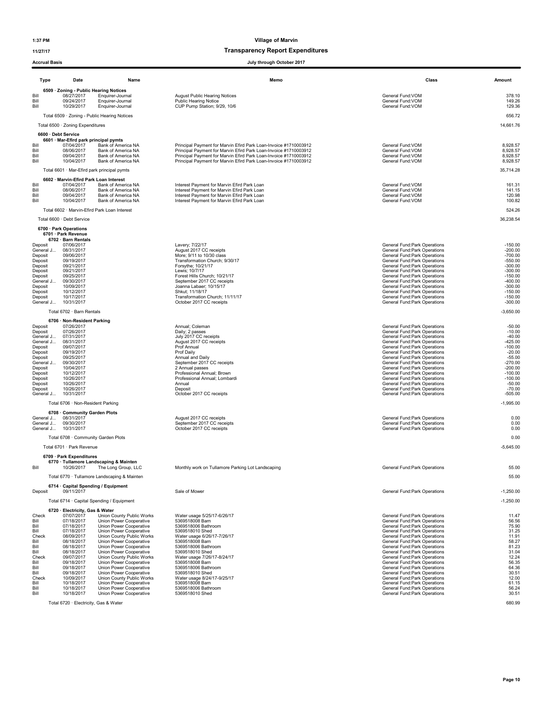# 11/27/17 Transparency Report Expenditures

# Accrual Basis July through October 2017

| Acciual Dasis        |                                                                                  |      | <b>July through October 2017</b>                                                                                                     |                                                                |                        |
|----------------------|----------------------------------------------------------------------------------|------|--------------------------------------------------------------------------------------------------------------------------------------|----------------------------------------------------------------|------------------------|
| Type                 | Date                                                                             | Name | Memo                                                                                                                                 | Class                                                          | Amount                 |
|                      | 6509 · Zoning - Public Hearing Notices                                           |      |                                                                                                                                      |                                                                |                        |
| Bill<br>Bill         | 08/27/2017<br>Enquirer-Journal<br>09/24/2017<br>Enquirer-Journal                 |      | <b>August Public Hearing Notices</b><br><b>Public Hearing Notice</b>                                                                 | General Fund: VOM<br>General Fund: VOM                         | 378.10<br>149.26       |
| Bill                 | 10/29/2017<br>Enquirer-Journal                                                   |      | CUP Pump Station; 9/29, 10/6                                                                                                         | General Fund: VOM                                              | 129.36                 |
|                      | Total 6509 · Zoning - Public Hearing Notices                                     |      |                                                                                                                                      |                                                                | 656.72                 |
|                      | Total 6500 · Zoning Expenditures                                                 |      |                                                                                                                                      |                                                                | 14,661.76              |
| 6600 · Debt Service  |                                                                                  |      |                                                                                                                                      |                                                                |                        |
| Bill                 | 6601 · Mar-Efird park principal pymts<br>07/04/2017<br>Bank of America NA        |      | Principal Payment for Marvin Efird Park Loan-Invoice #1710003912                                                                     | General Fund: VOM                                              | 8,928.57               |
| Bill<br>Bill         | 08/06/2017<br>Bank of America NA<br>Bank of America NA                           |      | Principal Payment for Marvin Efird Park Loan-Invoice #1710003912<br>Principal Payment for Marvin Efird Park Loan-Invoice #1710003912 | General Fund: VOM<br>General Fund: VOM                         | 8,928.57<br>8,928.57   |
| Bill                 | 09/04/2017<br>10/04/2017<br>Bank of America NA                                   |      | Principal Payment for Marvin Efird Park Loan-Invoice #1710003912                                                                     | General Fund: VOM                                              | 8,928.57               |
|                      | Total 6601 · Mar-Efird park principal pymts                                      |      |                                                                                                                                      |                                                                | 35,714.28              |
|                      | 6602 · Marvin-Efird Park Loan Interest                                           |      |                                                                                                                                      |                                                                |                        |
| Bill<br>Bill         | 07/04/2017<br>Bank of America NA<br>08/06/2017<br>Bank of America NA             |      | Interest Payment for Marvin Efird Park Loan<br>Interest Payment for Marvin Efird Park Loan                                           | General Fund: VOM<br>General Fund:VOM                          | 161.31<br>141.15       |
| Bill                 | 09/04/2017<br>Bank of America NA                                                 |      | Interest Payment for Marvin Efird Park Loan                                                                                          | General Fund:VOM                                               | 120.98                 |
| Bill                 | 10/04/2017<br>Bank of America NA                                                 |      | Interest Payment for Marvin Efird Park Loan                                                                                          | General Fund:VOM                                               | 100.82                 |
|                      | Total 6602 · Marvin-Efird Park Loan Interest                                     |      |                                                                                                                                      |                                                                | 524.26                 |
|                      | Total 6600 · Debt Service                                                        |      |                                                                                                                                      |                                                                | 36,238.54              |
|                      | 6700 · Park Operations<br>6701 · Park Revenue                                    |      |                                                                                                                                      |                                                                |                        |
|                      | 6702 · Barn Rentals                                                              |      |                                                                                                                                      |                                                                |                        |
| Deposit<br>General J | 07/06/2017<br>08/31/2017                                                         |      | Lavery; 7/22/17<br>August 2017 CC receipts                                                                                           | General Fund: Park Operations<br>General Fund: Park Operations | $-150.00$<br>$-200.00$ |
| Deposit              | 09/06/2017                                                                       |      | More; 9/11 to 10/30 class<br>Transformation Church; 9/30/17                                                                          | General Fund: Park Operations                                  | $-700.00$              |
| Deposit<br>Deposit   | 09/19/2017<br>09/21/2017                                                         |      | Forsythe; 10/21/17                                                                                                                   | General Fund: Park Operations<br>General Fund: Park Operations | $-550.00$<br>$-300.00$ |
| Deposit<br>Deposit   | 09/21/2017<br>09/25/2017                                                         |      | Lewis; 10/7/17<br>Forest Hills Church: 10/21/17                                                                                      | General Fund: Park Operations<br>General Fund: Park Operations | $-300.00$<br>$-150.00$ |
| General J            | 09/30/2017                                                                       |      | September 2017 CC receipts                                                                                                           | General Fund: Park Operations                                  | $-400.00$              |
| Deposit<br>Deposit   | 10/09/2017<br>10/12/2017                                                         |      | Joanna Labaer; 10/15/17<br>Shkut; 11/18/17                                                                                           | General Fund: Park Operations<br>General Fund: Park Operations | $-300.00$<br>$-150.00$ |
| Deposit<br>General J | 10/17/2017<br>10/31/2017                                                         |      | Transformation Church; 11/11/17<br>October 2017 CC receipts                                                                          | General Fund: Park Operations<br>General Fund: Park Operations | $-150.00$<br>$-300.00$ |
|                      | Total 6702 · Barn Rentals                                                        |      |                                                                                                                                      |                                                                | $-3,650.00$            |
|                      | 6706 · Non-Resident Parking                                                      |      |                                                                                                                                      |                                                                |                        |
| Deposit              | 07/26/2017                                                                       |      | Annual; Coleman                                                                                                                      | General Fund: Park Operations                                  | $-50.00$               |
| Deposit<br>General J | 07/26/2017<br>07/31/2017                                                         |      | Daily; 2 passes<br>July 2017 CC receipts                                                                                             | General Fund: Park Operations<br>General Fund: Park Operations | $-10.00$<br>$-40.00$   |
| General J<br>Deposit | 08/31/2017<br>09/07/2017                                                         |      | August 2017 CC receipts<br>Prof Annual                                                                                               | General Fund: Park Operations<br>General Fund: Park Operations | $-425.00$<br>$-100.00$ |
| Deposit              | 09/19/2017                                                                       |      | Prof Daily                                                                                                                           | General Fund: Park Operations                                  | $-20.00$               |
| Deposit<br>General J | 09/25/2017<br>09/30/2017                                                         |      | Annual and Daily<br>September 2017 CC receipts                                                                                       | General Fund: Park Operations<br>General Fund: Park Operations | $-55.00$<br>$-270.00$  |
| Deposit              | 10/04/2017                                                                       |      | 2 Annual passes<br>Professional Annual; Brown                                                                                        | General Fund: Park Operations                                  | $-200.00$<br>$-100.00$ |
| Deposit<br>Deposit   | 10/12/2017<br>10/26/2017                                                         |      | Professional Annual; Lombardi                                                                                                        | General Fund: Park Operations<br>General Fund: Park Operations | $-100.00$              |
| Deposit<br>Deposit   | 10/26/2017<br>10/26/2017                                                         |      | Annual<br>Deposit                                                                                                                    | General Fund: Park Operations<br>General Fund: Park Operations | $-50.00$<br>$-70.00$   |
| General J            | 10/31/2017                                                                       |      | October 2017 CC receipts                                                                                                             | General Fund: Park Operations                                  | $-505.00$              |
|                      | Total 6706 · Non-Resident Parking                                                |      |                                                                                                                                      |                                                                | $-1,995.00$            |
|                      | 6708 Community Garden Plots                                                      |      |                                                                                                                                      |                                                                |                        |
| General J            | General J 08/31/2017<br>09/30/2017                                               |      | August 2017 CC receipts<br>September 2017 CC receipts                                                                                | General Fund: Park Operations<br>General Fund: Park Operations | 0.00<br>0.00           |
| General J            | 10/31/2017                                                                       |      | October 2017 CC receipts                                                                                                             | General Fund: Park Operations                                  | 0.00                   |
|                      | Total 6708 · Community Garden Plots                                              |      |                                                                                                                                      |                                                                | 0.00                   |
|                      | Total 6701 · Park Revenue                                                        |      |                                                                                                                                      |                                                                | $-5,645.00$            |
|                      | 6709 · Park Expenditures<br>6770 · Tullamore Landscaping & Mainten               |      |                                                                                                                                      |                                                                |                        |
|                      | 10/26/2017<br>The Long Group, LLC                                                |      | Monthly work on Tullamore Parking Lot Landscaping                                                                                    | General Fund: Park Operations                                  | 55.00                  |
|                      | Total 6770 · Tullamore Landscaping & Mainten                                     |      |                                                                                                                                      |                                                                | 55.00                  |
|                      | 6714 · Capital Spending / Equipment                                              |      |                                                                                                                                      |                                                                |                        |
| Deposit              | 09/11/2017                                                                       |      | Sale of Mower                                                                                                                        | General Fund: Park Operations                                  | $-1,250.00$            |
|                      | Total 6714 · Capital Spending / Equipment                                        |      |                                                                                                                                      |                                                                | $-1,250.00$            |
|                      | 6720 · Electricity, Gas & Water                                                  |      |                                                                                                                                      |                                                                |                        |
| Check<br>Bill        | 07/07/2017<br>Union County Public Works<br>07/18/2017<br>Union Power Cooperative |      | Water usage 5/25/17-6/26/17<br>5369518008 Barn                                                                                       | General Fund: Park Operations<br>General Fund: Park Operations | 11.47<br>56.56         |
| Bill<br>Bill         | 07/18/2017<br>Union Power Cooperative<br>Union Power Cooperative<br>07/18/2017   |      | 5369518006 Bathroom<br>5369518010 Shed                                                                                               | General Fund:Park Operations<br>General Fund: Park Operations  | 75.90<br>31.25         |
| Check                | 08/09/2017<br>Union County Public Works                                          |      | Water usage 6/26/17-7/26/17                                                                                                          | General Fund: Park Operations                                  | 11.91                  |
| Bill<br>Bill         | 08/18/2017<br>Union Power Cooperative<br>Union Power Cooperative<br>08/18/2017   |      | 5369518008 Barn<br>5369518006 Bathroom                                                                                               | General Fund: Park Operations<br>General Fund: Park Operations | 58.27<br>81.23         |
| Bill                 | Union Power Cooperative<br>08/18/2017                                            |      | 5369518010 Shed<br>Water usage 7/26/17-8/24/17                                                                                       | General Fund: Park Operations<br>General Fund: Park Operations | 31.04                  |
| Check<br>Bill        | Union County Public Works<br>09/07/2017<br>09/18/2017<br>Union Power Cooperative |      | 5369518008 Barn                                                                                                                      | General Fund: Park Operations                                  | 12.24<br>56.35         |
| Bill<br>Bill         | Union Power Cooperative<br>09/18/2017<br>09/18/2017<br>Union Power Cooperative   |      | 5369518006 Bathroom<br>5369518010 Shed                                                                                               | General Fund: Park Operations<br>General Fund: Park Operations | 64.36<br>30.51         |
| Check                | Union County Public Works<br>10/09/2017                                          |      | Water usage 8/24/17-9/25/17                                                                                                          | General Fund: Park Operations                                  | 12.00                  |
| Bill<br>Bill         | 10/18/2017<br>Union Power Cooperative<br>10/18/2017<br>Union Power Cooperative   |      | 5369518008 Barn<br>5369518006 Bathroom                                                                                               | General Fund: Park Operations<br>General Fund: Park Operations | 61.15<br>56.24         |
| Bill                 | 10/18/2017<br>Union Power Cooperative                                            |      | 5369518010 Shed                                                                                                                      | General Fund: Park Operations                                  | 30.51                  |

Total 6720 · Electricity, Gas & Water 680.99 **680.99 680.99**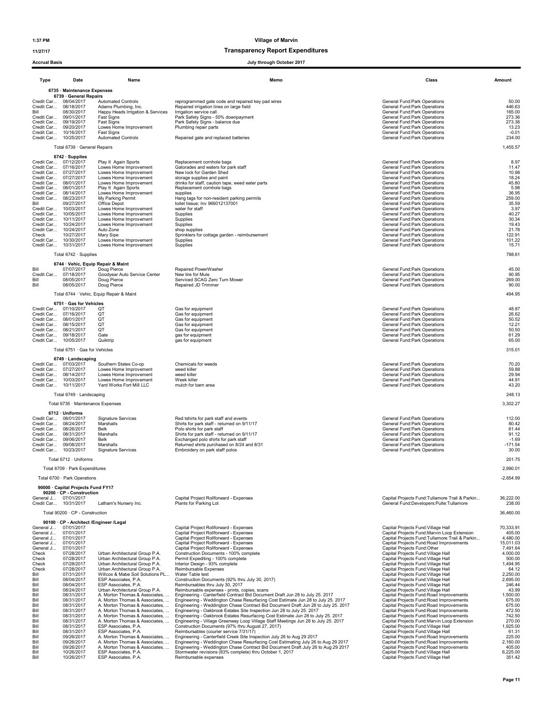# 11/27/17 Transparency Report Expenditures

| <b>Type</b>                                    | Date                                                    | Name                                                               | Memo                                                                                                                                                                   | Class                                                                                           | Amount                |
|------------------------------------------------|---------------------------------------------------------|--------------------------------------------------------------------|------------------------------------------------------------------------------------------------------------------------------------------------------------------------|-------------------------------------------------------------------------------------------------|-----------------------|
|                                                | 6735 · Maintenance Expenses<br>6739 · General Repairs   |                                                                    |                                                                                                                                                                        |                                                                                                 |                       |
| Credit Car                                     | Credit Car 08/04/2017<br>08/18/2017                     | <b>Automated Controls</b><br>Adams Plumbing, Inc.                  | reprogrammed gate code and repaired key pad wires<br>Repaired irrigation lines on large field                                                                          | General Fund:Park Operations<br>General Fund: Park Operations                                   | 50.00<br>446.63       |
| Bill<br>Credit Car 09/01/2017                  | 08/30/2017                                              | Happy Heads Irrigation & Services<br>Fast Signs                    | Irrigation service call<br>Park Safety Signs - 50% downpayment                                                                                                         | General Fund: Park Operations<br>General Fund:Park Operations                                   | 165.00<br>273.36      |
| Credit Car 09/19/2017<br>Credit Car 09/20/2017 |                                                         | <b>Fast Signs</b><br>Lowes Home Improvement                        | Park Safety Signs - balance due<br>Plumbing repair parts                                                                                                               | General Fund:Park Operations<br>General Fund: Park Operations                                   | 273.36<br>13.23       |
| Credit Car 10/16/2017                          |                                                         | Fast Signs                                                         |                                                                                                                                                                        | General Fund: Park Operations                                                                   | $-0.01$               |
| Credit Car 10/25/2017                          | Total 6739 · General Repairs                            | <b>Automated Controls</b>                                          | Repaired gate and replaced batteries                                                                                                                                   | General Fund: Park Operations                                                                   | 234.00<br>1,455.57    |
|                                                | $6742 \cdot$ Supplies                                   |                                                                    |                                                                                                                                                                        |                                                                                                 |                       |
| Credit Car 07/12/2017<br>Credit Car 07/16/2017 |                                                         | Play It Again Sports<br>Lowes Home Improvement                     | Replacement cornhole bags<br>Gatorades and waters for park staff                                                                                                       | General Fund:Park Operations<br>General Fund: Park Operations                                   | 8.97<br>11.47         |
| Credit Car 07/27/2017                          |                                                         | Lowes Home Improvement                                             | New lock for Garden Shed                                                                                                                                               | General Fund:Park Operations                                                                    | 10.98                 |
| Credit Car 07/27/2017<br>Credit Car 08/01/2017 |                                                         | Lowes Home Improvement<br>Lowes Home Improvement                   | storage supplies and paint<br>drinks for staff, caution tape, weed eater parts                                                                                         | General Fund: Park Operations<br>General Fund: Park Operations                                  | 18.24<br>45.80        |
| Credit Car 08/01/2017<br>Credit Car 08/14/2017 |                                                         | Play It Again Sports<br>Lowes Home Improvement                     | Replacement cornhole bags<br>supplies                                                                                                                                  | General Fund:Park Operations<br>General Fund: Park Operations                                   | 5.98<br>36.95         |
| Credit Car 08/23/2017<br>Bill                  | 09/27/2017                                              | My Parking Permit<br>Office Depot                                  | Hang tags for non-resident parking permits<br>toilet tissue; Inv 966012137001                                                                                          | General Fund:Park Operations<br>General Fund: Park Operations                                   | 259.00<br>35.59       |
| Credit Car 10/03/2017<br>Credit Car 10/05/2017 |                                                         | Lowes Home Improvement<br>Lowes Home Improvement                   | water for staff<br>Supplies                                                                                                                                            | General Fund: Park Operations<br>General Fund: Park Operations                                  | 3.97<br>40.27         |
| Credit Car 10/11/2017<br>Credit Car 10/24/2017 |                                                         | Lowes Home Improvement<br>Lowes Home Improvement                   | Supplies<br>Supplies                                                                                                                                                   | General Fund: Park Operations<br>General Fund: Park Operations                                  | 30.34<br>19.43        |
| Credit Car 10/24/2017                          |                                                         | Auto Zone                                                          | shop supplies                                                                                                                                                          | General Fund:Park Operations                                                                    | 21.78                 |
| Check<br>Credit Car 10/30/2017                 | 10/27/2017                                              | Mary Sipe<br>Lowes Home Improvement                                | Sprinklers for cottage garden - reimbursement<br>Supplies                                                                                                              | General Fund: Park Operations<br>General Fund: Park Operations                                  | 122.91<br>101.22      |
| Credit Car 10/31/2017                          |                                                         | Lowes Home Improvement                                             | Supplies                                                                                                                                                               | General Fund: Park Operations                                                                   | 15.71                 |
|                                                | Total 6742 · Supplies                                   | 6744 · Vehic, Equip Repair & Maint                                 |                                                                                                                                                                        |                                                                                                 | 788.61                |
| Bill                                           | 07/07/2017                                              | Doug Pierce                                                        | Repaired PowerWasher                                                                                                                                                   | General Fund: Park Operations                                                                   | 45.00                 |
| Credit Car<br>Bill                             | 07/18/2017<br>08/05/2017                                | Goodyear Auto Service Center<br>Doug Pierce                        | New tire for Mule<br>Serviced SCAG Zero Turn Mower                                                                                                                     | General Fund:Park Operations<br>General Fund:Park Operations                                    | 90.95<br>269.00       |
| Bill                                           | 08/05/2017                                              | Doug Pierce                                                        | Repaired JD Trimmer                                                                                                                                                    | <b>General Fund:Park Operations</b>                                                             | 90.00                 |
|                                                |                                                         | Total 6744 · Vehic, Equip Repair & Maint                           |                                                                                                                                                                        |                                                                                                 | 494.95                |
| Credit Car 07/10/2017                          | 6751 · Gas for Vehicles                                 | OT                                                                 | Gas for equipment                                                                                                                                                      | General Fund: Park Operations                                                                   | 48.87                 |
| Credit Car 07/16/2017<br>Credit Car 08/01/2017 |                                                         | QT<br>QT                                                           | Gas for equipment<br>Gas for equipment                                                                                                                                 | General Fund: Park Operations<br>General Fund: Park Operations                                  | 26.62<br>50.52        |
| Credit Car 08/15/2017<br>Credit Car 08/21/2017 |                                                         | QT<br>QT                                                           | Gas for equipment<br>Gas for equipment                                                                                                                                 | General Fund:Park Operations<br>General Fund:Park Operations                                    | 12.21<br>50.50        |
| Credit Car 09/18/2017<br>Credit Car 10/05/2017 |                                                         | Gate<br>Quiktrip                                                   | gas for equipment<br>gas for equipment                                                                                                                                 | General Fund: Park Operations<br>General Fund: Park Operations                                  | 61.29<br>65.00        |
|                                                | Total 6751 · Gas for Vehicles                           |                                                                    |                                                                                                                                                                        |                                                                                                 | 315.01                |
|                                                | 6749 · Landscaping                                      |                                                                    |                                                                                                                                                                        |                                                                                                 |                       |
| Credit Car 07/03/2017<br>Credit Car 07/27/2017 |                                                         | Southern States Co-op<br>Lowes Home Improvement                    | Chemicals for weeds<br>weed killer                                                                                                                                     | General Fund: Park Operations<br>General Fund: Park Operations                                  | 70.20<br>59.88        |
| Credit Car 08/14/2017<br>Credit Car 10/03/2017 |                                                         | Lowes Home Improvement                                             | weed killer<br>Week killer                                                                                                                                             | General Fund:Park Operations                                                                    | 29.94<br>44.91        |
| Credit Car 10/11/2017                          |                                                         | Lowes Home Improvement<br>Yard Works Fort Mill LLC                 | mulch for barn area                                                                                                                                                    | General Fund: Park Operations<br>General Fund: Park Operations                                  | 43.20                 |
|                                                | Total 6749 · Landscaping                                |                                                                    |                                                                                                                                                                        |                                                                                                 | 248.13                |
|                                                | Total 6735 · Maintenance Expenses                       |                                                                    |                                                                                                                                                                        |                                                                                                 | 3,302.27              |
| Credit Car 08/01/2017                          | 6712 Uniforms                                           | <b>Signature Services</b>                                          | Red tshirts for park staff and events                                                                                                                                  | General Fund:Park Operations                                                                    | 112.00                |
| Credit Car 08/24/2017<br>Credit Car 08/26/2017 |                                                         | Marshalls<br>Belk                                                  | Shirts for park staff - returned on 9/11/17<br>Polo shirts for park staff                                                                                              | General Fund: Park Operations<br>General Fund: Park Operations                                  | 80.42<br>61.44        |
| Credit Car 08/31/2017                          |                                                         | Marshalls<br>Belk                                                  | Shirts for park staff - returned on 9/11/17                                                                                                                            | General Fund: Park Operations<br>General Fund:Park Operations                                   | 91.12                 |
| Credit Car 09/06/2017<br>Credit Car 09/08/2017 |                                                         | Marshalls                                                          | Exchanged polo shirts for park staff<br>Returned shirts purchased on 8/24 and 8/31                                                                                     | General Fund:Park Operations                                                                    | $-1.69$<br>$-171.54$  |
| Credit Car 10/23/2017                          |                                                         | <b>Signature Services</b>                                          | Embroidery on park staff polos                                                                                                                                         | General Fund:Park Operations                                                                    | 30.00                 |
|                                                | Total 6712 · Uniforms<br>Total 6709 · Park Expenditures |                                                                    |                                                                                                                                                                        |                                                                                                 | 201.75<br>2,990.01    |
|                                                | Total 6700 · Park Operations                            |                                                                    |                                                                                                                                                                        |                                                                                                 | $-2,654.99$           |
|                                                | 90000 · Capital Projects Fund FY17                      |                                                                    |                                                                                                                                                                        |                                                                                                 |                       |
| General J 07/01/2017                           | 90200 · CP - Construction                               |                                                                    | Capital Project Rollforward - Expenses                                                                                                                                 | Capital Projects Fund: Tullamore Trail & Parkin                                                 | 36,222.00             |
| Credit Car 10/31/2017                          |                                                         | Latham's Nursery Inc.                                              | Plants for Parking Lot                                                                                                                                                 | General Fund:Developers:Pulte:Tullamore                                                         | 238.00                |
|                                                | Total 90200 · CP - Construction                         |                                                                    |                                                                                                                                                                        |                                                                                                 | 36,460.00             |
| General J 07/01/2017                           | 90100 · CP - Architect /Engineer /Legal                 |                                                                    | Capital Project Rollforward - Expenses                                                                                                                                 | Capital Projects Fund: Village Hall                                                             | 70,333.91             |
| General J 07/01/2017<br>General J              | 07/01/2017                                              |                                                                    | Capital Project Rollforward - Expenses<br>Capital Project Rollforward - Expenses                                                                                       | Capital Projects Fund: Marvin Loop Extension<br>Capital Projects Fund: Tullamore Trail & Parkin | 405.00<br>4,480.00    |
| General J 07/01/2017<br>General J 07/01/2017   |                                                         |                                                                    | Capital Project Rollforward - Expenses<br>Capital Project Rollforward - Expenses                                                                                       | Capital Projects Fund: Road Improvements<br>Capital Projects Fund:Other                         | 15,011.03<br>7,491.64 |
| Check                                          | 07/28/2017                                              | Urban Architectural Group P.A.                                     | Construction Documents - 100% complete                                                                                                                                 | Capital Projects Fund: Village Hall                                                             | 4,000.00              |
| Check<br>Check                                 | 07/28/2017<br>07/28/2017                                | Urban Architectural Group P.A.<br>Urban Architectural Group P.A.   | Permit Expediting - 100% complete<br>Interior Design - 93% complete                                                                                                    | Capital Projects Fund: Village Hall<br>Capital Projects Fund: Village Hall                      | 500.00<br>1,494.95    |
| Check<br>Bill                                  | 07/28/2017<br>07/31/2017                                | Urban Architectural Group P.A.<br>Willcox & Mabe Soil Solutions PL | Reimbursable Expenses<br>Water Table test                                                                                                                              | Capital Projects Fund: Village Hall<br>Capital Projects Fund: Village Hall                      | 64.12<br>2,250.00     |
| Bill<br>Bill                                   | 08/04/2017<br>08/04/2017                                | ESP Associates, P.A.<br>ESP Associates, P.A.                       | Construction Documents (92% thru July 30, 2017)<br>Reimbursables thru July 30, 2017                                                                                    | Capital Projects Fund: Village Hall<br>Capital Projects Fund: Village Hall                      | 2,695.00<br>246.44    |
| Bill<br>Bill                                   | 08/24/2017<br>08/31/2017                                | Urban Architectural Group P.A.<br>A. Morton Thomas & Associates,   | Reimbursable expenses - prints, copies, scans<br>Engineering - Canterfield Contract Bid Document Draft Jun 28 to July 25. 2017                                         | Capital Projects Fund: Village Hall<br>Capital Projects Fund: Road Improvements                 | 43.99<br>1,500.00     |
| Bill                                           | 08/31/2017                                              | A. Morton Thomas & Associates,                                     | Engineering - Weddington Chase Resurfacing Cost Estimate Jun 28 to July 25. 2017                                                                                       | Capital Projects Fund:Road Improvements                                                         | 675.00                |
| Bill<br>Bill                                   | 08/31/2017<br>08/31/2017                                | A. Morton Thomas & Associates,<br>A. Morton Thomas & Associates,   | Engineering - Weddington Chase Contract Bid Document Draft Jun 28 to July 25, 2017<br>Engineering - Oakbrook Estates Site Inspection Jun 28 to July 25. 2017           | Capital Projects Fund: Road Improvements<br>Capital Projects Fund: Road Improvements            | 675.00<br>472.50      |
| Bill<br>Bill                                   | 08/31/2017<br>08/31/2017                                | A. Morton Thomas & Associates,<br>A. Morton Thomas & Associates,   | Engineering - Oakbrook Estates Resurfacing Cost Estimate Jun 28 to July 25. 2017<br>Engineering - Village Greenway Loop Village Staff Meetings Jun 28 to July 25. 2017 | Capital Projects Fund:Road Improvements<br>Capital Projects Fund: Marvin Loop Extension         | 742.50<br>270.00      |
| Bill<br>Bill                                   | 08/31/2017<br>08/31/2017                                | ESP Associates, P.A.<br>ESP Associates, P.A.                       | Construction Documents (97% thru August 27, 2017)<br>Reimbursables (courier service 7/31/17)                                                                           | Capital Projects Fund: Village Hall<br>Capital Projects Fund: Village Hall                      | 1,925.00<br>61.31     |
| Bill<br>Bill                                   | 09/26/2017<br>09/26/2017                                | A. Morton Thomas & Associates,<br>A. Morton Thomas & Associates,   | Engineering - Canterfield Creek Site Inspection July 26 to Aug 29 2017<br>Engineering - Weddington Chase Resurfacing Cost Estimating July 26 to Aug 29 2017            | Capital Projects Fund:Road Improvements<br>Capital Projects Fund:Road Improvements              | 225.00<br>2,160.00    |
| Bill<br>Bill                                   | 09/26/2017<br>10/26/2017                                | A. Morton Thomas & Associates,<br>ESP Associates, P.A.             | Engineering - Weddington Chase Contract Bid Document Draft July 26 to Aug 29 2017<br>Stormwater revisions (83% complete) thru October 1, 2017                          | Capital Projects Fund:Road Improvements<br>Capital Projects Fund: Village Hall                  | 405.00<br>6,225.00    |
| Bill                                           | 10/26/2017                                              | ESP Associates, P.A.                                               | Reimbursable expenses                                                                                                                                                  | Capital Projects Fund: Village Hall                                                             | 351.42                |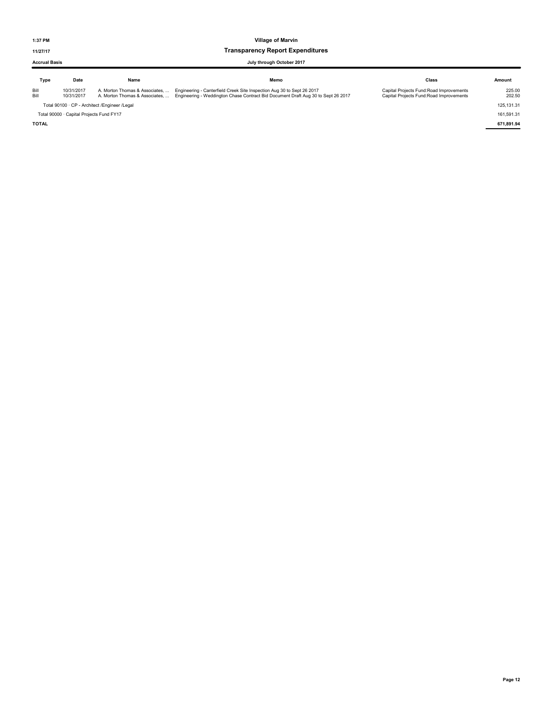11/27/17 Transparency Report Expenditures

# Accrual Basis July through October 2017

# Type Date Name Memo Class Amount Bill 10/31/2017 A. Morton Thomas & Associates, ... Engineering - Canterfield Creek Site Inspection Aug 30 to Sept 26 2017 Capital Projects Fund:Road Improvements 225.00<br>Bill 10/31/2017 A. Morton Thomas & Associates, ... En Total 90100 · CP - Architect /Engineer /Legal 125,131.31 · 125,131.31 Total 90000 · Capital Projects Fund FY17 161,591.31 161,591.31 161,591.31 161,591.31 161,591.31 161,591.31 161,591.31

TOTAL 671,891.94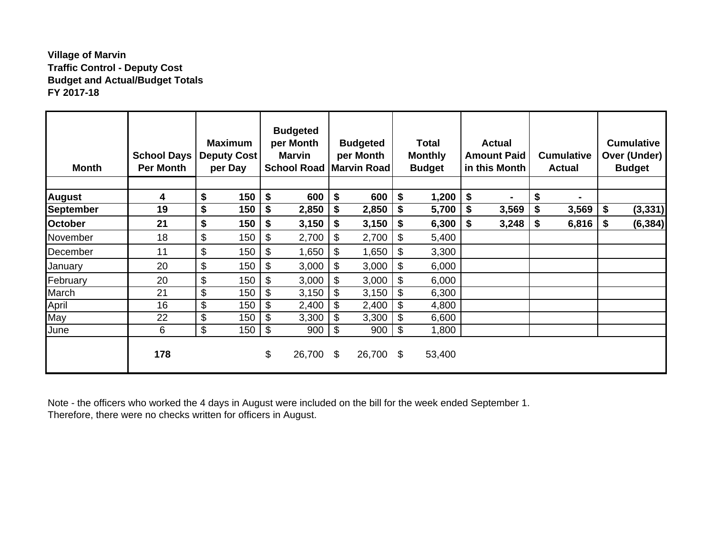# **Village of Marvin Traffic Control - Deputy Cost Budget and Actual/Budget Totals FY 2017-18**

| <b>Month</b>     | <b>School Days</b><br><b>Per Month</b> | <b>Maximum</b><br><b>Deputy Cost</b><br>per Day | <b>Budgeted</b><br>per Month<br><b>Marvin</b><br><b>School Road Marvin Road</b> |       | <b>Budgeted</b><br>per Month |                           | <b>Total</b><br><b>Monthly</b><br><b>Budget</b> | Actual<br><b>Amount Paid</b><br>in this Month | <b>Cumulative</b><br><b>Actual</b> | <b>Cumulative</b><br><b>Over (Under)</b><br><b>Budget</b> |
|------------------|----------------------------------------|-------------------------------------------------|---------------------------------------------------------------------------------|-------|------------------------------|---------------------------|-------------------------------------------------|-----------------------------------------------|------------------------------------|-----------------------------------------------------------|
| <b>August</b>    | 4                                      | \$<br>150                                       | \$<br>600                                                                       | \$    | 600                          | \$                        | 1,200                                           | \$                                            | \$                                 |                                                           |
| <b>September</b> | 19                                     | \$<br>150                                       | \$<br>2,850                                                                     | \$    | 2,850                        | \$                        | 5,700                                           | \$<br>3,569                                   | \$<br>3,569                        | \$<br>(3, 331)                                            |
| <b>October</b>   | 21                                     | \$<br>150                                       | \$<br>3,150                                                                     | \$    | 3,150                        | \$                        | 6,300                                           | \$<br>3,248                                   | \$<br>6,816                        | \$<br>(6, 384)                                            |
| November         | 18                                     | \$<br>150                                       | \$<br>2,700                                                                     | \$    | 2,700                        | $\boldsymbol{\mathsf{S}}$ | 5,400                                           |                                               |                                    |                                                           |
| December         | 11                                     | \$<br>150                                       | \$<br>1,650                                                                     | \$    | 1,650                        | $\boldsymbol{\mathsf{S}}$ | 3,300                                           |                                               |                                    |                                                           |
| January          | 20                                     | \$<br>150                                       | \$<br>3,000                                                                     | \$    | 3,000                        | $\boldsymbol{\mathsf{S}}$ | 6,000                                           |                                               |                                    |                                                           |
| February         | 20                                     | \$<br>150                                       | \$<br>3,000                                                                     | $\$\$ | 3,000                        | $\sqrt[6]{3}$             | 6,000                                           |                                               |                                    |                                                           |
| March            | 21                                     | \$<br>150                                       | \$<br>3,150                                                                     | \$    | 3,150                        | $\boldsymbol{\mathsf{S}}$ | 6,300                                           |                                               |                                    |                                                           |
| April            | 16                                     | \$<br>150                                       | \$<br>2,400                                                                     | \$    | 2,400                        | $\boldsymbol{\mathsf{S}}$ | 4,800                                           |                                               |                                    |                                                           |
| May              | 22                                     | \$<br>150                                       | \$<br>3,300                                                                     | \$    | 3,300                        | $\boldsymbol{\mathsf{S}}$ | 6,600                                           |                                               |                                    |                                                           |
| June             | 6                                      | \$<br>150                                       | \$<br>900                                                                       | \$    | 900                          | $\boldsymbol{\mathsf{S}}$ | 1,800                                           |                                               |                                    |                                                           |
|                  | 178                                    |                                                 | \$<br>26,700 \$                                                                 |       | 26,700 \$                    |                           | 53,400                                          |                                               |                                    |                                                           |

Note - the officers who worked the 4 days in August were included on the bill for the week ended September 1. Therefore, there were no checks written for officers in August.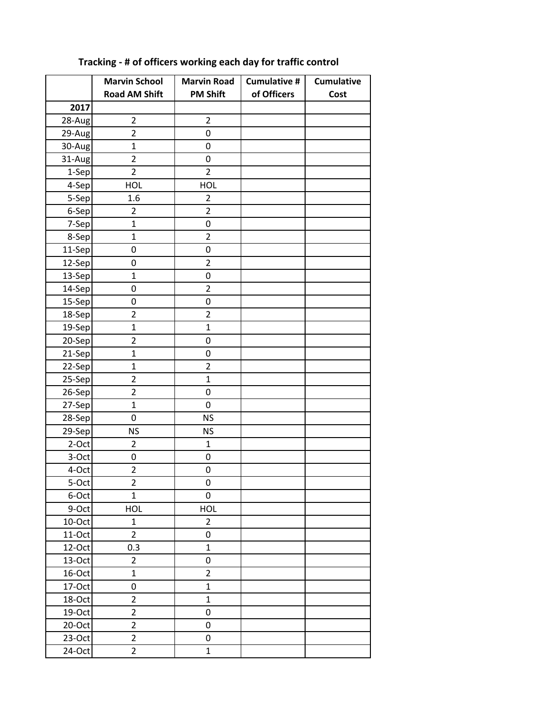|          | <b>Marvin School</b>    | <b>Marvin Road</b>      | <b>Cumulative #</b> | <b>Cumulative</b> |
|----------|-------------------------|-------------------------|---------------------|-------------------|
|          | <b>Road AM Shift</b>    | <b>PM Shift</b>         | of Officers         | Cost              |
| 2017     |                         |                         |                     |                   |
| 28-Aug   | $\overline{2}$          | $\overline{2}$          |                     |                   |
| 29-Aug   | $\overline{2}$          | 0                       |                     |                   |
| 30-Aug   | $\mathbf 1$             | 0                       |                     |                   |
| 31-Aug   | $\overline{2}$          | 0                       |                     |                   |
| 1-Sep    | $\overline{2}$          | $\overline{2}$          |                     |                   |
| 4-Sep    | HOL                     | <b>HOL</b>              |                     |                   |
| 5-Sep    | 1.6                     | 2                       |                     |                   |
| 6-Sep    | 2                       | $\overline{2}$          |                     |                   |
| 7-Sep    | $\mathbf{1}$            | 0                       |                     |                   |
| 8-Sep    | $\mathbf 1$             | $\overline{c}$          |                     |                   |
| 11-Sep   | 0                       | 0                       |                     |                   |
| 12-Sep   | 0                       | $\overline{2}$          |                     |                   |
| 13-Sep   | $\mathbf{1}$            | 0                       |                     |                   |
| 14-Sep   | 0                       | $\overline{2}$          |                     |                   |
| 15-Sep   | 0                       | $\boldsymbol{0}$        |                     |                   |
| 18-Sep   | $\overline{2}$          | $\overline{2}$          |                     |                   |
| 19-Sep   | $\mathbf{1}$            | $\mathbf{1}$            |                     |                   |
| 20-Sep   | $\overline{2}$          | 0                       |                     |                   |
| 21-Sep   | $\mathbf{1}$            | 0                       |                     |                   |
| 22-Sep   | $\mathbf 1$             | $\overline{\mathbf{c}}$ |                     |                   |
| 25-Sep   | $\overline{2}$          | $\mathbf 1$             |                     |                   |
| 26-Sep   | $\overline{2}$          | 0                       |                     |                   |
| 27-Sep   | $\mathbf{1}$            | 0                       |                     |                   |
| 28-Sep   | 0                       | <b>NS</b>               |                     |                   |
| 29-Sep   | <b>NS</b>               | <b>NS</b>               |                     |                   |
| $2$ -Oct | $\overline{2}$          | $\mathbf{1}$            |                     |                   |
| 3-Oct    | 0                       | 0                       |                     |                   |
| 4-Oct    | $\mathbf 2$             | 0                       |                     |                   |
| 5-Oct    | $\overline{2}$          | 0                       |                     |                   |
| 6-Oct    | $\mathbf{1}$            | $\boldsymbol{0}$        |                     |                   |
| 9-Oct    | <b>HOL</b>              | <b>HOL</b>              |                     |                   |
| 10-Oct   | $\mathbf{1}$            | $\overline{2}$          |                     |                   |
| 11-Oct   | $\overline{2}$          | $\pmb{0}$               |                     |                   |
| 12-Oct   | 0.3                     | $\mathbf{1}$            |                     |                   |
| 13-Oct   | $\overline{2}$          | $\boldsymbol{0}$        |                     |                   |
| 16-Oct   | $\mathbf 1$             | $\overline{2}$          |                     |                   |
| 17-Oct   | $\boldsymbol{0}$        | $\mathbf{1}$            |                     |                   |
| 18-Oct   | $\overline{\mathbf{c}}$ | $\mathbf{1}$            |                     |                   |
| 19-Oct   | $\overline{2}$          | 0                       |                     |                   |
| 20-Oct   | $\overline{2}$          | 0                       |                     |                   |
| 23-Oct   | $\overline{2}$          | 0                       |                     |                   |
| 24-Oct   | $\overline{2}$          | $\mathbf 1$             |                     |                   |

# **Tracking ‐ # of officers working each day for traffic control**